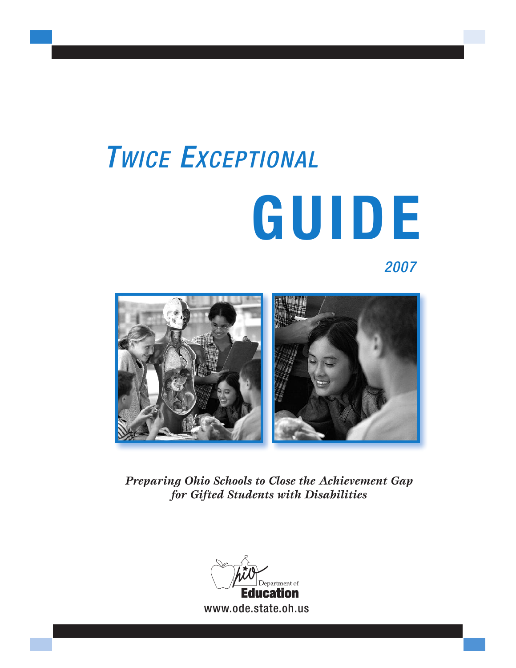# *TWICE EXCEPTIONAL* **GUIDE**

## *2007*



*Preparing Ohio Schools to Close the Achievement Gap for Gifted Students with Disabilities*

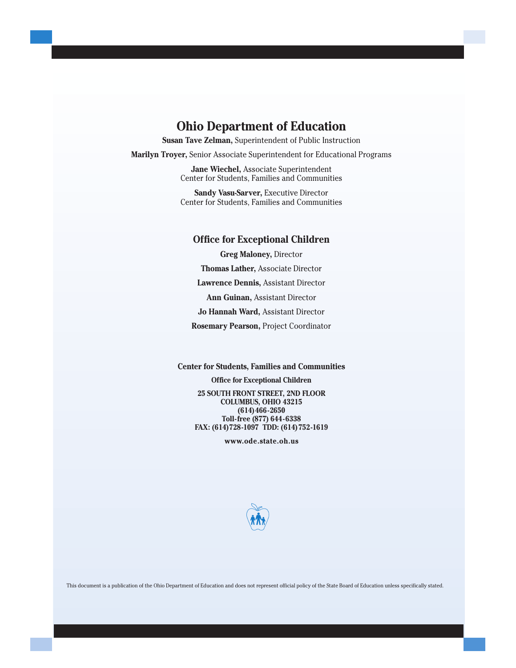## **Ohio Department of Education**

**Susan Tave Zelman,** Superintendent of Public Instruction

**Marilyn Troyer,** Senior Associate Superintendent for Educational Programs

**Jane Wiechel,** Associate Superintendent Center for Students, Families and Communities

**Sandy Vasu-Sarver,** Executive Director Center for Students, Families and Communities

#### **Office for Exceptional Children**

**Greg Maloney,** Director **Thomas Lather,** Associate Director **Lawrence Dennis,** Assistant Director **Ann Guinan,** Assistant Director **Jo Hannah Ward,** Assistant Director **Rosemary Pearson,** Project Coordinator

**Center for Students, Families and Communities**

**Office for Exceptional Children 25 SOUTH FRONT STREET, 2ND FLOOR COLUMBUS, OHIO 43215 (614)466-2650 Toll-free (877) 644-6338 FAX: (614)728-1097 TDD: (614)752-1619**

**[www.ode.state.oh.us](http://www.ode.state.oh.us/GD/Templates/Pages/ODE/ODEDefaultPage.aspx?page=1)**



This document is a publication of the Ohio Department of Education and does not represent official policy of the State Board of Education unless specifically stated.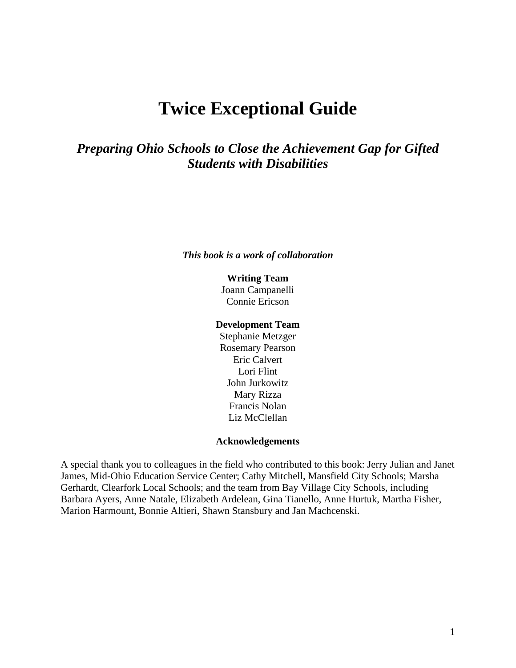# **Twice Exceptional Guide**

*Preparing Ohio Schools to Close the Achievement Gap for Gifted Students with Disabilities* 

#### *This book is a work of collaboration*

## **Writing Team**

Joann Campanelli Connie Ericson

## **Development Team**

Stephanie Metzger Rosemary Pearson Eric Calvert Lori Flint John Jurkowitz Mary Rizza Francis Nolan Liz McClellan

#### **Acknowledgements**

A special thank you to colleagues in the field who contributed to this book: Jerry Julian and Janet James, Mid-Ohio Education Service Center; Cathy Mitchell, Mansfield City Schools; Marsha Gerhardt, Clearfork Local Schools; and the team from Bay Village City Schools, including Barbara Ayers, Anne Natale, Elizabeth Ardelean, Gina Tianello, Anne Hurtuk, Martha Fisher, Marion Harmount, Bonnie Altieri, Shawn Stansbury and Jan Machcenski.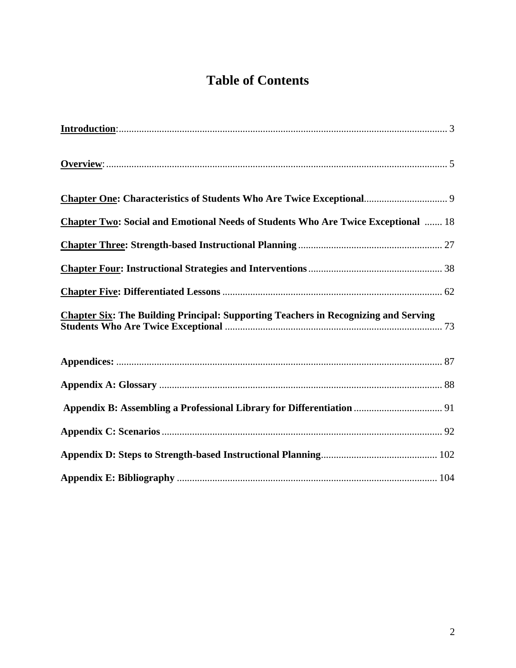# **Table of Contents**

| <b>Chapter Two: Social and Emotional Needs of Students Who Are Twice Exceptional  18</b>   |  |
|--------------------------------------------------------------------------------------------|--|
|                                                                                            |  |
|                                                                                            |  |
|                                                                                            |  |
| <b>Chapter Six: The Building Principal: Supporting Teachers in Recognizing and Serving</b> |  |
|                                                                                            |  |
|                                                                                            |  |
|                                                                                            |  |
|                                                                                            |  |
|                                                                                            |  |
|                                                                                            |  |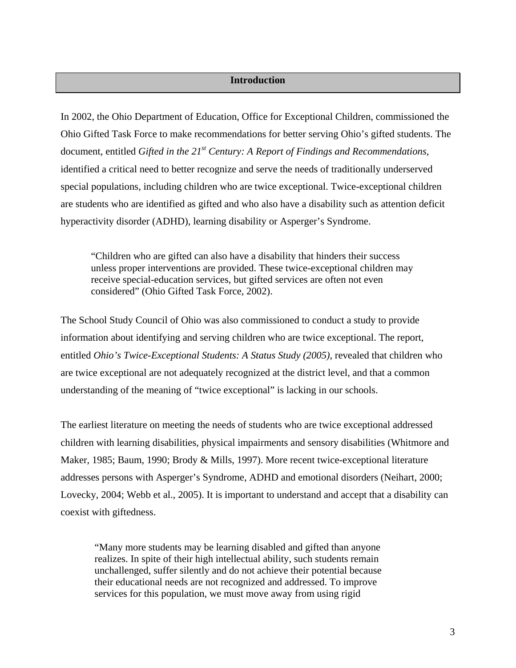## **Introduction**

<span id="page-4-0"></span>In 2002, the Ohio Department of Education, Office for Exceptional Children, commissioned the Ohio Gifted Task Force to make recommendations for better serving Ohio's gifted students. The document, entitled *Gifted in the 21<sup>st</sup> Century: A Report of Findings and Recommendations,* identified a critical need to better recognize and serve the needs of traditionally underserved special populations, including children who are twice exceptional. Twice-exceptional children are students who are identified as gifted and who also have a disability such as attention deficit hyperactivity disorder (ADHD), learning disability or Asperger's Syndrome.

"Children who are gifted can also have a disability that hinders their success unless proper interventions are provided. These twice-exceptional children may receive special-education services, but gifted services are often not even considered" (Ohio Gifted Task Force, 2002).

The School Study Council of Ohio was also commissioned to conduct a study to provide information about identifying and serving children who are twice exceptional. The report, entitled *Ohio's Twice-Exceptional Students: A Status Study (2005)*, revealed that children who are twice exceptional are not adequately recognized at the district level, and that a common understanding of the meaning of "twice exceptional" is lacking in our schools.

The earliest literature on meeting the needs of students who are twice exceptional addressed children with learning disabilities, physical impairments and sensory disabilities (Whitmore and Maker, 1985; Baum, 1990; Brody & Mills, 1997). More recent twice-exceptional literature addresses persons with Asperger's Syndrome, ADHD and emotional disorders (Neihart, 2000; Lovecky, 2004; Webb et al., 2005). It is important to understand and accept that a disability can coexist with giftedness.

"Many more students may be learning disabled and gifted than anyone realizes. In spite of their high intellectual ability, such students remain unchallenged, suffer silently and do not achieve their potential because their educational needs are not recognized and addressed. To improve services for this population, we must move away from using rigid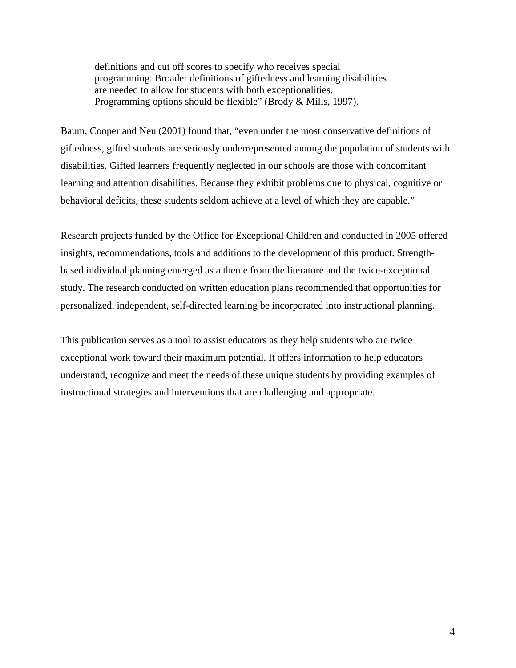definitions and cut off scores to specify who receives special programming. Broader definitions of giftedness and learning disabilities are needed to allow for students with both exceptionalities. Programming options should be flexible" (Brody & Mills, 1997).

Baum, Cooper and Neu (2001) found that, "even under the most conservative definitions of giftedness, gifted students are seriously underrepresented among the population of students with disabilities. Gifted learners frequently neglected in our schools are those with concomitant learning and attention disabilities. Because they exhibit problems due to physical, cognitive or behavioral deficits, these students seldom achieve at a level of which they are capable."

Research projects funded by the Office for Exceptional Children and conducted in 2005 offered insights, recommendations, tools and additions to the development of this product. Strengthbased individual planning emerged as a theme from the literature and the twice-exceptional study. The research conducted on written education plans recommended that opportunities for personalized, independent, self-directed learning be incorporated into instructional planning.

This publication serves as a tool to assist educators as they help students who are twice exceptional work toward their maximum potential. It offers information to help educators understand, recognize and meet the needs of these unique students by providing examples of instructional strategies and interventions that are challenging and appropriate.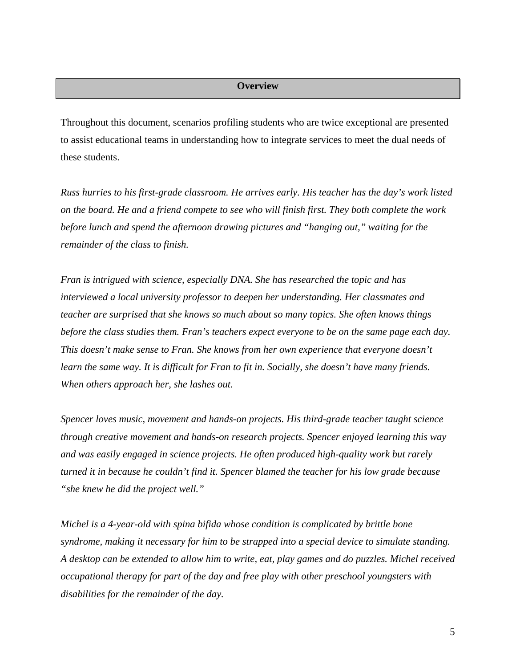## **Overview**

<span id="page-6-0"></span>Throughout this document, scenarios profiling students who are twice exceptional are presented to assist educational teams in understanding how to integrate services to meet the dual needs of these students.

*Russ hurries to his first-grade classroom. He arrives early. His teacher has the day's work listed on the board. He and a friend compete to see who will finish first. They both complete the work before lunch and spend the afternoon drawing pictures and "hanging out," waiting for the remainder of the class to finish.* 

*Fran is intrigued with science, especially DNA. She has researched the topic and has interviewed a local university professor to deepen her understanding. Her classmates and teacher are surprised that she knows so much about so many topics. She often knows things before the class studies them. Fran's teachers expect everyone to be on the same page each day. This doesn't make sense to Fran. She knows from her own experience that everyone doesn't learn the same way. It is difficult for Fran to fit in. Socially, she doesn't have many friends. When others approach her, she lashes out.* 

*Spencer loves music, movement and hands-on projects. His third-grade teacher taught science through creative movement and hands-on research projects. Spencer enjoyed learning this way and was easily engaged in science projects. He often produced high-quality work but rarely turned it in because he couldn't find it. Spencer blamed the teacher for his low grade because "she knew he did the project well."* 

*Michel is a 4-year-old with spina bifida whose condition is complicated by brittle bone syndrome, making it necessary for him to be strapped into a special device to simulate standing. A desktop can be extended to allow him to write, eat, play games and do puzzles. Michel received occupational therapy for part of the day and free play with other preschool youngsters with disabilities for the remainder of the day.*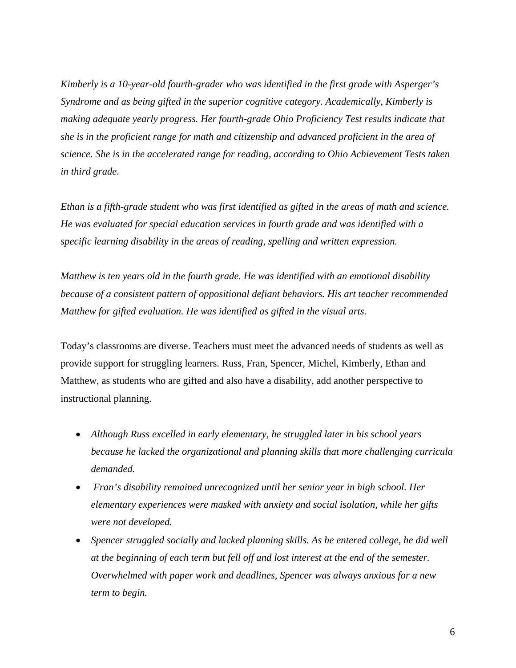*Kimberly is a 10-year-old fourth-grader who was identified in the first grade with Asperger's Syndrome and as being gifted in the superior cognitive category. Academically, Kimberly is making adequate yearly progress. Her fourth-grade Ohio Proficiency Test results indicate that she is in the proficient range for math and citizenship and advanced proficient in the area of science. She is in the accelerated range for reading, according to Ohio Achievement Tests taken in third grade.* 

*Ethan is a fifth-grade student who was first identified as gifted in the areas of math and science. He was evaluated for special education services in fourth grade and was identified with a specific learning disability in the areas of reading, spelling and written expression.* 

*Matthew is ten years old in the fourth grade. He was identified with an emotional disability because of a consistent pattern of oppositional defiant behaviors. His art teacher recommended Matthew for gifted evaluation. He was identified as gifted in the visual arts.* 

Today's classrooms are diverse. Teachers must meet the advanced needs of students as well as provide support for struggling learners. Russ, Fran, Spencer, Michel, Kimberly, Ethan and Matthew, as students who are gifted and also have a disability, add another perspective to instructional planning.

- *Although Russ excelled in early elementary, he struggled later in his school years because he lacked the organizational and planning skills that more challenging curricula demanded.*
- • *Fran's disability remained unrecognized until her senior year in high school. Her elementary experiences were masked with anxiety and social isolation, while her gifts were not developed.*
- *Spencer struggled socially and lacked planning skills. As he entered college, he did well at the beginning of each term but fell off and lost interest at the end of the semester. Overwhelmed with paper work and deadlines, Spencer was always anxious for a new term to begin.*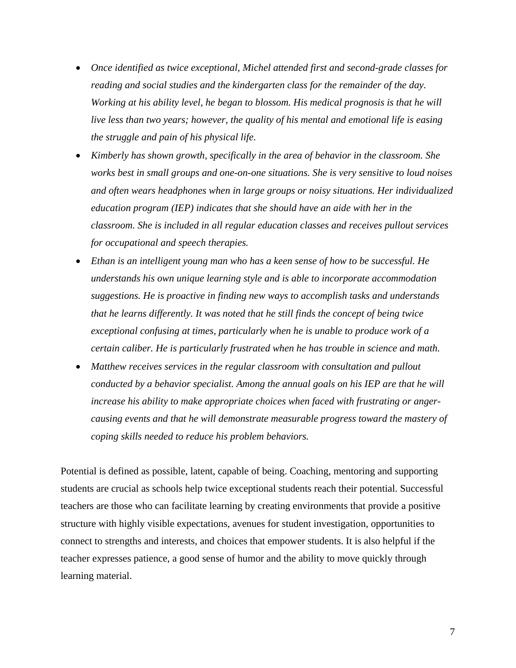- *Once identified as twice exceptional, Michel attended first and second-grade classes for reading and social studies and the kindergarten class for the remainder of the day. Working at his ability level, he began to blossom. His medical prognosis is that he will live less than two years; however, the quality of his mental and emotional life is easing the struggle and pain of his physical life.*
- *Kimberly has shown growth, specifically in the area of behavior in the classroom. She works best in small groups and one-on-one situations. She is very sensitive to loud noises and often wears headphones when in large groups or noisy situations. Her individualized education program (IEP) indicates that she should have an aide with her in the classroom. She is included in all regular education classes and receives pullout services for occupational and speech therapies.*
- *Ethan is an intelligent young man who has a keen sense of how to be successful. He understands his own unique learning style and is able to incorporate accommodation suggestions. He is proactive in finding new ways to accomplish tasks and understands that he learns differently. It was noted that he still finds the concept of being twice exceptional confusing at times, particularly when he is unable to produce work of a certain caliber. He is particularly frustrated when he has trouble in science and math.*
- *Matthew receives services in the regular classroom with consultation and pullout conducted by a behavior specialist. Among the annual goals on his IEP are that he will increase his ability to make appropriate choices when faced with frustrating or angercausing events and that he will demonstrate measurable progress toward the mastery of coping skills needed to reduce his problem behaviors.*

Potential is defined as possible, latent, capable of being. Coaching, mentoring and supporting students are crucial as schools help twice exceptional students reach their potential. Successful teachers are those who can facilitate learning by creating environments that provide a positive structure with highly visible expectations, avenues for student investigation, opportunities to connect to strengths and interests, and choices that empower students. It is also helpful if the teacher expresses patience, a good sense of humor and the ability to move quickly through learning material.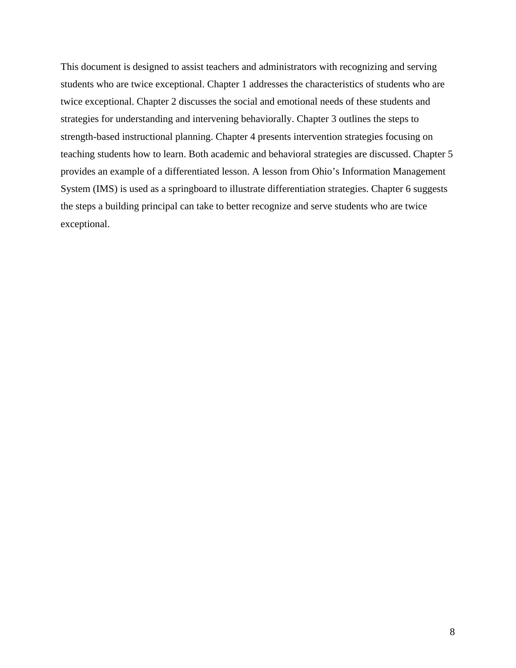This document is designed to assist teachers and administrators with recognizing and serving students who are twice exceptional. Chapter 1 addresses the characteristics of students who are twice exceptional. Chapter 2 discusses the social and emotional needs of these students and strategies for understanding and intervening behaviorally. Chapter 3 outlines the steps to strength-based instructional planning. Chapter 4 presents intervention strategies focusing on teaching students how to learn. Both academic and behavioral strategies are discussed. Chapter 5 provides an example of a differentiated lesson. A lesson from Ohio's Information Management System (IMS) is used as a springboard to illustrate differentiation strategies. Chapter 6 suggests the steps a building principal can take to better recognize and serve students who are twice exceptional.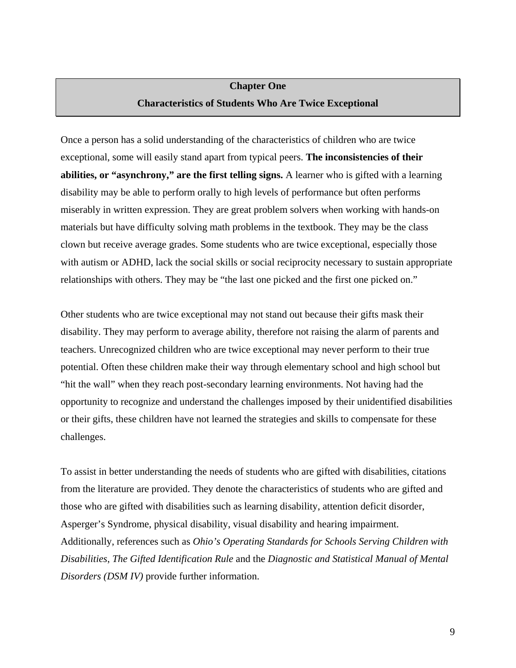## **Chapter One Characteristics of Students Who Are Twice Exceptional**

<span id="page-10-0"></span>Once a person has a solid understanding of the characteristics of children who are twice exceptional, some will easily stand apart from typical peers. **The inconsistencies of their abilities, or "asynchrony," are the first telling signs.** A learner who is gifted with a learning disability may be able to perform orally to high levels of performance but often performs miserably in written expression. They are great problem solvers when working with hands-on materials but have difficulty solving math problems in the textbook. They may be the class clown but receive average grades. Some students who are twice exceptional, especially those with autism or ADHD, lack the social skills or social reciprocity necessary to sustain appropriate relationships with others. They may be "the last one picked and the first one picked on."

Other students who are twice exceptional may not stand out because their gifts mask their disability. They may perform to average ability, therefore not raising the alarm of parents and teachers. Unrecognized children who are twice exceptional may never perform to their true potential. Often these children make their way through elementary school and high school but "hit the wall" when they reach post-secondary learning environments. Not having had the opportunity to recognize and understand the challenges imposed by their unidentified disabilities or their gifts, these children have not learned the strategies and skills to compensate for these challenges.

To assist in better understanding the needs of students who are gifted with disabilities, citations from the literature are provided. They denote the characteristics of students who are gifted and those who are gifted with disabilities such as learning disability, attention deficit disorder, Asperger's Syndrome, physical disability, visual disability and hearing impairment. Additionally, references such as *Ohio's Operating Standards for Schools Serving Children with Disabilities*, *The Gifted Identification Rule* and the *Diagnostic and Statistical Manual of Mental Disorders (DSM IV)* provide further information.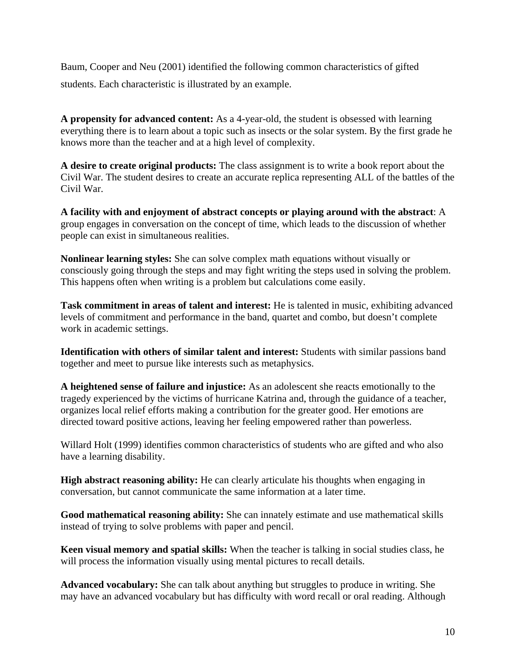Baum, Cooper and Neu (2001) identified the following common characteristics of gifted students. Each characteristic is illustrated by an example.

**A propensity for advanced content:** As a 4-year-old, the student is obsessed with learning everything there is to learn about a topic such as insects or the solar system. By the first grade he knows more than the teacher and at a high level of complexity.

**A desire to create original products:** The class assignment is to write a book report about the Civil War. The student desires to create an accurate replica representing ALL of the battles of the Civil War.

**A facility with and enjoyment of abstract concepts or playing around with the abstract**: A group engages in conversation on the concept of time, which leads to the discussion of whether people can exist in simultaneous realities.

**Nonlinear learning styles:** She can solve complex math equations without visually or consciously going through the steps and may fight writing the steps used in solving the problem. This happens often when writing is a problem but calculations come easily.

**Task commitment in areas of talent and interest:** He is talented in music, exhibiting advanced levels of commitment and performance in the band, quartet and combo, but doesn't complete work in academic settings.

**Identification with others of similar talent and interest:** Students with similar passions band together and meet to pursue like interests such as metaphysics.

**A heightened sense of failure and injustice:** As an adolescent she reacts emotionally to the tragedy experienced by the victims of hurricane Katrina and, through the guidance of a teacher, organizes local relief efforts making a contribution for the greater good. Her emotions are directed toward positive actions, leaving her feeling empowered rather than powerless.

Willard Holt (1999) identifies common characteristics of students who are gifted and who also have a learning disability.

**High abstract reasoning ability:** He can clearly articulate his thoughts when engaging in conversation, but cannot communicate the same information at a later time.

**Good mathematical reasoning ability:** She can innately estimate and use mathematical skills instead of trying to solve problems with paper and pencil.

**Keen visual memory and spatial skills:** When the teacher is talking in social studies class, he will process the information visually using mental pictures to recall details.

**Advanced vocabulary:** She can talk about anything but struggles to produce in writing. She may have an advanced vocabulary but has difficulty with word recall or oral reading. Although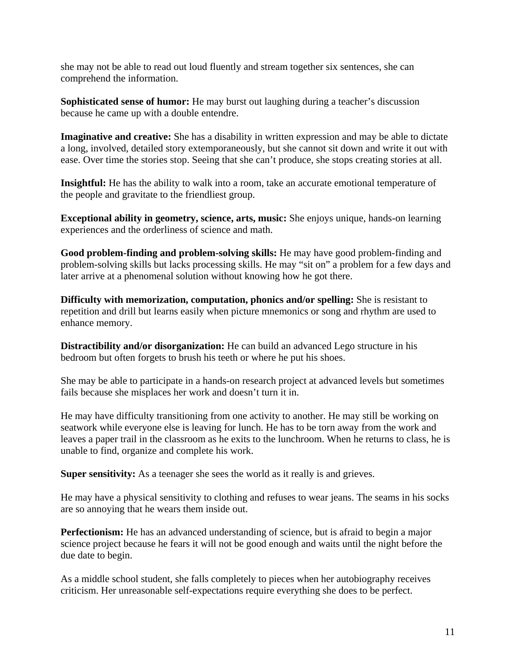she may not be able to read out loud fluently and stream together six sentences, she can comprehend the information.

**Sophisticated sense of humor:** He may burst out laughing during a teacher's discussion because he came up with a double entendre.

**Imaginative and creative:** She has a disability in written expression and may be able to dictate a long, involved, detailed story extemporaneously, but she cannot sit down and write it out with ease. Over time the stories stop. Seeing that she can't produce, she stops creating stories at all.

**Insightful:** He has the ability to walk into a room, take an accurate emotional temperature of the people and gravitate to the friendliest group.

**Exceptional ability in geometry, science, arts, music:** She enjoys unique, hands-on learning experiences and the orderliness of science and math.

**Good problem-finding and problem-solving skills:** He may have good problem-finding and problem-solving skills but lacks processing skills. He may "sit on" a problem for a few days and later arrive at a phenomenal solution without knowing how he got there.

**Difficulty with memorization, computation, phonics and/or spelling:** She is resistant to repetition and drill but learns easily when picture mnemonics or song and rhythm are used to enhance memory.

**Distractibility and/or disorganization:** He can build an advanced Lego structure in his bedroom but often forgets to brush his teeth or where he put his shoes.

She may be able to participate in a hands-on research project at advanced levels but sometimes fails because she misplaces her work and doesn't turn it in.

He may have difficulty transitioning from one activity to another. He may still be working on seatwork while everyone else is leaving for lunch. He has to be torn away from the work and leaves a paper trail in the classroom as he exits to the lunchroom. When he returns to class, he is unable to find, organize and complete his work.

**Super sensitivity:** As a teenager she sees the world as it really is and grieves.

He may have a physical sensitivity to clothing and refuses to wear jeans. The seams in his socks are so annoying that he wears them inside out.

**Perfectionism:** He has an advanced understanding of science, but is afraid to begin a major science project because he fears it will not be good enough and waits until the night before the due date to begin.

As a middle school student, she falls completely to pieces when her autobiography receives criticism. Her unreasonable self-expectations require everything she does to be perfect.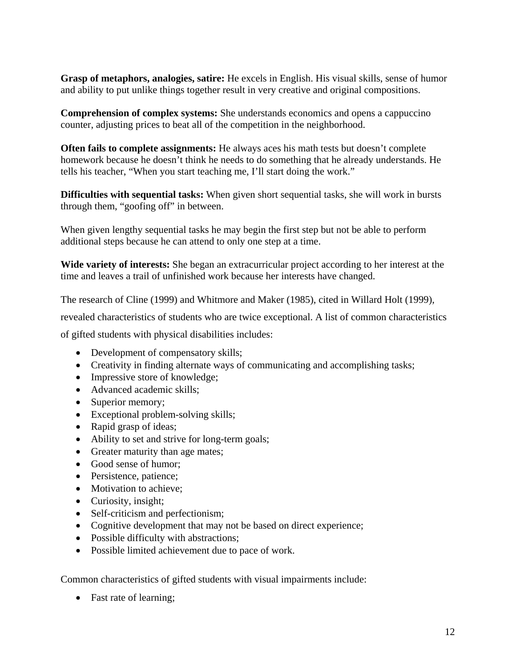**Grasp of metaphors, analogies, satire:** He excels in English. His visual skills, sense of humor and ability to put unlike things together result in very creative and original compositions.

**Comprehension of complex systems:** She understands economics and opens a cappuccino counter, adjusting prices to beat all of the competition in the neighborhood.

**Often fails to complete assignments:** He always aces his math tests but doesn't complete homework because he doesn't think he needs to do something that he already understands. He tells his teacher, "When you start teaching me, I'll start doing the work."

**Difficulties with sequential tasks:** When given short sequential tasks, she will work in bursts through them, "goofing off" in between.

When given lengthy sequential tasks he may begin the first step but not be able to perform additional steps because he can attend to only one step at a time.

**Wide variety of interests:** She began an extracurricular project according to her interest at the time and leaves a trail of unfinished work because her interests have changed.

The research of Cline (1999) and Whitmore and Maker (1985), cited in Willard Holt (1999),

revealed characteristics of students who are twice exceptional. A list of common characteristics

of gifted students with physical disabilities includes:

- Development of compensatory skills;
- Creativity in finding alternate ways of communicating and accomplishing tasks;
- Impressive store of knowledge;
- Advanced academic skills:
- Superior memory;
- Exceptional problem-solving skills;
- Rapid grasp of ideas;
- Ability to set and strive for long-term goals;
- Greater maturity than age mates;
- Good sense of humor;
- Persistence, patience;
- Motivation to achieve;
- Curiosity, insight;
- Self-criticism and perfectionism;
- Cognitive development that may not be based on direct experience;
- Possible difficulty with abstractions;
- Possible limited achievement due to pace of work.

Common characteristics of gifted students with visual impairments include:

• Fast rate of learning;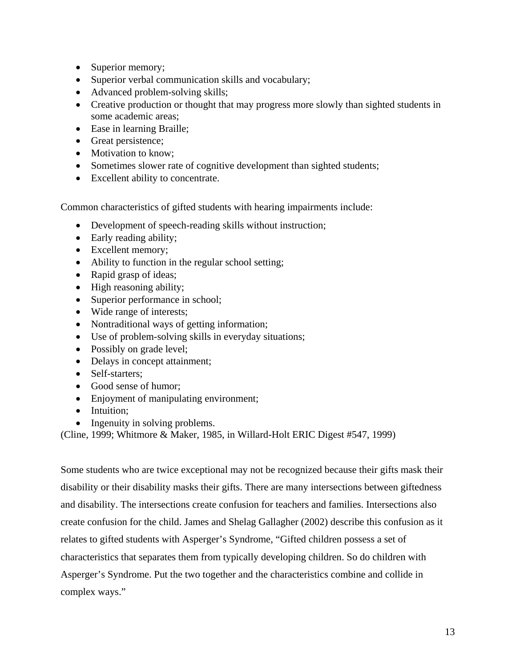- Superior memory;
- Superior verbal communication skills and vocabulary;
- Advanced problem-solving skills;
- Creative production or thought that may progress more slowly than sighted students in some academic areas;
- Ease in learning Braille;
- Great persistence;
- Motivation to know;
- Sometimes slower rate of cognitive development than sighted students;
- Excellent ability to concentrate.

Common characteristics of gifted students with hearing impairments include:

- Development of speech-reading skills without instruction;
- Early reading ability;
- Excellent memory;
- Ability to function in the regular school setting;
- Rapid grasp of ideas;
- High reasoning ability;
- Superior performance in school;
- Wide range of interests;
- Nontraditional ways of getting information;
- Use of problem-solving skills in everyday situations;
- Possibly on grade level;
- Delays in concept attainment;
- Self-starters:
- Good sense of humor;
- Enjoyment of manipulating environment;
- Intuition;
- Ingenuity in solving problems.

(Cline, 1999; Whitmore & Maker, 1985, in Willard-Holt ERIC Digest #547, 1999)

Some students who are twice exceptional may not be recognized because their gifts mask their disability or their disability masks their gifts. There are many intersections between giftedness and disability. The intersections create confusion for teachers and families. Intersections also create confusion for the child. James and Shelag Gallagher (2002) describe this confusion as it relates to gifted students with Asperger's Syndrome, "Gifted children possess a set of characteristics that separates them from typically developing children. So do children with Asperger's Syndrome. Put the two together and the characteristics combine and collide in complex ways."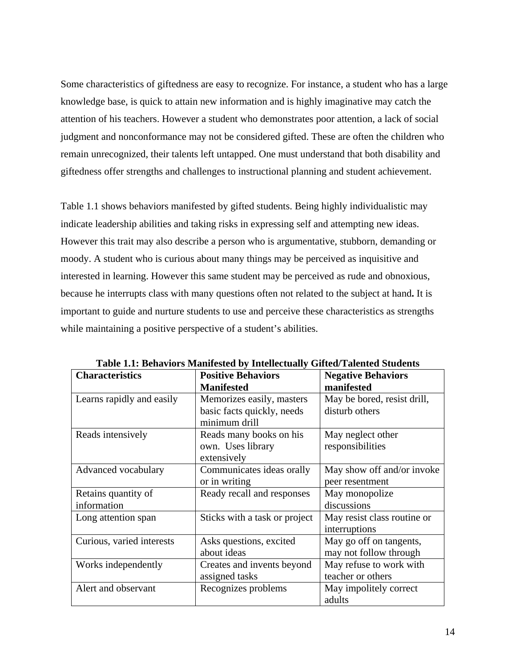Some characteristics of giftedness are easy to recognize. For instance, a student who has a large knowledge base, is quick to attain new information and is highly imaginative may catch the attention of his teachers. However a student who demonstrates poor attention, a lack of social judgment and nonconformance may not be considered gifted. These are often the children who remain unrecognized, their talents left untapped. One must understand that both disability and giftedness offer strengths and challenges to instructional planning and student achievement.

Table 1.1 shows behaviors manifested by gifted students. Being highly individualistic may indicate leadership abilities and taking risks in expressing self and attempting new ideas. However this trait may also describe a person who is argumentative, stubborn, demanding or moody. A student who is curious about many things may be perceived as inquisitive and interested in learning. However this same student may be perceived as rude and obnoxious, because he interrupts class with many questions often not related to the subject at hand**.** It is important to guide and nurture students to use and perceive these characteristics as strengths while maintaining a positive perspective of a student's abilities.

| <b>Characteristics</b>    | <b>Positive Behaviors</b>                   | <b>Negative Behaviors</b>   |
|---------------------------|---------------------------------------------|-----------------------------|
|                           | <b>Manifested</b>                           | manifested                  |
| Learns rapidly and easily | Memorizes easily, masters                   | May be bored, resist drill, |
|                           | basic facts quickly, needs<br>minimum drill | disturb others              |
| Reads intensively         | Reads many books on his                     | May neglect other           |
|                           | own. Uses library                           | responsibilities            |
|                           | extensively                                 |                             |
| Advanced vocabulary       | Communicates ideas orally                   | May show off and/or invoke  |
|                           | or in writing                               | peer resentment             |
| Retains quantity of       | Ready recall and responses                  | May monopolize              |
| information               |                                             | discussions                 |
| Long attention span       | Sticks with a task or project               | May resist class routine or |
|                           |                                             | interruptions               |
| Curious, varied interests | Asks questions, excited                     | May go off on tangents,     |
|                           | about ideas                                 | may not follow through      |
| Works independently       | Creates and invents beyond                  | May refuse to work with     |
|                           | assigned tasks                              | teacher or others           |
| Alert and observant       | Recognizes problems                         | May impolitely correct      |
|                           |                                             | adults                      |

**Table 1.1: Behaviors Manifested by Intellectually Gifted/Talented Students**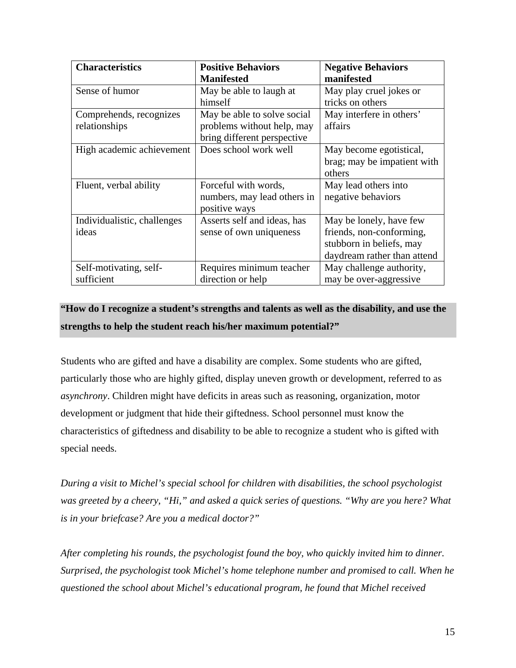| <b>Characteristics</b>      | <b>Positive Behaviors</b>   | <b>Negative Behaviors</b>   |
|-----------------------------|-----------------------------|-----------------------------|
|                             | <b>Manifested</b>           | manifested                  |
| Sense of humor              | May be able to laugh at     | May play cruel jokes or     |
|                             | himself                     | tricks on others            |
| Comprehends, recognizes     | May be able to solve social | May interfere in others'    |
| relationships               | problems without help, may  | affairs                     |
|                             | bring different perspective |                             |
| High academic achievement   | Does school work well       | May become egotistical,     |
|                             |                             | brag; may be impatient with |
|                             |                             | others                      |
| Fluent, verbal ability      | Forceful with words,        | May lead others into        |
|                             | numbers, may lead others in | negative behaviors          |
|                             | positive ways               |                             |
| Individualistic, challenges | Asserts self and ideas, has | May be lonely, have few     |
| ideas                       | sense of own uniqueness     | friends, non-conforming,    |
|                             |                             | stubborn in beliefs, may    |
|                             |                             | daydream rather than attend |
| Self-motivating, self-      | Requires minimum teacher    | May challenge authority,    |
| sufficient                  | direction or help           | may be over-aggressive      |

## **"How do I recognize a student's strengths and talents as well as the disability, and use the strengths to help the student reach his/her maximum potential?"**

Students who are gifted and have a disability are complex. Some students who are gifted, particularly those who are highly gifted, display uneven growth or development, referred to as *asynchrony*. Children might have deficits in areas such as reasoning, organization, motor development or judgment that hide their giftedness. School personnel must know the characteristics of giftedness and disability to be able to recognize a student who is gifted with special needs.

*During a visit to Michel's special school for children with disabilities, the school psychologist was greeted by a cheery, "Hi," and asked a quick series of questions. "Why are you here? What is in your briefcase? Are you a medical doctor?"* 

*After completing his rounds, the psychologist found the boy, who quickly invited him to dinner. Surprised, the psychologist took Michel's home telephone number and promised to call. When he questioned the school about Michel's educational program, he found that Michel received*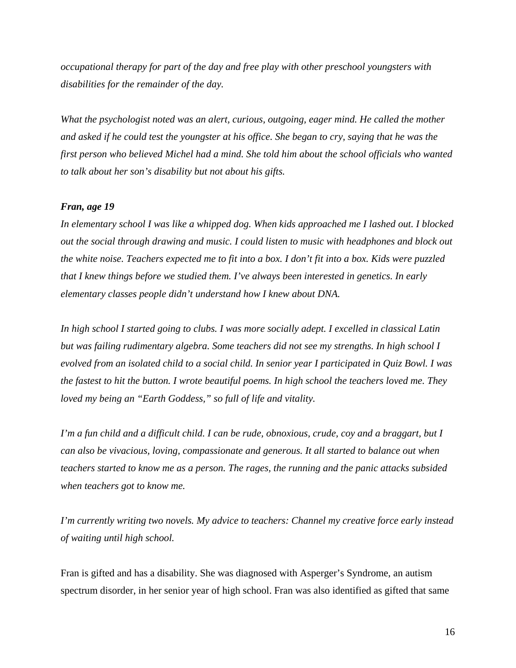*occupational therapy for part of the day and free play with other preschool youngsters with disabilities for the remainder of the day.* 

*What the psychologist noted was an alert, curious, outgoing, eager mind. He called the mother and asked if he could test the youngster at his office. She began to cry, saying that he was the first person who believed Michel had a mind. She told him about the school officials who wanted to talk about her son's disability but not about his gifts.* 

## *Fran, age 19*

*In elementary school I was like a whipped dog. When kids approached me I lashed out. I blocked out the social through drawing and music. I could listen to music with headphones and block out the white noise. Teachers expected me to fit into a box. I don't fit into a box. Kids were puzzled that I knew things before we studied them. I've always been interested in genetics. In early elementary classes people didn't understand how I knew about DNA.* 

*In high school I started going to clubs. I was more socially adept. I excelled in classical Latin but was failing rudimentary algebra. Some teachers did not see my strengths. In high school I evolved from an isolated child to a social child. In senior year I participated in Quiz Bowl. I was the fastest to hit the button. I wrote beautiful poems. In high school the teachers loved me. They loved my being an "Earth Goddess," so full of life and vitality.* 

*I'm a fun child and a difficult child. I can be rude, obnoxious, crude, coy and a braggart, but I can also be vivacious, loving, compassionate and generous. It all started to balance out when teachers started to know me as a person. The rages, the running and the panic attacks subsided when teachers got to know me.* 

*I'm currently writing two novels. My advice to teachers: Channel my creative force early instead of waiting until high school.* 

Fran is gifted and has a disability. She was diagnosed with Asperger's Syndrome, an autism spectrum disorder, in her senior year of high school. Fran was also identified as gifted that same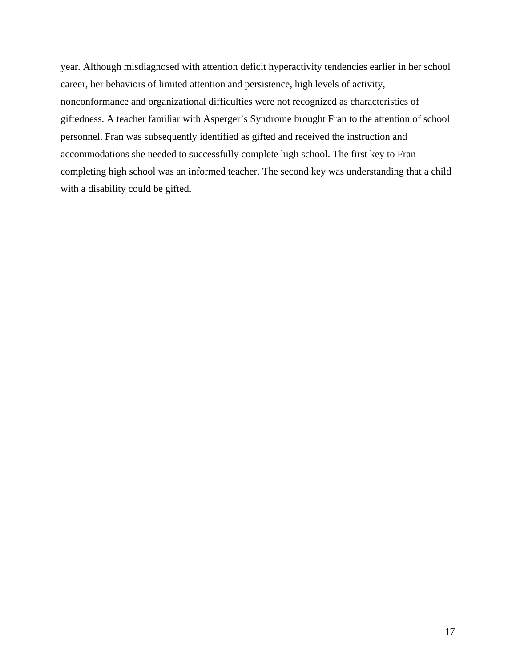year*.* Although misdiagnosed with attention deficit hyperactivity tendencies earlier in her school career, her behaviors of limited attention and persistence, high levels of activity, nonconformance and organizational difficulties were not recognized as characteristics of giftedness. A teacher familiar with Asperger's Syndrome brought Fran to the attention of school personnel. Fran was subsequently identified as gifted and received the instruction and accommodations she needed to successfully complete high school. The first key to Fran completing high school was an informed teacher. The second key was understanding that a child with a disability could be gifted.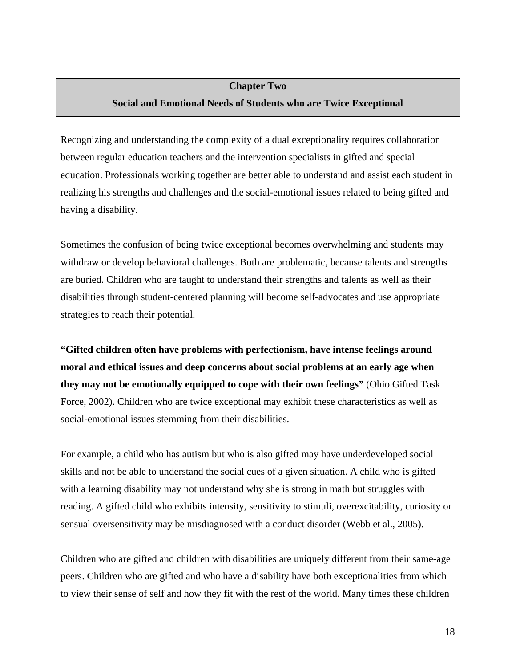## <span id="page-19-0"></span>**Chapter Two Social and Emotional Needs of Students who are Twice Exceptional**

Recognizing and understanding the complexity of a dual exceptionality requires collaboration between regular education teachers and the intervention specialists in gifted and special education. Professionals working together are better able to understand and assist each student in realizing his strengths and challenges and the social-emotional issues related to being gifted and having a disability.

Sometimes the confusion of being twice exceptional becomes overwhelming and students may withdraw or develop behavioral challenges. Both are problematic, because talents and strengths are buried. Children who are taught to understand their strengths and talents as well as their disabilities through student-centered planning will become self-advocates and use appropriate strategies to reach their potential.

**"Gifted children often have problems with perfectionism, have intense feelings around moral and ethical issues and deep concerns about social problems at an early age when they may not be emotionally equipped to cope with their own feelings"** (Ohio Gifted Task Force, 2002). Children who are twice exceptional may exhibit these characteristics as well as social-emotional issues stemming from their disabilities.

For example, a child who has autism but who is also gifted may have underdeveloped social skills and not be able to understand the social cues of a given situation. A child who is gifted with a learning disability may not understand why she is strong in math but struggles with reading. A gifted child who exhibits intensity, sensitivity to stimuli, overexcitability, curiosity or sensual oversensitivity may be misdiagnosed with a conduct disorder (Webb et al., 2005).

Children who are gifted and children with disabilities are uniquely different from their same-age peers. Children who are gifted and who have a disability have both exceptionalities from which to view their sense of self and how they fit with the rest of the world. Many times these children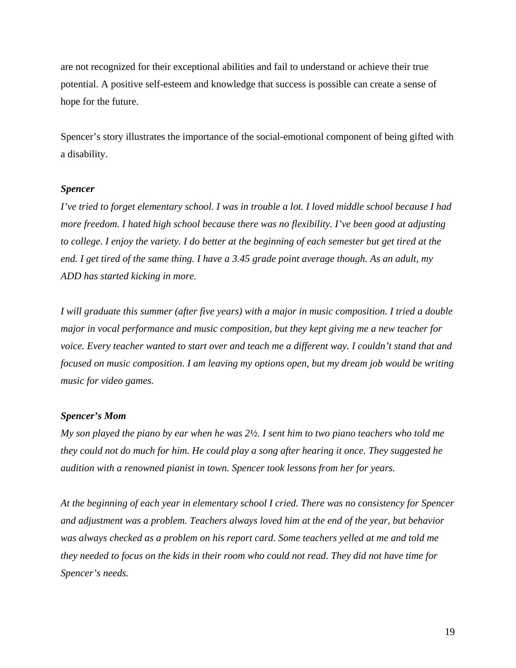are not recognized for their exceptional abilities and fail to understand or achieve their true potential. A positive self-esteem and knowledge that success is possible can create a sense of hope for the future.

Spencer's story illustrates the importance of the social-emotional component of being gifted with a disability.

#### *Spencer*

*I've tried to forget elementary school. I was in trouble a lot. I loved middle school because I had more freedom. I hated high school because there was no flexibility. I've been good at adjusting to college. I enjoy the variety. I do better at the beginning of each semester but get tired at the end. I get tired of the same thing. I have a 3.45 grade point average though. As an adult, my ADD has started kicking in more.* 

*I will graduate this summer (after five years) with a major in music composition. I tried a double major in vocal performance and music composition, but they kept giving me a new teacher for voice. Every teacher wanted to start over and teach me a different way. I couldn't stand that and focused on music composition. I am leaving my options open, but my dream job would be writing music for video games.* 

#### *Spencer's Mom*

*My son played the piano by ear when he was 2½. I sent him to two piano teachers who told me they could not do much for him. He could play a song after hearing it once. They suggested he audition with a renowned pianist in town. Spencer took lessons from her for years.* 

*At the beginning of each year in elementary school I cried. There was no consistency for Spencer and adjustment was a problem. Teachers always loved him at the end of the year, but behavior was always checked as a problem on his report card. Some teachers yelled at me and told me they needed to focus on the kids in their room who could not read. They did not have time for Spencer's needs.*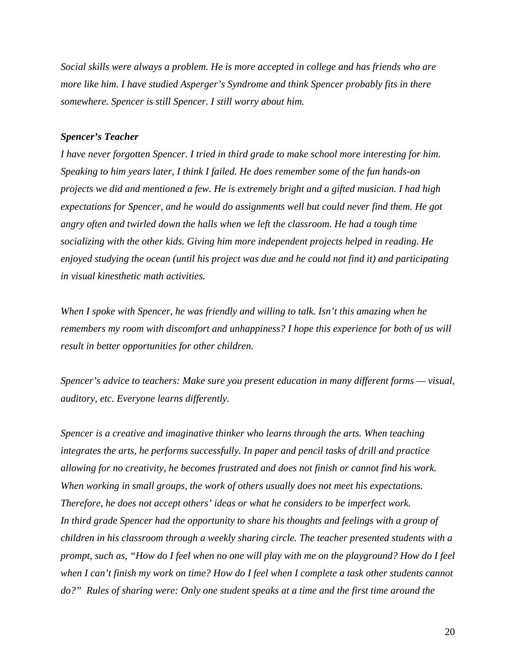*Social skills were always a problem. He is more accepted in college and has friends who are more like him. I have studied Asperger's Syndrome and think Spencer probably fits in there somewhere. Spencer is still Spencer. I still worry about him.* 

## *Spencer's Teacher*

*I have never forgotten Spencer. I tried in third grade to make school more interesting for him. Speaking to him years later, I think I failed. He does remember some of the fun hands-on projects we did and mentioned a few. He is extremely bright and a gifted musician. I had high expectations for Spencer, and he would do assignments well but could never find them. He got angry often and twirled down the halls when we left the classroom. He had a tough time socializing with the other kids. Giving him more independent projects helped in reading. He enjoyed studying the ocean (until his project was due and he could not find it) and participating in visual kinesthetic math activities.* 

*When I spoke with Spencer, he was friendly and willing to talk. Isn't this amazing when he remembers my room with discomfort and unhappiness? I hope this experience for both of us will result in better opportunities for other children.* 

*Spencer's advice to teachers: Make sure you present education in many different forms — visual, auditory, etc. Everyone learns differently.* 

*Spencer is a creative and imaginative thinker who learns through the arts. When teaching integrates the arts, he performs successfully. In paper and pencil tasks of drill and practice allowing for no creativity, he becomes frustrated and does not finish or cannot find his work. When working in small groups, the work of others usually does not meet his expectations. Therefore, he does not accept others' ideas or what he considers to be imperfect work. In third grade Spencer had the opportunity to share his thoughts and feelings with a group of children in his classroom through a weekly sharing circle. The teacher presented students with a prompt, such as, "How do I feel when no one will play with me on the playground? How do I feel when I can't finish my work on time? How do I feel when I complete a task other students cannot do?" Rules of sharing were: Only one student speaks at a time and the first time around the*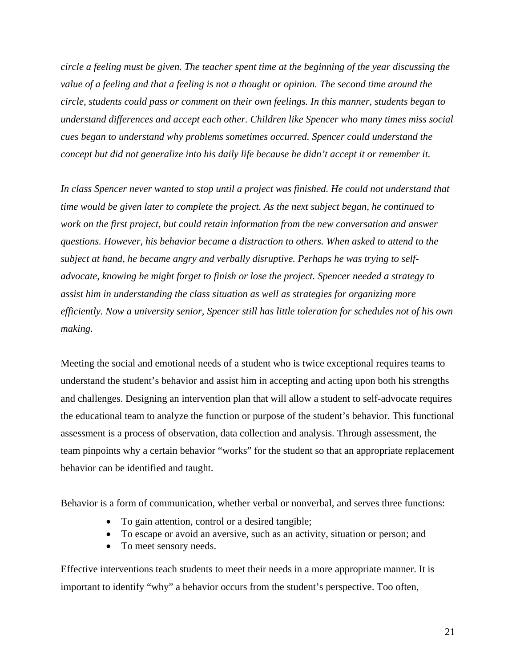*circle a feeling must be given. The teacher spent time at the beginning of the year discussing the value of a feeling and that a feeling is not a thought or opinion. The second time around the circle, students could pass or comment on their own feelings. In this manner, students began to understand differences and accept each other. Children like Spencer who many times miss social cues began to understand why problems sometimes occurred. Spencer could understand the concept but did not generalize into his daily life because he didn't accept it or remember it.* 

*In class Spencer never wanted to stop until a project was finished. He could not understand that time would be given later to complete the project. As the next subject began, he continued to work on the first project, but could retain information from the new conversation and answer questions. However, his behavior became a distraction to others. When asked to attend to the subject at hand, he became angry and verbally disruptive. Perhaps he was trying to selfadvocate, knowing he might forget to finish or lose the project. Spencer needed a strategy to assist him in understanding the class situation as well as strategies for organizing more efficiently. Now a university senior, Spencer still has little toleration for schedules not of his own making.* 

Meeting the social and emotional needs of a student who is twice exceptional requires teams to understand the student's behavior and assist him in accepting and acting upon both his strengths and challenges. Designing an intervention plan that will allow a student to self-advocate requires the educational team to analyze the function or purpose of the student's behavior. This functional assessment is a process of observation, data collection and analysis. Through assessment, the team pinpoints why a certain behavior "works" for the student so that an appropriate replacement behavior can be identified and taught.

Behavior is a form of communication, whether verbal or nonverbal, and serves three functions:

- To gain attention, control or a desired tangible;
- To escape or avoid an aversive, such as an activity, situation or person; and
- To meet sensory needs.

Effective interventions teach students to meet their needs in a more appropriate manner. It is important to identify "why" a behavior occurs from the student's perspective. Too often,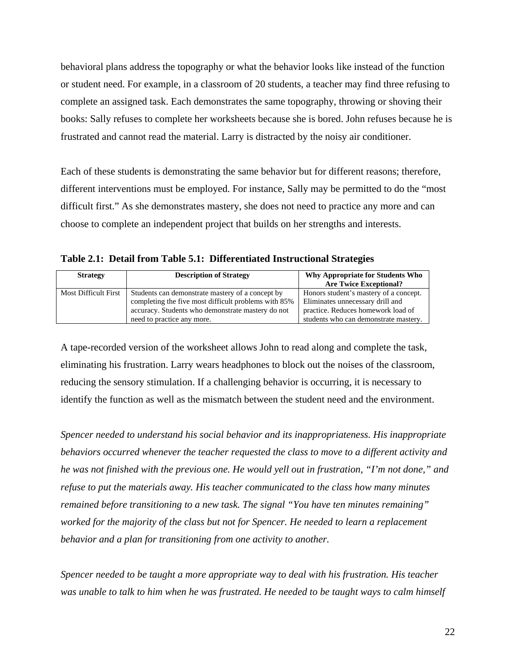behavioral plans address the topography or what the behavior looks like instead of the function or student need. For example, in a classroom of 20 students, a teacher may find three refusing to complete an assigned task. Each demonstrates the same topography, throwing or shoving their books: Sally refuses to complete her worksheets because she is bored. John refuses because he is frustrated and cannot read the material. Larry is distracted by the noisy air conditioner.

Each of these students is demonstrating the same behavior but for different reasons; therefore, different interventions must be employed. For instance, Sally may be permitted to do the "most difficult first." As she demonstrates mastery, she does not need to practice any more and can choose to complete an independent project that builds on her strengths and interests.

**Table 2.1: Detail from Table 5.1: Differentiated Instructional Strategies**

| <b>Strategy</b>             | <b>Description of Strategy</b>                                                                                                                                                              | Why Appropriate for Students Who<br><b>Are Twice Exceptional?</b>                                                                                         |
|-----------------------------|---------------------------------------------------------------------------------------------------------------------------------------------------------------------------------------------|-----------------------------------------------------------------------------------------------------------------------------------------------------------|
| <b>Most Difficult First</b> | Students can demonstrate mastery of a concept by<br>completing the five most difficult problems with 85%<br>accuracy. Students who demonstrate mastery do not<br>need to practice any more. | Honors student's mastery of a concept.<br>Eliminates unnecessary drill and<br>practice. Reduces homework load of<br>students who can demonstrate mastery. |

A tape-recorded version of the worksheet allows John to read along and complete the task, eliminating his frustration. Larry wears headphones to block out the noises of the classroom, reducing the sensory stimulation. If a challenging behavior is occurring, it is necessary to identify the function as well as the mismatch between the student need and the environment.

*Spencer needed to understand his social behavior and its inappropriateness. His inappropriate behaviors occurred whenever the teacher requested the class to move to a different activity and he was not finished with the previous one. He would yell out in frustration, "I'm not done," and refuse to put the materials away. His teacher communicated to the class how many minutes remained before transitioning to a new task. The signal "You have ten minutes remaining" worked for the majority of the class but not for Spencer. He needed to learn a replacement behavior and a plan for transitioning from one activity to another.* 

*Spencer needed to be taught a more appropriate way to deal with his frustration. His teacher was unable to talk to him when he was frustrated. He needed to be taught ways to calm himself*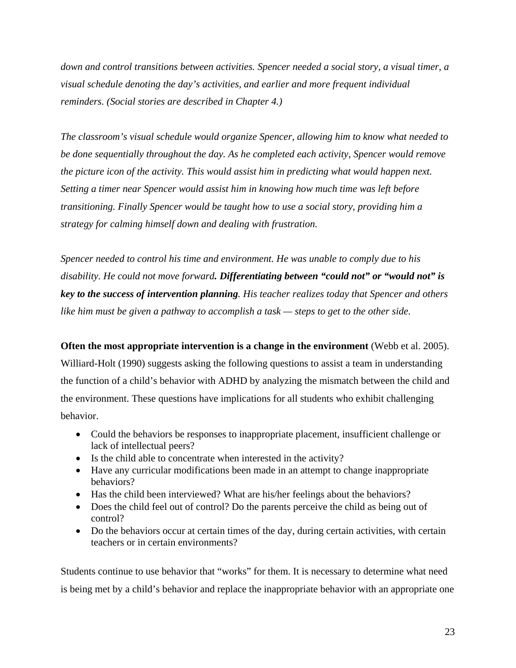*down and control transitions between activities. Spencer needed a social story, a visual timer, a visual schedule denoting the day's activities, and earlier and more frequent individual reminders. (Social stories are described in Chapter 4.)* 

*The classroom's visual schedule would organize Spencer, allowing him to know what needed to be done sequentially throughout the day. As he completed each activity, Spencer would remove the picture icon of the activity. This would assist him in predicting what would happen next. Setting a timer near Spencer would assist him in knowing how much time was left before transitioning. Finally Spencer would be taught how to use a social story, providing him a strategy for calming himself down and dealing with frustration.* 

*Spencer needed to control his time and environment. He was unable to comply due to his disability. He could not move forward. Differentiating between "could not" or "would not" is key to the success of intervention planning. His teacher realizes today that Spencer and others like him must be given a pathway to accomplish a task — steps to get to the other side.* 

**Often the most appropriate intervention is a change in the environment** (Webb et al. 2005). Williard-Holt (1990) suggests asking the following questions to assist a team in understanding the function of a child's behavior with ADHD by analyzing the mismatch between the child and the environment. These questions have implications for all students who exhibit challenging behavior.

- Could the behaviors be responses to inappropriate placement, insufficient challenge or lack of intellectual peers?
- Is the child able to concentrate when interested in the activity?
- Have any curricular modifications been made in an attempt to change inappropriate behaviors?
- Has the child been interviewed? What are his/her feelings about the behaviors?
- Does the child feel out of control? Do the parents perceive the child as being out of control?
- Do the behaviors occur at certain times of the day, during certain activities, with certain teachers or in certain environments?

Students continue to use behavior that "works" for them. It is necessary to determine what need is being met by a child's behavior and replace the inappropriate behavior with an appropriate one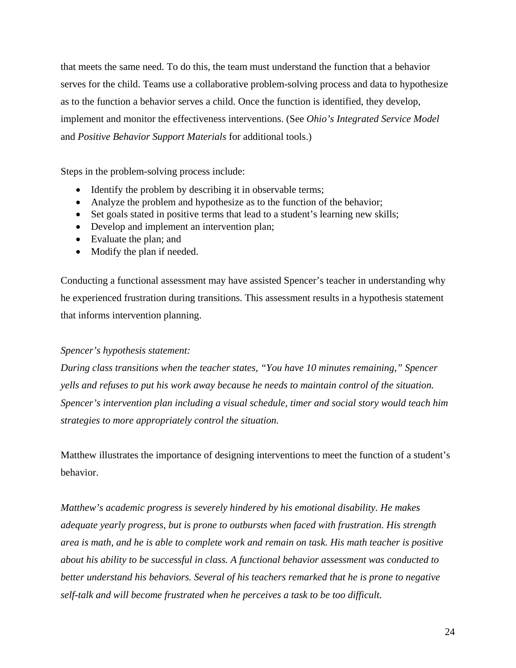that meets the same need. To do this, the team must understand the function that a behavior serves for the child. Teams use a collaborative problem-solving process and data to hypothesize as to the function a behavior serves a child. Once the function is identified, they develop, implement and monitor the effectiveness interventions. (See *Ohio's Integrated Service Model* and *Positive Behavior Support Materials* for additional tools.)

Steps in the problem-solving process include:

- Identify the problem by describing it in observable terms;
- Analyze the problem and hypothesize as to the function of the behavior;
- Set goals stated in positive terms that lead to a student's learning new skills;
- Develop and implement an intervention plan;
- Evaluate the plan; and
- Modify the plan if needed.

Conducting a functional assessment may have assisted Spencer's teacher in understanding why he experienced frustration during transitions. This assessment results in a hypothesis statement that informs intervention planning.

## *Spencer's hypothesis statement:*

*During class transitions when the teacher states, "You have 10 minutes remaining," Spencer yells and refuses to put his work away because he needs to maintain control of the situation. Spencer's intervention plan including a visual schedule, timer and social story would teach him strategies to more appropriately control the situation.* 

Matthew illustrates the importance of designing interventions to meet the function of a student's behavior.

*Matthew's academic progress is severely hindered by his emotional disability. He makes adequate yearly progress, but is prone to outbursts when faced with frustration. His strength area is math, and he is able to complete work and remain on task. His math teacher is positive about his ability to be successful in class. A functional behavior assessment was conducted to better understand his behaviors. Several of his teachers remarked that he is prone to negative self-talk and will become frustrated when he perceives a task to be too difficult.*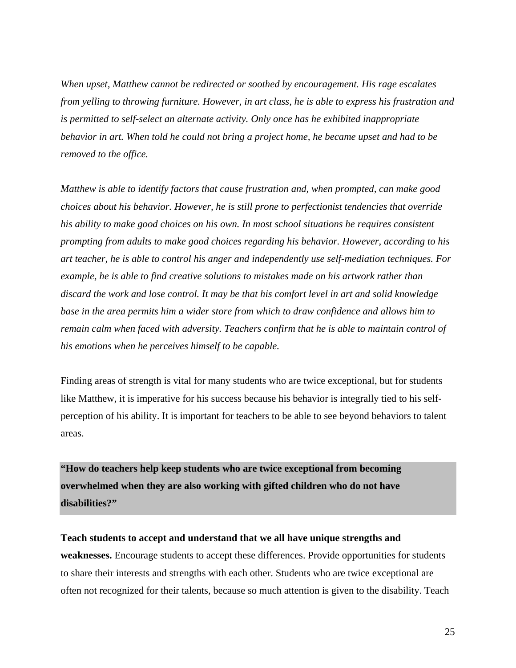*When upset, Matthew cannot be redirected or soothed by encouragement. His rage escalates from yelling to throwing furniture. However, in art class, he is able to express his frustration and is permitted to self-select an alternate activity. Only once has he exhibited inappropriate behavior in art. When told he could not bring a project home, he became upset and had to be removed to the office.* 

*Matthew is able to identify factors that cause frustration and, when prompted, can make good choices about his behavior. However, he is still prone to perfectionist tendencies that override his ability to make good choices on his own. In most school situations he requires consistent prompting from adults to make good choices regarding his behavior. However, according to his art teacher, he is able to control his anger and independently use self-mediation techniques. For example, he is able to find creative solutions to mistakes made on his artwork rather than discard the work and lose control. It may be that his comfort level in art and solid knowledge base in the area permits him a wider store from which to draw confidence and allows him to remain calm when faced with adversity. Teachers confirm that he is able to maintain control of his emotions when he perceives himself to be capable.* 

Finding areas of strength is vital for many students who are twice exceptional, but for students like Matthew, it is imperative for his success because his behavior is integrally tied to his selfperception of his ability. It is important for teachers to be able to see beyond behaviors to talent areas.

**"How do teachers help keep students who are twice exceptional from becoming overwhelmed when they are also working with gifted children who do not have disabilities?"** 

**Teach students to accept and understand that we all have unique strengths and weaknesses.** Encourage students to accept these differences. Provide opportunities for students to share their interests and strengths with each other. Students who are twice exceptional are often not recognized for their talents, because so much attention is given to the disability. Teach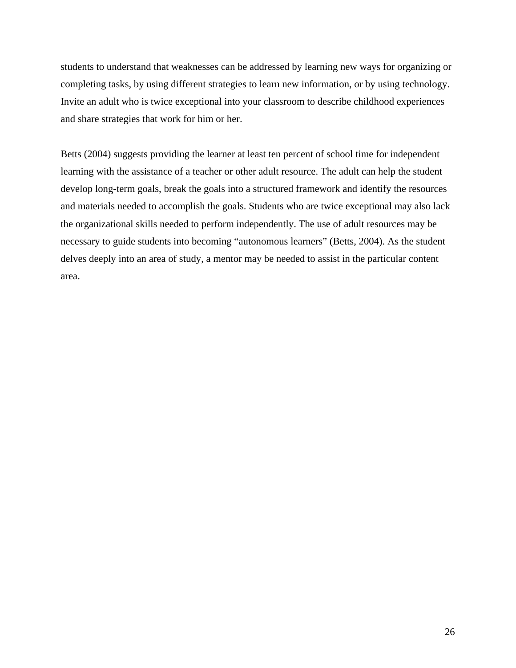students to understand that weaknesses can be addressed by learning new ways for organizing or completing tasks, by using different strategies to learn new information, or by using technology. Invite an adult who is twice exceptional into your classroom to describe childhood experiences and share strategies that work for him or her.

Betts (2004) suggests providing the learner at least ten percent of school time for independent learning with the assistance of a teacher or other adult resource. The adult can help the student develop long-term goals, break the goals into a structured framework and identify the resources and materials needed to accomplish the goals. Students who are twice exceptional may also lack the organizational skills needed to perform independently. The use of adult resources may be necessary to guide students into becoming "autonomous learners" (Betts, 2004). As the student delves deeply into an area of study, a mentor may be needed to assist in the particular content area.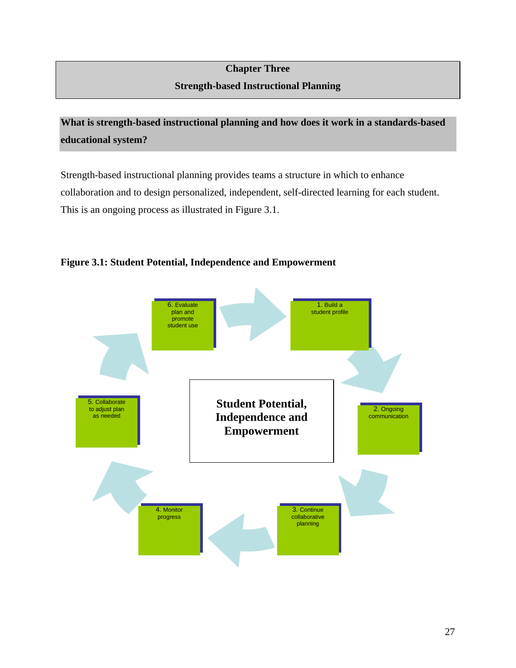## **Chapter Three Strength-based Instructional Planning**

<span id="page-28-0"></span>**What is strength-based instructional planning and how does it work in a standards-based educational system?** 

Strength-based instructional planning provides teams a structure in which to enhance collaboration and to design personalized, independent, self-directed learning for each student. This is an ongoing process as illustrated in Figure 3.1.



## **Figure 3.1: Student Potential, Independence and Empowerment**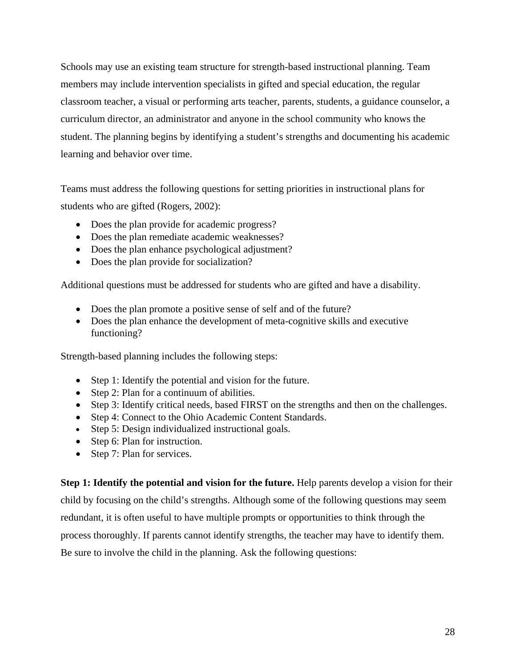Schools may use an existing team structure for strength-based instructional planning. Team members may include intervention specialists in gifted and special education, the regular classroom teacher, a visual or performing arts teacher, parents, students, a guidance counselor, a curriculum director, an administrator and anyone in the school community who knows the student. The planning begins by identifying a student's strengths and documenting his academic learning and behavior over time.

Teams must address the following questions for setting priorities in instructional plans for students who are gifted (Rogers, 2002):

- Does the plan provide for academic progress?
- Does the plan remediate academic weaknesses?
- Does the plan enhance psychological adjustment?
- Does the plan provide for socialization?

Additional questions must be addressed for students who are gifted and have a disability.

- Does the plan promote a positive sense of self and of the future?
- Does the plan enhance the development of meta-cognitive skills and executive functioning?

Strength-based planning includes the following steps:

- Step 1: Identify the potential and vision for the future.
- Step 2: Plan for a continuum of abilities.
- Step 3: Identify critical needs, based FIRST on the strengths and then on the challenges.
- Step 4: Connect to the Ohio Academic Content Standards.
- Step 5: Design individualized instructional goals.
- Step 6: Plan for instruction.
- Step 7: Plan for services.

**Step 1: Identify the potential and vision for the future.** Help parents develop a vision for their child by focusing on the child's strengths. Although some of the following questions may seem redundant, it is often useful to have multiple prompts or opportunities to think through the process thoroughly. If parents cannot identify strengths, the teacher may have to identify them. Be sure to involve the child in the planning. Ask the following questions: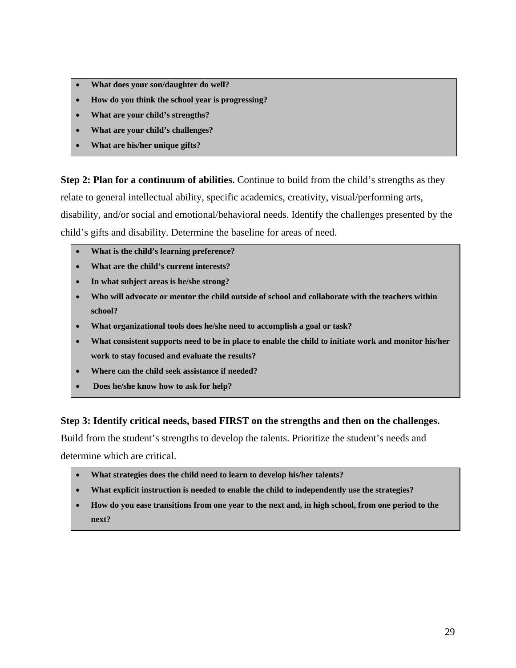- **What does your son/daughter do well?**
- **How do you think the school year is progressing?**
- **What are your child's strengths?**
- **What are your child's challenges?**
- **What are his/her unique gifts?**

**Step 2: Plan for a continuum of abilities.** Continue to build from the child's strengths as they relate to general intellectual ability, specific academics, creativity, visual/performing arts, disability, and/or social and emotional/behavioral needs. Identify the challenges presented by the child's gifts and disability. Determine the baseline for areas of need.

- **What is the child's learning preference?**
- **What are the child's current interests?**
- **In what subject areas is he/she strong?**
- **Who will advocate or mentor the child outside of school and collaborate with the teachers within school?**
- **What organizational tools does he/she need to accomplish a goal or task?**
- **What consistent supports need to be in place to enable the child to initiate work and monitor his/her work to stay focused and evaluate the results?**
- **Where can the child seek assistance if needed?**
- • **Does he/she know how to ask for help?**

## **Step 3: Identify critical needs, based FIRST on the strengths and then on the challenges.**

Build from the student's strengths to develop the talents. Prioritize the student's needs and determine which are critical.

- **What strategies does the child need to learn to develop his/her talents?**
- **What explicit instruction is needed to enable the child to independently use the strategies?**
- **How do you ease transitions from one year to the next and, in high school, from one period to the next?**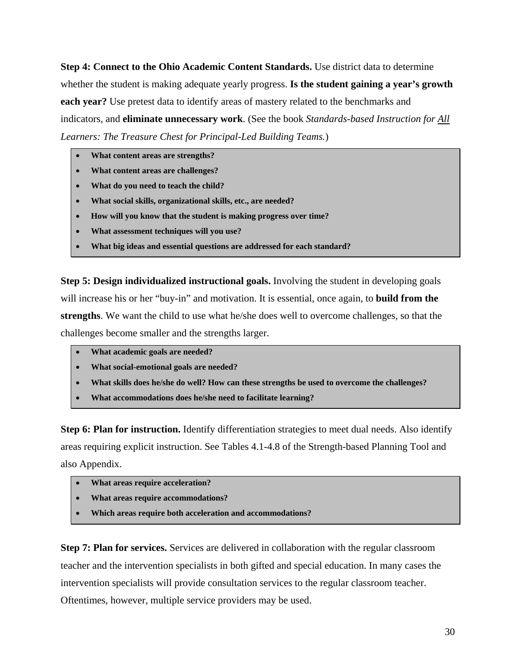**Step 4: Connect to the Ohio Academic Content Standards.** Use district data to determine whether the student is making adequate yearly progress. **Is the student gaining a year's growth each year?** Use pretest data to identify areas of mastery related to the benchmarks and indicators, and **eliminate unnecessary work**. (See the book *Standards-based Instruction for All Learners: The Treasure Chest for Principal-Led Building Teams.*)

- **What content areas are strengths?**
- **What content areas are challenges?**
- **What do you need to teach the child?**
- **What social skills, organizational skills, etc., are needed?**
- **How will you know that the student is making progress over time?**
- **What assessment techniques will you use?**
- **What big ideas and essential questions are addressed for each standard?**

**Step 5: Design individualized instructional goals.** Involving the student in developing goals will increase his or her "buy-in" and motivation. It is essential, once again, to **build from the strengths**. We want the child to use what he/she does well to overcome challenges, so that the challenges become smaller and the strengths larger.

- **What academic goals are needed?**
- **What social-emotional goals are needed?**
- **What skills does he/she do well? How can these strengths be used to overcome the challenges?**
- **What accommodations does he/she need to facilitate learning?**

**Step 6: Plan for instruction.** Identify differentiation strategies to meet dual needs. Also identify areas requiring explicit instruction. See Tables 4.1-4.8 of the Strength-based Planning Tool and also Appendix.

- **What areas require acceleration?**
- **What areas require accommodations?**
- **Which areas require both acceleration and accommodations?**

**Step 7: Plan for services.** Services are delivered in collaboration with the regular classroom teacher and the intervention specialists in both gifted and special education. In many cases the intervention specialists will provide consultation services to the regular classroom teacher. Oftentimes, however, multiple service providers may be used.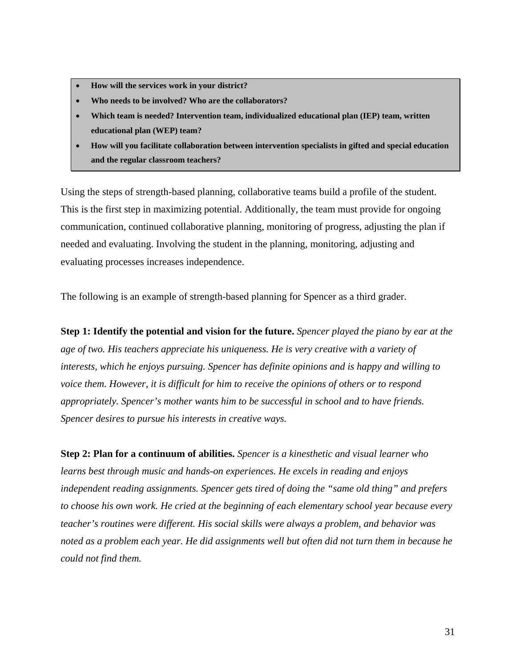- **How will the services work in your district?**
- **Who needs to be involved? Who are the collaborators?**
- **Which team is needed? Intervention team, individualized educational plan (IEP) team, written educational plan (WEP) team?**
- **How will you facilitate collaboration between intervention specialists in gifted and special education and the regular classroom teachers?**

Using the steps of strength-based planning, collaborative teams build a profile of the student. This is the first step in maximizing potential. Additionally, the team must provide for ongoing communication, continued collaborative planning, monitoring of progress, adjusting the plan if needed and evaluating. Involving the student in the planning, monitoring, adjusting and evaluating processes increases independence.

The following is an example of strength-based planning for Spencer as a third grader.

**Step 1: Identify the potential and vision for the future.** *Spencer played the piano by ear at the age of two. His teachers appreciate his uniqueness. He is very creative with a variety of interests, which he enjoys pursuing. Spencer has definite opinions and is happy and willing to voice them. However, it is difficult for him to receive the opinions of others or to respond appropriately. Spencer's mother wants him to be successful in school and to have friends. Spencer desires to pursue his interests in creative ways.* 

**Step 2: Plan for a continuum of abilities.** *Spencer is a kinesthetic and visual learner who learns best through music and hands-on experiences. He excels in reading and enjoys independent reading assignments. Spencer gets tired of doing the "same old thing" and prefers to choose his own work. He cried at the beginning of each elementary school year because every teacher's routines were different. His social skills were always a problem, and behavior was noted as a problem each year. He did assignments well but often did not turn them in because he could not find them.*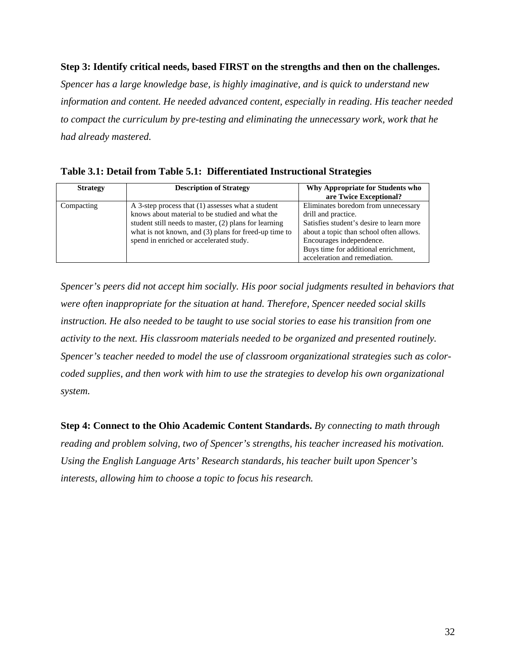## **Step 3: Identify critical needs, based FIRST on the strengths and then on the challenges.**

*Spencer has a large knowledge base, is highly imaginative, and is quick to understand new information and content. He needed advanced content, especially in reading. His teacher needed to compact the curriculum by pre-testing and eliminating the unnecessary work, work that he had already mastered.* 

**Table 3.1: Detail from Table 5.1: Differentiated Instructional Strategies**

| <b>Strategy</b> | <b>Description of Strategy</b>                                                                                                                                                                                                                                      | Why Appropriate for Students who<br>are Twice Exceptional?                                                                                                                                                                                             |
|-----------------|---------------------------------------------------------------------------------------------------------------------------------------------------------------------------------------------------------------------------------------------------------------------|--------------------------------------------------------------------------------------------------------------------------------------------------------------------------------------------------------------------------------------------------------|
| Compacting      | A 3-step process that (1) assesses what a student<br>knows about material to be studied and what the<br>student still needs to master, (2) plans for learning<br>what is not known, and $(3)$ plans for freed-up time to<br>spend in enriched or accelerated study. | Eliminates boredom from unnecessary<br>drill and practice.<br>Satisfies student's desire to learn more<br>about a topic than school often allows.<br>Encourages independence.<br>Buys time for additional enrichment,<br>acceleration and remediation. |

*Spencer's peers did not accept him socially. His poor social judgments resulted in behaviors that were often inappropriate for the situation at hand. Therefore, Spencer needed social skills instruction. He also needed to be taught to use social stories to ease his transition from one activity to the next. His classroom materials needed to be organized and presented routinely. Spencer's teacher needed to model the use of classroom organizational strategies such as colorcoded supplies, and then work with him to use the strategies to develop his own organizational system.* 

**Step 4: Connect to the Ohio Academic Content Standards.** *By connecting to math through reading and problem solving, two of Spencer's strengths, his teacher increased his motivation. Using the English Language Arts' Research standards, his teacher built upon Spencer's interests, allowing him to choose a topic to focus his research.*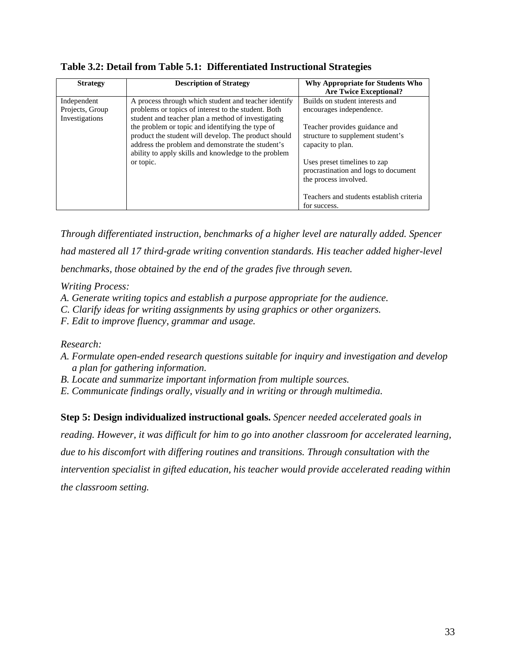| <b>Strategy</b>                                  | <b>Description of Strategy</b>                                                                                                                                                                                        | Why Appropriate for Students Who<br><b>Are Twice Exceptional?</b>                             |
|--------------------------------------------------|-----------------------------------------------------------------------------------------------------------------------------------------------------------------------------------------------------------------------|-----------------------------------------------------------------------------------------------|
| Independent<br>Projects, Group<br>Investigations | A process through which student and teacher identify<br>problems or topics of interest to the student. Both<br>student and teacher plan a method of investigating                                                     | Builds on student interests and<br>encourages independence.                                   |
|                                                  | the problem or topic and identifying the type of<br>product the student will develop. The product should<br>address the problem and demonstrate the student's<br>ability to apply skills and knowledge to the problem | Teacher provides guidance and<br>structure to supplement student's<br>capacity to plan.       |
|                                                  | or topic.                                                                                                                                                                                                             | Uses preset timelines to zap<br>procrastination and logs to document<br>the process involved. |
|                                                  |                                                                                                                                                                                                                       | Teachers and students establish criteria<br>for success.                                      |

**Table 3.2: Detail from Table 5.1: Differentiated Instructional Strategies**

*Through differentiated instruction, benchmarks of a higher level are naturally added. Spencer had mastered all 17 third-grade writing convention standards. His teacher added higher-level benchmarks, those obtained by the end of the grades five through seven.* 

*Writing Process:* 

- *A. Generate writing topics and establish a purpose appropriate for the audience.*
- *C. Clarify ideas for writing assignments by using graphics or other organizers.*
- *F. Edit to improve fluency, grammar and usage.*

*Research:* 

- *A. Formulate open-ended research questions suitable for inquiry and investigation and develop a plan for gathering information.*
- *B. Locate and summarize important information from multiple sources.*
- *E. Communicate findings orally, visually and in writing or through multimedia.*

**Step 5: Design individualized instructional goals.** *Spencer needed accelerated goals in* 

*reading. However, it was difficult for him to go into another classroom for accelerated learning,* 

*due to his discomfort with differing routines and transitions. Through consultation with the* 

*intervention specialist in gifted education, his teacher would provide accelerated reading within the classroom setting.*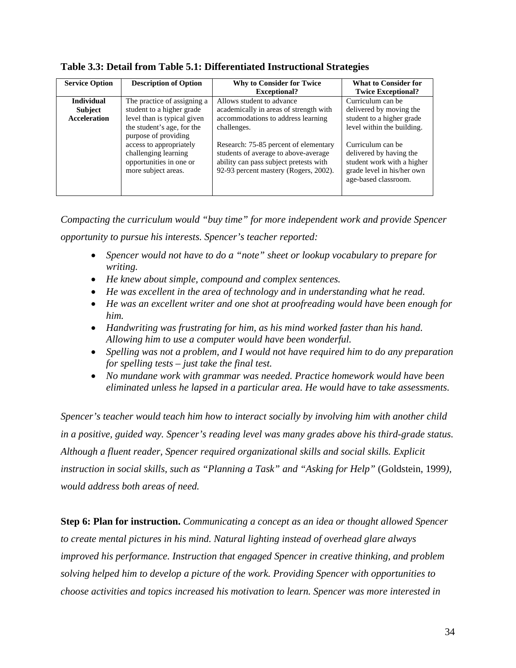| <b>Service Option</b> | <b>Description of Option</b>                                                                      | <b>Why to Consider for Twice</b><br><b>Exceptional?</b>                                                                                                          | <b>What to Consider for</b><br><b>Twice Exceptional?</b>                                                                         |
|-----------------------|---------------------------------------------------------------------------------------------------|------------------------------------------------------------------------------------------------------------------------------------------------------------------|----------------------------------------------------------------------------------------------------------------------------------|
| <b>Individual</b>     | The practice of assigning a                                                                       | Allows student to advance                                                                                                                                        | Curriculum can be                                                                                                                |
| Subject               | student to a higher grade                                                                         | academically in areas of strength with                                                                                                                           | delivered by moving the                                                                                                          |
| <b>Acceleration</b>   | level than is typical given                                                                       | accommodations to address learning                                                                                                                               | student to a higher grade                                                                                                        |
|                       | the student's age, for the<br>purpose of providing                                                | challenges.                                                                                                                                                      | level within the building.                                                                                                       |
|                       | access to appropriately<br>challenging learning<br>opportunities in one or<br>more subject areas. | Research: 75-85 percent of elementary<br>students of average to above-average<br>ability can pass subject pretests with<br>92-93 percent mastery (Rogers, 2002). | Curriculum can be<br>delivered by having the<br>student work with a higher<br>grade level in his/her own<br>age-based classroom. |

**Table 3.3: Detail from Table 5.1: Differentiated Instructional Strategies**

*Compacting the curriculum would "buy time" for more independent work and provide Spencer opportunity to pursue his interests. Spencer's teacher reported:* 

- *Spencer would not have to do a "note" sheet or lookup vocabulary to prepare for writing.*
- *He knew about simple, compound and complex sentences.*
- *He was excellent in the area of technology and in understanding what he read.*
- *He was an excellent writer and one shot at proofreading would have been enough for him.*
- *Handwriting was frustrating for him, as his mind worked faster than his hand. Allowing him to use a computer would have been wonderful.*
- *Spelling was not a problem, and I would not have required him to do any preparation for spelling tests – just take the final test.*
- *No mundane work with grammar was needed. Practice homework would have been eliminated unless he lapsed in a particular area. He would have to take assessments.*

*Spencer's teacher would teach him how to interact socially by involving him with another child in a positive, guided way. Spencer's reading level was many grades above his third-grade status. Although a fluent reader, Spencer required organizational skills and social skills. Explicit instruction in social skills, such as "Planning a Task" and "Asking for Help"* (Goldstein, 1999*), would address both areas of need.* 

**Step 6: Plan for instruction.** *Communicating a concept as an idea or thought allowed Spencer to create mental pictures in his mind. Natural lighting instead of overhead glare always improved his performance. Instruction that engaged Spencer in creative thinking, and problem solving helped him to develop a picture of the work. Providing Spencer with opportunities to choose activities and topics increased his motivation to learn. Spencer was more interested in*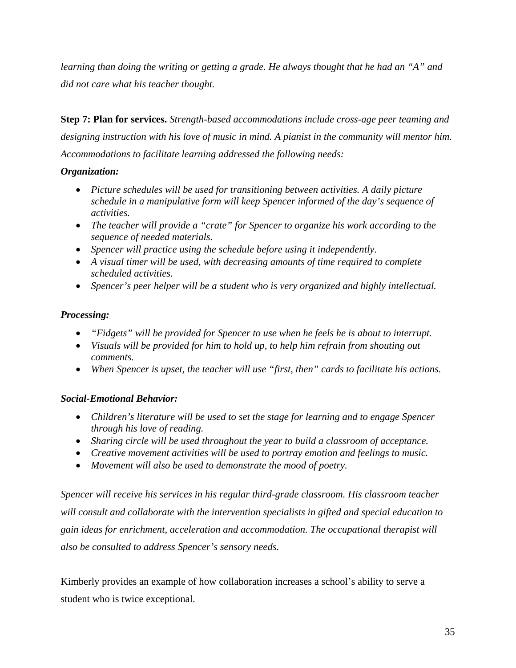*learning than doing the writing or getting a grade. He always thought that he had an "A" and did not care what his teacher thought.* 

**Step 7: Plan for services.** *Strength-based accommodations include cross-age peer teaming and designing instruction with his love of music in mind. A pianist in the community will mentor him. Accommodations to facilitate learning addressed the following needs:* 

### *Organization:*

- *Picture schedules will be used for transitioning between activities. A daily picture schedule in a manipulative form will keep Spencer informed of the day's sequence of activities.*
- *The teacher will provide a "crate" for Spencer to organize his work according to the sequence of needed materials.*
- *Spencer will practice using the schedule before using it independently.*
- *A visual timer will be used, with decreasing amounts of time required to complete scheduled activities.*
- *Spencer's peer helper will be a student who is very organized and highly intellectual.*

## *Processing:*

- *"Fidgets" will be provided for Spencer to use when he feels he is about to interrupt.*
- *Visuals will be provided for him to hold up, to help him refrain from shouting out comments.*
- *When Spencer is upset, the teacher will use "first, then" cards to facilitate his actions.*

## *Social-Emotional Behavior:*

- *Children's literature will be used to set the stage for learning and to engage Spencer through his love of reading.*
- *Sharing circle will be used throughout the year to build a classroom of acceptance.*
- *Creative movement activities will be used to portray emotion and feelings to music.*
- *Movement will also be used to demonstrate the mood of poetry.*

*Spencer will receive his services in his regular third-grade classroom. His classroom teacher will consult and collaborate with the intervention specialists in gifted and special education to gain ideas for enrichment, acceleration and accommodation. The occupational therapist will also be consulted to address Spencer's sensory needs.* 

Kimberly provides an example of how collaboration increases a school's ability to serve a student who is twice exceptional.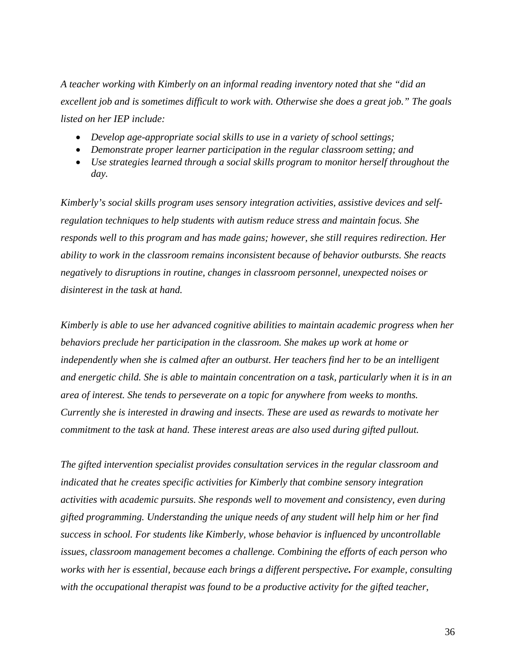*A teacher working with Kimberly on an informal reading inventory noted that she "did an excellent job and is sometimes difficult to work with. Otherwise she does a great job." The goals listed on her IEP include:* 

- *Develop age-appropriate social skills to use in a variety of school settings;*
- *Demonstrate proper learner participation in the regular classroom setting; and*
- *Use strategies learned through a social skills program to monitor herself throughout the day.*

*Kimberly's social skills program uses sensory integration activities, assistive devices and selfregulation techniques to help students with autism reduce stress and maintain focus. She responds well to this program and has made gains; however, she still requires redirection. Her ability to work in the classroom remains inconsistent because of behavior outbursts. She reacts negatively to disruptions in routine, changes in classroom personnel, unexpected noises or disinterest in the task at hand.* 

*Kimberly is able to use her advanced cognitive abilities to maintain academic progress when her behaviors preclude her participation in the classroom. She makes up work at home or independently when she is calmed after an outburst. Her teachers find her to be an intelligent and energetic child. She is able to maintain concentration on a task, particularly when it is in an area of interest. She tends to perseverate on a topic for anywhere from weeks to months. Currently she is interested in drawing and insects. These are used as rewards to motivate her commitment to the task at hand. These interest areas are also used during gifted pullout.* 

*The gifted intervention specialist provides consultation services in the regular classroom and indicated that he creates specific activities for Kimberly that combine sensory integration activities with academic pursuits. She responds well to movement and consistency, even during gifted programming. Understanding the unique needs of any student will help him or her find success in school. For students like Kimberly, whose behavior is influenced by uncontrollable issues, classroom management becomes a challenge. Combining the efforts of each person who works with her is essential, because each brings a different perspective. For example, consulting with the occupational therapist was found to be a productive activity for the gifted teacher,*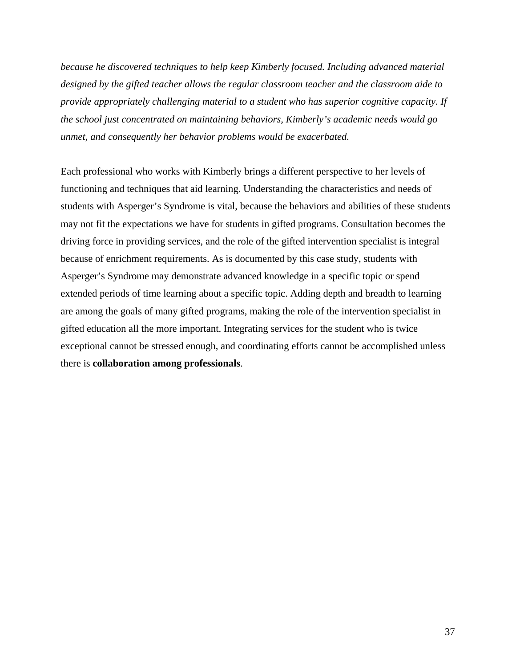*because he discovered techniques to help keep Kimberly focused. Including advanced material designed by the gifted teacher allows the regular classroom teacher and the classroom aide to provide appropriately challenging material to a student who has superior cognitive capacity. If the school just concentrated on maintaining behaviors, Kimberly's academic needs would go unmet, and consequently her behavior problems would be exacerbated.* 

Each professional who works with Kimberly brings a different perspective to her levels of functioning and techniques that aid learning. Understanding the characteristics and needs of students with Asperger's Syndrome is vital, because the behaviors and abilities of these students may not fit the expectations we have for students in gifted programs. Consultation becomes the driving force in providing services, and the role of the gifted intervention specialist is integral because of enrichment requirements. As is documented by this case study, students with Asperger's Syndrome may demonstrate advanced knowledge in a specific topic or spend extended periods of time learning about a specific topic. Adding depth and breadth to learning are among the goals of many gifted programs, making the role of the intervention specialist in gifted education all the more important. Integrating services for the student who is twice exceptional cannot be stressed enough, and coordinating efforts cannot be accomplished unless there is **collaboration among professionals**.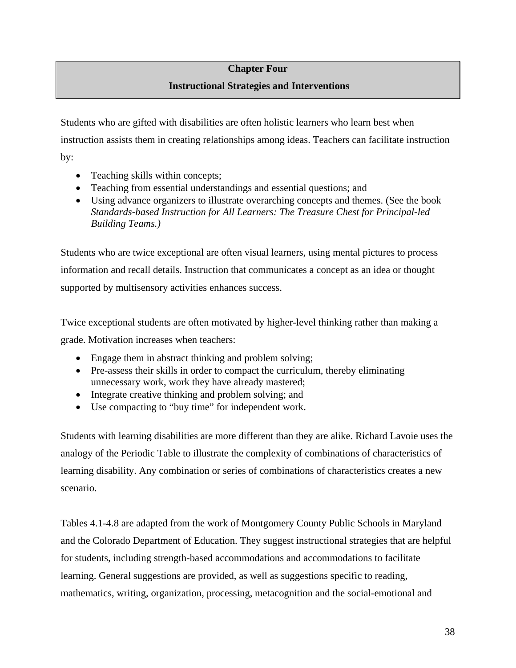## **Chapter Four Instructional Strategies and Interventions**

Students who are gifted with disabilities are often holistic learners who learn best when instruction assists them in creating relationships among ideas. Teachers can facilitate instruction by:

- Teaching skills within concepts;
- Teaching from essential understandings and essential questions; and
- Using advance organizers to illustrate overarching concepts and themes. (See the book *Standards-based Instruction for All Learners: The Treasure Chest for Principal-led Building Teams.)*

Students who are twice exceptional are often visual learners, using mental pictures to process information and recall details. Instruction that communicates a concept as an idea or thought supported by multisensory activities enhances success.

Twice exceptional students are often motivated by higher-level thinking rather than making a grade. Motivation increases when teachers:

- Engage them in abstract thinking and problem solving;
- Pre-assess their skills in order to compact the curriculum, thereby eliminating unnecessary work, work they have already mastered;
- Integrate creative thinking and problem solving; and
- Use compacting to "buy time" for independent work.

Students with learning disabilities are more different than they are alike. Richard Lavoie uses the analogy of the Periodic Table to illustrate the complexity of combinations of characteristics of learning disability. Any combination or series of combinations of characteristics creates a new scenario.

Tables 4.1-4.8 are adapted from the work of Montgomery County Public Schools in Maryland and the Colorado Department of Education. They suggest instructional strategies that are helpful for students, including strength-based accommodations and accommodations to facilitate learning. General suggestions are provided, as well as suggestions specific to reading, mathematics, writing, organization, processing, metacognition and the social-emotional and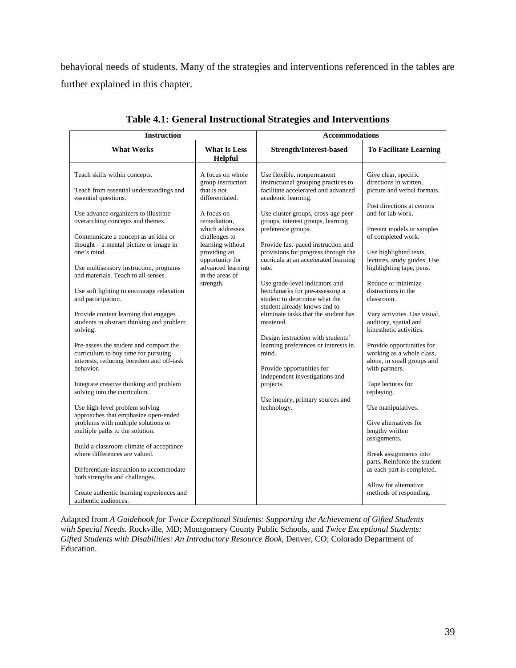behavioral needs of students. Many of the strategies and interventions referenced in the tables are further explained in this chapter.

| <b>Instruction</b>                                                                                                                                          |                                                                                      | <b>Accommodations</b>                                                                                                                             |                                                                                                         |
|-------------------------------------------------------------------------------------------------------------------------------------------------------------|--------------------------------------------------------------------------------------|---------------------------------------------------------------------------------------------------------------------------------------------------|---------------------------------------------------------------------------------------------------------|
| <b>What Works</b>                                                                                                                                           | <b>What Is Less</b><br>Helpful                                                       | <b>Strength/Interest-based</b>                                                                                                                    | <b>To Facilitate Learning</b>                                                                           |
| Teach skills within concepts.<br>Teach from essential understandings and<br>essential questions.                                                            | A focus on whole<br>group instruction<br>that is not<br>differentiated.              | Use flexible, nonpermanent<br>instructional grouping practices to<br>facilitate accelerated and advanced<br>academic learning.                    | Give clear, specific<br>directions in written.<br>picture and verbal formats.                           |
| Use advance organizers to illustrate<br>overarching concepts and themes.<br>Communicate a concept as an idea or<br>thought $-$ a mental picture or image in | A focus on<br>remediation,<br>which addresses<br>challenges to<br>learning without   | Use cluster groups, cross-age peer<br>groups, interest groups, learning<br>preference groups.<br>Provide fast-paced instruction and               | Post directions at centers<br>and for lab work.<br>Present models or samples<br>of completed work.      |
| one's mind.<br>Use multisensory instruction, programs<br>and materials. Teach to all senses.                                                                | providing an<br>opportunity for<br>advanced learning<br>in the areas of<br>strength. | provisions for progress through the<br>curricula at an accelerated learning<br>rate.<br>Use grade-level indicators and                            | Use highlighted texts,<br>lectures, study guides. Use<br>highlighting tape, pens.<br>Reduce or minimize |
| Use soft lighting to encourage relaxation<br>and participation.                                                                                             |                                                                                      | benchmarks for pre-assessing a<br>student to determine what the<br>student already knows and to                                                   | distractions in the<br>classroom.                                                                       |
| Provide content learning that engages<br>students in abstract thinking and problem<br>solving.                                                              |                                                                                      | eliminate tasks that the student has<br>mastered.                                                                                                 | Vary activities. Use visual,<br>auditory, spatial and<br>kinesthetic activities.                        |
| Pre-assess the student and compact the<br>curriculum to buy time for pursuing<br>interests, reducing boredom and off-task<br>behavior.                      |                                                                                      | Design instruction with students'<br>learning preferences or interests in<br>mind.<br>Provide opportunities for<br>independent investigations and | Provide opportunities for<br>working as a whole class,<br>alone, in small groups and<br>with partners.  |
| Integrate creative thinking and problem<br>solving into the curriculum.                                                                                     |                                                                                      | projects.                                                                                                                                         | Tape lectures for<br>replaying.                                                                         |
| Use high-level problem solving<br>approaches that emphasize open-ended<br>problems with multiple solutions or<br>multiple paths to the solution.            |                                                                                      | Use inquiry, primary sources and<br>technology.                                                                                                   | Use manipulatives.<br>Give alternatives for<br>lengthy written                                          |
| Build a classroom climate of acceptance<br>where differences are valued.                                                                                    |                                                                                      |                                                                                                                                                   | assignments.<br>Break assignments into<br>parts. Reinforce the student                                  |
| Differentiate instruction to accommodate<br>both strengths and challenges.<br>Create authentic learning experiences and<br>authentic audiences.             |                                                                                      |                                                                                                                                                   | as each part is completed.<br>Allow for alternative<br>methods of responding.                           |

**Table 4.1: General Instructional Strategies and Interventions**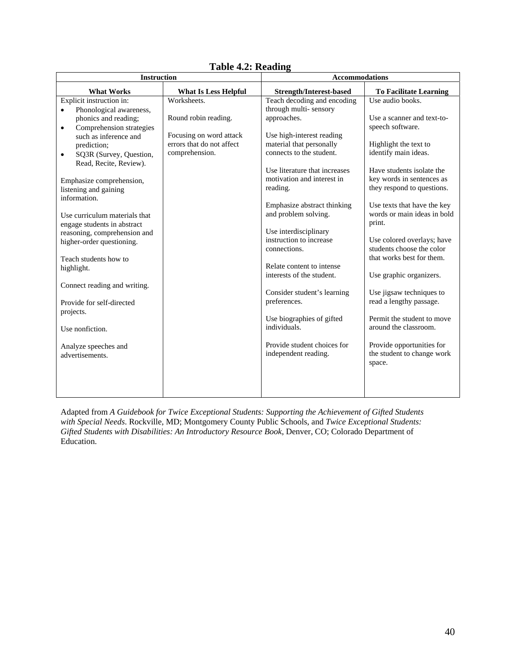| TADIV 7121 IAVAUIIL<br><b>Instruction</b><br><b>Accommodations</b> |                                                      |                                                       |                                                     |
|--------------------------------------------------------------------|------------------------------------------------------|-------------------------------------------------------|-----------------------------------------------------|
| <b>What Works</b>                                                  | <b>What Is Less Helpful</b>                          | <b>Strength/Interest-based</b>                        | <b>To Facilitate Learning</b>                       |
| Explicit instruction in:                                           | Worksheets.                                          | Teach decoding and encoding                           | Use audio books.                                    |
| Phonological awareness,<br>$\bullet$                               |                                                      | through multi-sensory                                 |                                                     |
| phonics and reading;                                               | Round robin reading.                                 | approaches.                                           | Use a scanner and text-to-                          |
| Comprehension strategies<br>$\bullet$                              |                                                      |                                                       | speech software.                                    |
| such as inference and                                              | Focusing on word attack<br>errors that do not affect | Use high-interest reading<br>material that personally | Highlight the text to                               |
| prediction;<br>SQ3R (Survey, Question,                             | comprehension.                                       | connects to the student.                              | identify main ideas.                                |
| $\bullet$<br>Read, Recite, Review).                                |                                                      |                                                       |                                                     |
|                                                                    |                                                      | Use literature that increases                         | Have students isolate the                           |
| Emphasize comprehension,                                           |                                                      | motivation and interest in                            | key words in sentences as                           |
| listening and gaining                                              |                                                      | reading.                                              | they respond to questions.                          |
| information.                                                       |                                                      |                                                       |                                                     |
|                                                                    |                                                      | Emphasize abstract thinking                           | Use texts that have the key                         |
| Use curriculum materials that                                      |                                                      | and problem solving.                                  | words or main ideas in bold<br>print.               |
| engage students in abstract                                        |                                                      | Use interdisciplinary                                 |                                                     |
| reasoning, comprehension and<br>higher-order questioning.          |                                                      | instruction to increase                               | Use colored overlays; have                          |
|                                                                    |                                                      | connections.                                          | students choose the color                           |
| Teach students how to                                              |                                                      |                                                       | that works best for them.                           |
| highlight.                                                         |                                                      | Relate content to intense                             |                                                     |
|                                                                    |                                                      | interests of the student.                             | Use graphic organizers.                             |
| Connect reading and writing.                                       |                                                      |                                                       |                                                     |
|                                                                    |                                                      | Consider student's learning<br>preferences.           | Use jigsaw techniques to<br>read a lengthy passage. |
| Provide for self-directed<br>projects.                             |                                                      |                                                       |                                                     |
|                                                                    |                                                      | Use biographies of gifted                             | Permit the student to move                          |
| Use nonfiction.                                                    |                                                      | individuals.                                          | around the classroom.                               |
|                                                                    |                                                      |                                                       |                                                     |
| Analyze speeches and                                               |                                                      | Provide student choices for                           | Provide opportunities for                           |
| advertisements.                                                    |                                                      | independent reading.                                  | the student to change work                          |
|                                                                    |                                                      |                                                       | space.                                              |
|                                                                    |                                                      |                                                       |                                                     |
|                                                                    |                                                      |                                                       |                                                     |
|                                                                    |                                                      |                                                       |                                                     |

**Table 4.2: Reading**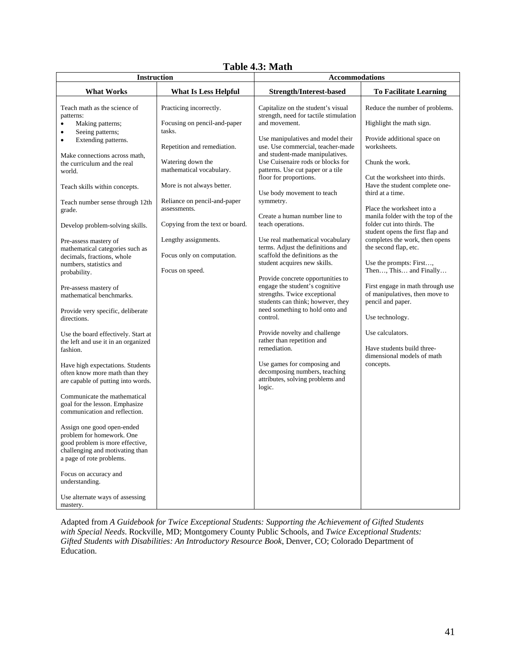|--|

| <b>Instruction</b>                                                                                                                                        |                                               | <b>Accommodations</b>                                                                                                                    |                                                                                         |  |
|-----------------------------------------------------------------------------------------------------------------------------------------------------------|-----------------------------------------------|------------------------------------------------------------------------------------------------------------------------------------------|-----------------------------------------------------------------------------------------|--|
| <b>What Works</b>                                                                                                                                         | <b>What Is Less Helpful</b>                   | <b>Strength/Interest-based</b>                                                                                                           | <b>To Facilitate Learning</b>                                                           |  |
| Teach math as the science of<br>patterns:                                                                                                                 | Practicing incorrectly.                       | Capitalize on the student's visual<br>strength, need for tactile stimulation                                                             | Reduce the number of problems.                                                          |  |
| Making patterns;<br>۰<br>Seeing patterns;<br>$\bullet$                                                                                                    | Focusing on pencil-and-paper<br>tasks.        | and movement.                                                                                                                            | Highlight the math sign.                                                                |  |
| Extending patterns.<br>$\bullet$                                                                                                                          | Repetition and remediation.                   | Use manipulatives and model their<br>use. Use commercial, teacher-made                                                                   | Provide additional space on<br>worksheets.                                              |  |
| Make connections across math,<br>the curriculum and the real<br>world.                                                                                    | Watering down the<br>mathematical vocabulary. | and student-made manipulatives.<br>Use Cuisenaire rods or blocks for<br>patterns. Use cut paper or a tile                                | Chunk the work.                                                                         |  |
| Teach skills within concepts.                                                                                                                             | More is not always better.                    | floor for proportions.<br>Use body movement to teach                                                                                     | Cut the worksheet into thirds.<br>Have the student complete one-<br>third at a time.    |  |
| Teach number sense through 12th<br>grade.                                                                                                                 | Reliance on pencil-and-paper<br>assessments.  | symmetry.<br>Create a human number line to                                                                                               | Place the worksheet into a<br>manila folder with the top of the                         |  |
| Develop problem-solving skills.                                                                                                                           | Copying from the text or board.               | teach operations.                                                                                                                        | folder cut into thirds. The<br>student opens the first flap and                         |  |
| Pre-assess mastery of<br>mathematical categories such as                                                                                                  | Lengthy assignments.                          | Use real mathematical vocabulary<br>terms. Adjust the definitions and                                                                    | completes the work, then opens<br>the second flap, etc.                                 |  |
| decimals, fractions, whole<br>numbers, statistics and<br>probability.                                                                                     | Focus only on computation.<br>Focus on speed. | scaffold the definitions as the<br>student acquires new skills.                                                                          | Use the prompts: First,<br>Then, This and Finally                                       |  |
| Pre-assess mastery of<br>mathematical benchmarks.                                                                                                         |                                               | Provide concrete opportunities to<br>engage the student's cognitive<br>strengths. Twice exceptional<br>students can think; however, they | First engage in math through use<br>of manipulatives, then move to<br>pencil and paper. |  |
| Provide very specific, deliberate<br>directions.                                                                                                          |                                               | need something to hold onto and<br>control.                                                                                              | Use technology.                                                                         |  |
| Use the board effectively. Start at<br>the left and use it in an organized                                                                                |                                               | Provide novelty and challenge<br>rather than repetition and                                                                              | Use calculators.                                                                        |  |
| fashion.                                                                                                                                                  |                                               | remediation.                                                                                                                             | Have students build three-<br>dimensional models of math                                |  |
| Have high expectations. Students<br>often know more math than they<br>are capable of putting into words.                                                  |                                               | Use games for composing and<br>decomposing numbers, teaching<br>attributes, solving problems and<br>logic.                               | concepts.                                                                               |  |
| Communicate the mathematical<br>goal for the lesson. Emphasize<br>communication and reflection.                                                           |                                               |                                                                                                                                          |                                                                                         |  |
| Assign one good open-ended<br>problem for homework. One<br>good problem is more effective,<br>challenging and motivating than<br>a page of rote problems. |                                               |                                                                                                                                          |                                                                                         |  |
| Focus on accuracy and<br>understanding.                                                                                                                   |                                               |                                                                                                                                          |                                                                                         |  |
| Use alternate ways of assessing<br>mastery.                                                                                                               |                                               |                                                                                                                                          |                                                                                         |  |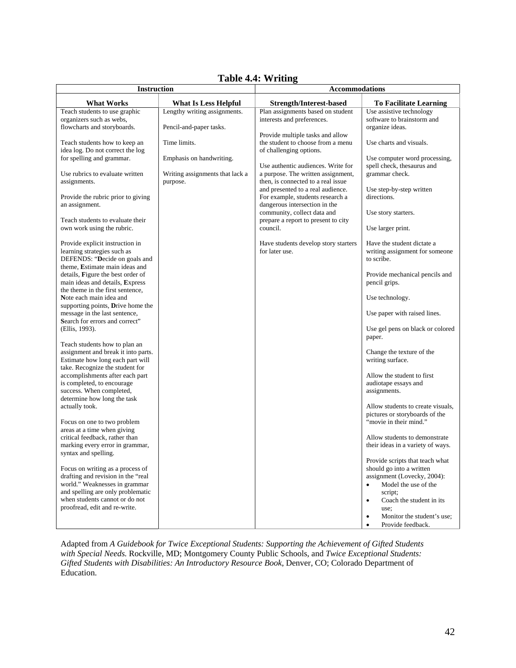| <b>Instruction</b>                                                     |                                 | тамс <del>1</del> .4. утпин <u>е</u><br><b>Accommodations</b>           |                                                              |
|------------------------------------------------------------------------|---------------------------------|-------------------------------------------------------------------------|--------------------------------------------------------------|
| <b>What Works</b>                                                      | <b>What Is Less Helpful</b>     | <b>Strength/Interest-based</b>                                          | <b>To Facilitate Learning</b>                                |
| Teach students to use graphic                                          | Lengthy writing assignments.    | Plan assignments based on student                                       | Use assistive technology                                     |
| organizers such as webs,                                               |                                 | interests and preferences.                                              | software to brainstorm and                                   |
| flowcharts and storyboards.                                            | Pencil-and-paper tasks.         |                                                                         | organize ideas.                                              |
| Teach students how to keep an                                          | Time limits.                    | Provide multiple tasks and allow<br>the student to choose from a menu   | Use charts and visuals.                                      |
| idea log. Do not correct the log                                       |                                 | of challenging options.                                                 |                                                              |
| for spelling and grammar.                                              | Emphasis on handwriting.        |                                                                         | Use computer word processing,                                |
|                                                                        |                                 | Use authentic audiences. Write for                                      | spell check, thesaurus and                                   |
| Use rubrics to evaluate written                                        | Writing assignments that lack a | a purpose. The written assignment,                                      | grammar check.                                               |
| assignments.                                                           | purpose.                        | then, is connected to a real issue<br>and presented to a real audience. | Use step-by-step written                                     |
| Provide the rubric prior to giving                                     |                                 | For example, students research a                                        | directions.                                                  |
| an assignment.                                                         |                                 | dangerous intersection in the                                           |                                                              |
|                                                                        |                                 | community, collect data and                                             | Use story starters.                                          |
| Teach students to evaluate their<br>own work using the rubric.         |                                 | prepare a report to present to city<br>council.                         | Use larger print.                                            |
|                                                                        |                                 |                                                                         |                                                              |
| Provide explicit instruction in                                        |                                 | Have students develop story starters                                    | Have the student dictate a                                   |
| learning strategies such as                                            |                                 | for later use.                                                          | writing assignment for someone                               |
| DEFENDS: "Decide on goals and                                          |                                 |                                                                         | to scribe.                                                   |
| theme, Estimate main ideas and<br>details, Figure the best order of    |                                 |                                                                         | Provide mechanical pencils and                               |
| main ideas and details, Express                                        |                                 |                                                                         | pencil grips.                                                |
| the theme in the first sentence,                                       |                                 |                                                                         |                                                              |
| Note each main idea and                                                |                                 |                                                                         | Use technology.                                              |
| supporting points, Drive home the<br>message in the last sentence,     |                                 |                                                                         | Use paper with raised lines.                                 |
| Search for errors and correct"                                         |                                 |                                                                         |                                                              |
| (Ellis, 1993).                                                         |                                 |                                                                         | Use gel pens on black or colored                             |
|                                                                        |                                 |                                                                         | paper.                                                       |
| Teach students how to plan an<br>assignment and break it into parts.   |                                 |                                                                         | Change the texture of the                                    |
| Estimate how long each part will                                       |                                 |                                                                         | writing surface.                                             |
| take. Recognize the student for                                        |                                 |                                                                         |                                                              |
| accomplishments after each part                                        |                                 |                                                                         | Allow the student to first                                   |
| is completed, to encourage                                             |                                 |                                                                         | audiotape essays and                                         |
| success. When completed,<br>determine how long the task                |                                 |                                                                         | assignments.                                                 |
| actually took.                                                         |                                 |                                                                         | Allow students to create visuals,                            |
|                                                                        |                                 |                                                                         | pictures or storyboards of the                               |
| Focus on one to two problem                                            |                                 |                                                                         | "movie in their mind."                                       |
| areas at a time when giving<br>critical feedback, rather than          |                                 |                                                                         | Allow students to demonstrate                                |
| marking every error in grammar,                                        |                                 |                                                                         | their ideas in a variety of ways.                            |
| syntax and spelling.                                                   |                                 |                                                                         |                                                              |
|                                                                        |                                 |                                                                         | Provide scripts that teach what                              |
| Focus on writing as a process of<br>drafting and revision in the "real |                                 |                                                                         | should go into a written<br>assignment (Lovecky, 2004):      |
| world." Weaknesses in grammar                                          |                                 |                                                                         | Model the use of the                                         |
| and spelling are only problematic                                      |                                 |                                                                         | script;                                                      |
| when students cannot or do not                                         |                                 |                                                                         | Coach the student in its<br>$\bullet$                        |
| proofread, edit and re-write.                                          |                                 |                                                                         | use:                                                         |
|                                                                        |                                 |                                                                         | Monitor the student's use;<br>$\bullet$<br>Provide feedback. |

## **Table 4.4: Writing**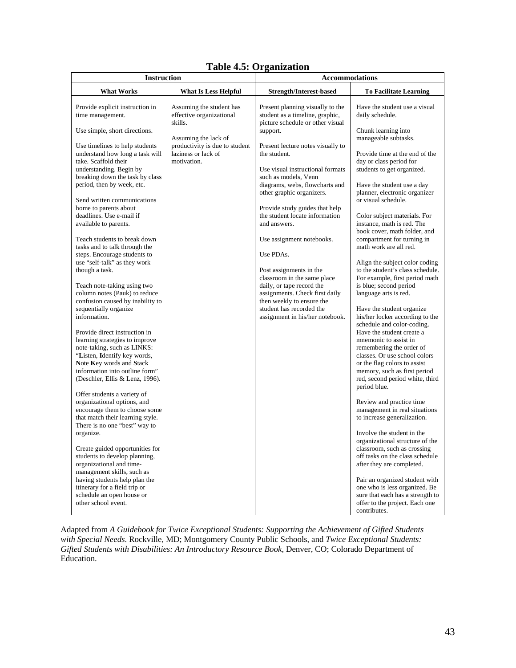|  |  |  | <b>Table 4.5: Organization</b> |
|--|--|--|--------------------------------|
|--|--|--|--------------------------------|

| <b>Instruction</b>                                                                                                                                                                                                                                                                                                                                                                                                                  |                                                                      | <b>Accommodations</b>                                                                                                                                                                                                                                                                                      |                                                                                                                                                                                                                                                                                                                                                                         |
|-------------------------------------------------------------------------------------------------------------------------------------------------------------------------------------------------------------------------------------------------------------------------------------------------------------------------------------------------------------------------------------------------------------------------------------|----------------------------------------------------------------------|------------------------------------------------------------------------------------------------------------------------------------------------------------------------------------------------------------------------------------------------------------------------------------------------------------|-------------------------------------------------------------------------------------------------------------------------------------------------------------------------------------------------------------------------------------------------------------------------------------------------------------------------------------------------------------------------|
| <b>What Works</b>                                                                                                                                                                                                                                                                                                                                                                                                                   | <b>What Is Less Helpful</b>                                          | Strength/Interest-based                                                                                                                                                                                                                                                                                    | <b>To Facilitate Learning</b>                                                                                                                                                                                                                                                                                                                                           |
| Provide explicit instruction in<br>time management.                                                                                                                                                                                                                                                                                                                                                                                 | Assuming the student has<br>effective organizational<br>skills.      | Present planning visually to the<br>student as a timeline, graphic,<br>picture schedule or other visual                                                                                                                                                                                                    | Have the student use a visual<br>daily schedule.                                                                                                                                                                                                                                                                                                                        |
| Use simple, short directions.                                                                                                                                                                                                                                                                                                                                                                                                       | Assuming the lack of                                                 | support.                                                                                                                                                                                                                                                                                                   | Chunk learning into<br>manageable subtasks.                                                                                                                                                                                                                                                                                                                             |
| Use timelines to help students<br>understand how long a task will<br>take. Scaffold their<br>understanding. Begin by<br>breaking down the task by class<br>period, then by week, etc.<br>Send written communications<br>home to parents about<br>deadlines. Use e-mail if<br>available to parents.<br>Teach students to break down<br>tasks and to talk through the<br>steps. Encourage students to<br>use "self-talk" as they work | productivity is due to student<br>laziness or lack of<br>motivation. | Present lecture notes visually to<br>the student.<br>Use visual instructional formats<br>such as models, Venn<br>diagrams, webs, flowcharts and<br>other graphic organizers.<br>Provide study guides that help<br>the student locate information<br>and answers.<br>Use assignment notebooks.<br>Use PDAs. | Provide time at the end of the<br>day or class period for<br>students to get organized.<br>Have the student use a day<br>planner, electronic organizer<br>or visual schedule.<br>Color subject materials. For<br>instance, math is red. The<br>book cover, math folder, and<br>compartment for turning in<br>math work are all red.<br>Align the subject color coding   |
| though a task.<br>Teach note-taking using two<br>column notes (Pauk) to reduce<br>confusion caused by inability to<br>sequentially organize<br>information.<br>Provide direct instruction in<br>learning strategies to improve<br>note-taking, such as LINKS:<br>"Listen, Identify key words,<br>Note Key words and Stack                                                                                                           |                                                                      | Post assignments in the<br>classroom in the same place<br>daily, or tape record the<br>assignments. Check first daily<br>then weekly to ensure the<br>student has recorded the<br>assignment in his/her notebook.                                                                                          | to the student's class schedule.<br>For example, first period math<br>is blue; second period<br>language arts is red.<br>Have the student organize.<br>his/her locker according to the<br>schedule and color-coding.<br>Have the student create a<br>mnemonic to assist in<br>remembering the order of<br>classes. Or use school colors<br>or the flag colors to assist |
| information into outline form"<br>(Deschler, Ellis & Lenz, 1996).<br>Offer students a variety of<br>organizational options, and<br>encourage them to choose some                                                                                                                                                                                                                                                                    |                                                                      |                                                                                                                                                                                                                                                                                                            | memory, such as first period<br>red, second period white, third<br>period blue.<br>Review and practice time<br>management in real situations                                                                                                                                                                                                                            |
| that match their learning style.<br>There is no one "best" way to<br>organize.                                                                                                                                                                                                                                                                                                                                                      |                                                                      |                                                                                                                                                                                                                                                                                                            | to increase generalization.<br>Involve the student in the<br>organizational structure of the                                                                                                                                                                                                                                                                            |
| Create guided opportunities for<br>students to develop planning,<br>organizational and time-<br>management skills, such as                                                                                                                                                                                                                                                                                                          |                                                                      |                                                                                                                                                                                                                                                                                                            | classroom, such as crossing<br>off tasks on the class schedule<br>after they are completed.                                                                                                                                                                                                                                                                             |
| having students help plan the<br>itinerary for a field trip or<br>schedule an open house or<br>other school event.                                                                                                                                                                                                                                                                                                                  |                                                                      |                                                                                                                                                                                                                                                                                                            | Pair an organized student with<br>one who is less organized. Be<br>sure that each has a strength to<br>offer to the project. Each one<br>contributes.                                                                                                                                                                                                                   |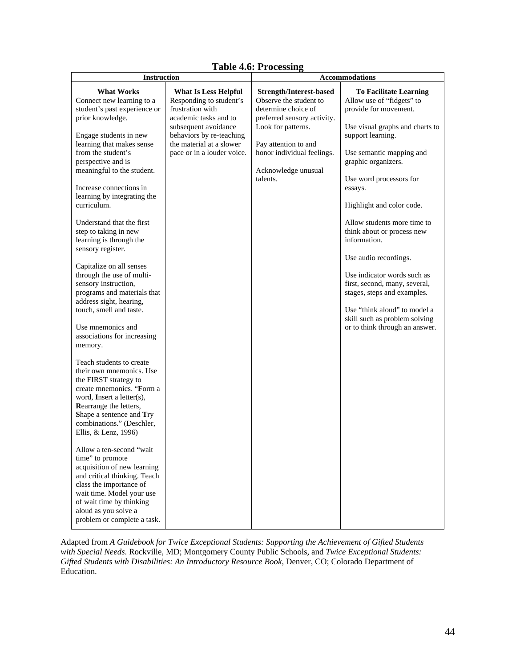## **Table 4.6: Processing**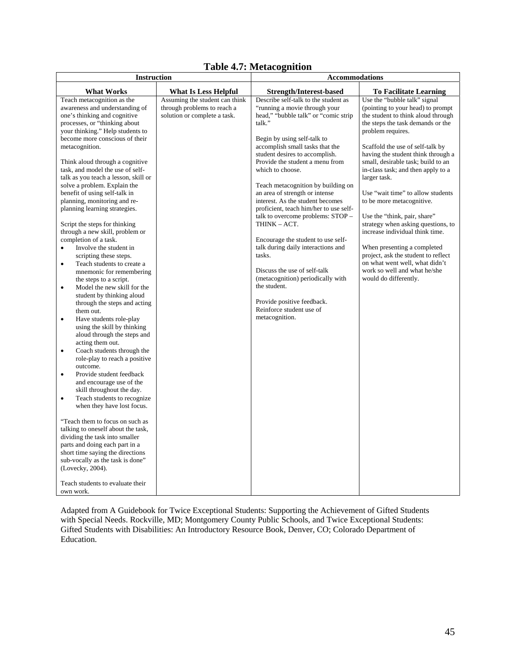## **Table 4.7: Metacognition**

| <b>Instruction</b>                                                                                                                                                                                                                                                                                                                                                                                                                                                                                                                                                                                                                                                                                                                                                                                                                                                                                                                                                                                                                                                                                                                                                                                                                                                                                                                                                                                                                                                                                                                                  |                                                                                               | <b>Accommodations</b>                                                                                                                                                                                                                                                                                                                                                                                                                                                                                                                                                                                                                                                                                                                                |                                                                                                                                                                                                                                                                                                                                                                                                                                                                                                                                                                                                                                                                                     |
|-----------------------------------------------------------------------------------------------------------------------------------------------------------------------------------------------------------------------------------------------------------------------------------------------------------------------------------------------------------------------------------------------------------------------------------------------------------------------------------------------------------------------------------------------------------------------------------------------------------------------------------------------------------------------------------------------------------------------------------------------------------------------------------------------------------------------------------------------------------------------------------------------------------------------------------------------------------------------------------------------------------------------------------------------------------------------------------------------------------------------------------------------------------------------------------------------------------------------------------------------------------------------------------------------------------------------------------------------------------------------------------------------------------------------------------------------------------------------------------------------------------------------------------------------------|-----------------------------------------------------------------------------------------------|------------------------------------------------------------------------------------------------------------------------------------------------------------------------------------------------------------------------------------------------------------------------------------------------------------------------------------------------------------------------------------------------------------------------------------------------------------------------------------------------------------------------------------------------------------------------------------------------------------------------------------------------------------------------------------------------------------------------------------------------------|-------------------------------------------------------------------------------------------------------------------------------------------------------------------------------------------------------------------------------------------------------------------------------------------------------------------------------------------------------------------------------------------------------------------------------------------------------------------------------------------------------------------------------------------------------------------------------------------------------------------------------------------------------------------------------------|
| <b>What Works</b>                                                                                                                                                                                                                                                                                                                                                                                                                                                                                                                                                                                                                                                                                                                                                                                                                                                                                                                                                                                                                                                                                                                                                                                                                                                                                                                                                                                                                                                                                                                                   | <b>What Is Less Helpful</b>                                                                   | <b>Strength/Interest-based</b>                                                                                                                                                                                                                                                                                                                                                                                                                                                                                                                                                                                                                                                                                                                       | <b>To Facilitate Learning</b>                                                                                                                                                                                                                                                                                                                                                                                                                                                                                                                                                                                                                                                       |
| Teach metacognition as the<br>awareness and understanding of<br>one's thinking and cognitive<br>processes, or "thinking about<br>your thinking." Help students to<br>become more conscious of their<br>metacognition.<br>Think aloud through a cognitive<br>task, and model the use of self-<br>talk as you teach a lesson, skill or<br>solve a problem. Explain the<br>benefit of using self-talk in<br>planning, monitoring and re-<br>planning learning strategies.<br>Script the steps for thinking<br>through a new skill, problem or<br>completion of a task.<br>Involve the student in<br>$\bullet$<br>scripting these steps.<br>Teach students to create a<br>$\bullet$<br>mnemonic for remembering<br>the steps to a script.<br>Model the new skill for the<br>$\bullet$<br>student by thinking aloud<br>through the steps and acting<br>them out.<br>Have students role-play<br>$\bullet$<br>using the skill by thinking<br>aloud through the steps and<br>acting them out.<br>Coach students through the<br>$\bullet$<br>role-play to reach a positive<br>outcome.<br>Provide student feedback<br>$\bullet$<br>and encourage use of the<br>skill throughout the day.<br>Teach students to recognize<br>$\bullet$<br>when they have lost focus.<br>"Teach them to focus on such as<br>talking to oneself about the task,<br>dividing the task into smaller<br>parts and doing each part in a<br>short time saying the directions<br>sub-vocally as the task is done"<br>(Lovecky, 2004).<br>Teach students to evaluate their<br>own work. | Assuming the student can think<br>through problems to reach a<br>solution or complete a task. | Describe self-talk to the student as<br>"running a movie through your<br>head," "bubble talk" or "comic strip<br>talk."<br>Begin by using self-talk to<br>accomplish small tasks that the<br>student desires to accomplish.<br>Provide the student a menu from<br>which to choose.<br>Teach metacognition by building on<br>an area of strength or intense<br>interest. As the student becomes<br>proficient, teach him/her to use self-<br>talk to overcome problems: STOP -<br>THINK - ACT.<br>Encourage the student to use self-<br>talk during daily interactions and<br>tasks.<br>Discuss the use of self-talk<br>(metacognition) periodically with<br>the student.<br>Provide positive feedback.<br>Reinforce student use of<br>metacognition. | Use the "bubble talk" signal<br>(pointing to your head) to prompt<br>the student to think aloud through<br>the steps the task demands or the<br>problem requires.<br>Scaffold the use of self-talk by<br>having the student think through a<br>small, desirable task; build to an<br>in-class task; and then apply to a<br>larger task.<br>Use "wait time" to allow students<br>to be more metacognitive.<br>Use the "think, pair, share"<br>strategy when asking questions, to<br>increase individual think time.<br>When presenting a completed<br>project, ask the student to reflect<br>on what went well, what didn't<br>work so well and what he/she<br>would do differently. |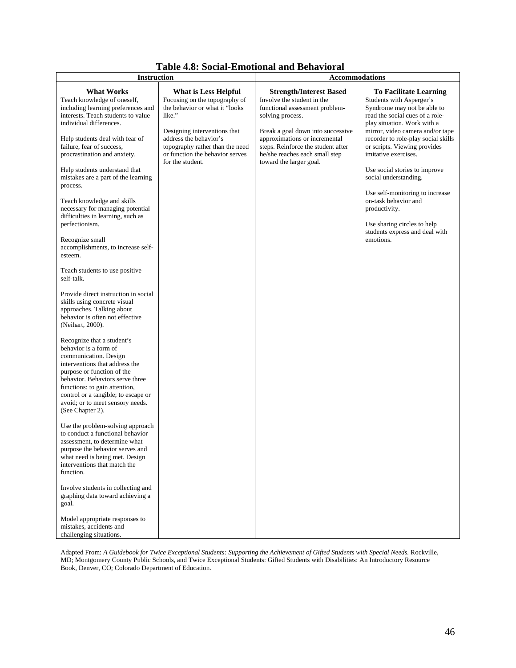| <b>Instruction</b>                                                                                                                                                                                                                                                                                              |                                                                                                                                                                                                                               | <b>Accommodations</b>                                                                                                                                                                                                                                     |                                                                                                                                                                                                                                                              |
|-----------------------------------------------------------------------------------------------------------------------------------------------------------------------------------------------------------------------------------------------------------------------------------------------------------------|-------------------------------------------------------------------------------------------------------------------------------------------------------------------------------------------------------------------------------|-----------------------------------------------------------------------------------------------------------------------------------------------------------------------------------------------------------------------------------------------------------|--------------------------------------------------------------------------------------------------------------------------------------------------------------------------------------------------------------------------------------------------------------|
| <b>What Works</b>                                                                                                                                                                                                                                                                                               | <b>What is Less Helpful</b>                                                                                                                                                                                                   | <b>Strength/Interest Based</b>                                                                                                                                                                                                                            | <b>To Facilitate Learning</b>                                                                                                                                                                                                                                |
| Teach knowledge of oneself,<br>including learning preferences and<br>interests. Teach students to value<br>individual differences.<br>Help students deal with fear of<br>failure, fear of success,<br>procrastination and anxiety.                                                                              | Focusing on the topography of<br>the behavior or what it "looks<br>like."<br>Designing interventions that<br>address the behavior's<br>topography rather than the need<br>or function the behavior serves<br>for the student. | Involve the student in the<br>functional assessment problem-<br>solving process.<br>Break a goal down into successive<br>approximations or incremental<br>steps. Reinforce the student after<br>he/she reaches each small step<br>toward the larger goal. | Students with Asperger's<br>Syndrome may not be able to<br>read the social cues of a role-<br>play situation. Work with a<br>mirror, video camera and/or tape<br>recorder to role-play social skills<br>or scripts. Viewing provides<br>imitative exercises. |
| Help students understand that<br>mistakes are a part of the learning<br>process.                                                                                                                                                                                                                                |                                                                                                                                                                                                                               |                                                                                                                                                                                                                                                           | Use social stories to improve<br>social understanding.                                                                                                                                                                                                       |
| Teach knowledge and skills<br>necessary for managing potential<br>difficulties in learning, such as<br>perfectionism.<br>Recognize small                                                                                                                                                                        |                                                                                                                                                                                                                               |                                                                                                                                                                                                                                                           | Use self-monitoring to increase<br>on-task behavior and<br>productivity.<br>Use sharing circles to help<br>students express and deal with<br>emotions.                                                                                                       |
| accomplishments, to increase self-<br>esteem.                                                                                                                                                                                                                                                                   |                                                                                                                                                                                                                               |                                                                                                                                                                                                                                                           |                                                                                                                                                                                                                                                              |
| Teach students to use positive<br>self-talk.                                                                                                                                                                                                                                                                    |                                                                                                                                                                                                                               |                                                                                                                                                                                                                                                           |                                                                                                                                                                                                                                                              |
| Provide direct instruction in social<br>skills using concrete visual<br>approaches. Talking about<br>behavior is often not effective<br>(Neihart, 2000).                                                                                                                                                        |                                                                                                                                                                                                                               |                                                                                                                                                                                                                                                           |                                                                                                                                                                                                                                                              |
| Recognize that a student's<br>behavior is a form of<br>communication. Design<br>interventions that address the<br>purpose or function of the<br>behavior. Behaviors serve three<br>functions: to gain attention,<br>control or a tangible; to escape or<br>avoid; or to meet sensory needs.<br>(See Chapter 2). |                                                                                                                                                                                                                               |                                                                                                                                                                                                                                                           |                                                                                                                                                                                                                                                              |
| Use the problem-solving approach<br>to conduct a functional behavior<br>assessment, to determine what<br>purpose the behavior serves and<br>what need is being met. Design<br>interventions that match the<br>function.                                                                                         |                                                                                                                                                                                                                               |                                                                                                                                                                                                                                                           |                                                                                                                                                                                                                                                              |
| Involve students in collecting and<br>graphing data toward achieving a<br>goal.                                                                                                                                                                                                                                 |                                                                                                                                                                                                                               |                                                                                                                                                                                                                                                           |                                                                                                                                                                                                                                                              |
| Model appropriate responses to<br>mistakes, accidents and<br>challenging situations.                                                                                                                                                                                                                            |                                                                                                                                                                                                                               |                                                                                                                                                                                                                                                           |                                                                                                                                                                                                                                                              |

## **Table 4.8: Social-Emotional and Behavioral**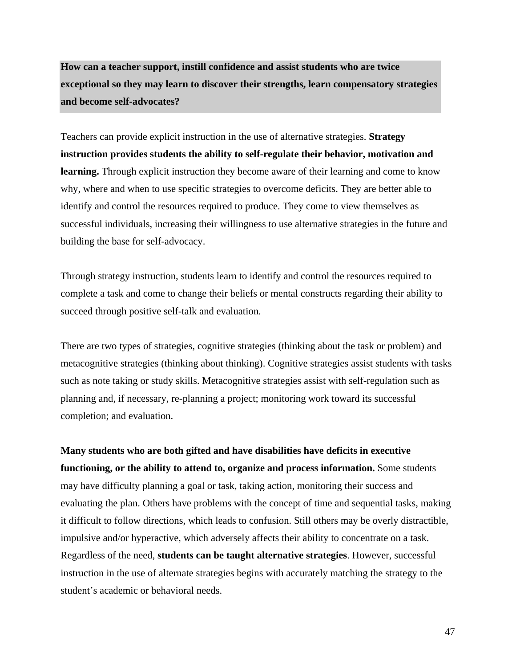**How can a teacher support, instill confidence and assist students who are twice exceptional so they may learn to discover their strengths, learn compensatory strategies and become self-advocates?**

Teachers can provide explicit instruction in the use of alternative strategies. **Strategy instruction provides students the ability to self-regulate their behavior, motivation and learning.** Through explicit instruction they become aware of their learning and come to know why, where and when to use specific strategies to overcome deficits. They are better able to identify and control the resources required to produce. They come to view themselves as successful individuals, increasing their willingness to use alternative strategies in the future and building the base for self-advocacy.

Through strategy instruction, students learn to identify and control the resources required to complete a task and come to change their beliefs or mental constructs regarding their ability to succeed through positive self-talk and evaluation.

There are two types of strategies, cognitive strategies (thinking about the task or problem) and metacognitive strategies (thinking about thinking). Cognitive strategies assist students with tasks such as note taking or study skills. Metacognitive strategies assist with self-regulation such as planning and, if necessary, re-planning a project; monitoring work toward its successful completion; and evaluation.

**Many students who are both gifted and have disabilities have deficits in executive functioning, or the ability to attend to, organize and process information.** Some students may have difficulty planning a goal or task, taking action, monitoring their success and evaluating the plan. Others have problems with the concept of time and sequential tasks, making it difficult to follow directions, which leads to confusion. Still others may be overly distractible, impulsive and/or hyperactive, which adversely affects their ability to concentrate on a task. Regardless of the need, **students can be taught alternative strategies**. However, successful instruction in the use of alternate strategies begins with accurately matching the strategy to the student's academic or behavioral needs.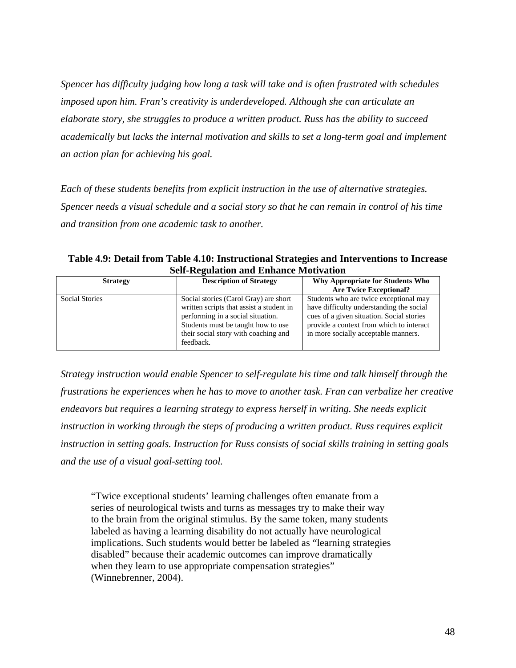*Spencer has difficulty judging how long a task will take and is often frustrated with schedules imposed upon him. Fran's creativity is underdeveloped. Although she can articulate an elaborate story, she struggles to produce a written product. Russ has the ability to succeed academically but lacks the internal motivation and skills to set a long-term goal and implement an action plan for achieving his goal.* 

*Each of these students benefits from explicit instruction in the use of alternative strategies. Spencer needs a visual schedule and a social story so that he can remain in control of his time and transition from one academic task to another.* 

**Table 4.9: Detail from Table 4.10: Instructional Strategies and Interventions to Increase Self-Regulation and Enhance Motivation** 

| <b>Strategy</b>       | <b>Description of Strategy</b>                                                                                                                                                                                    | Why Appropriate for Students Who                                                                                                                                                                                                                     |
|-----------------------|-------------------------------------------------------------------------------------------------------------------------------------------------------------------------------------------------------------------|------------------------------------------------------------------------------------------------------------------------------------------------------------------------------------------------------------------------------------------------------|
| <b>Social Stories</b> | Social stories (Carol Gray) are short<br>written scripts that assist a student in<br>performing in a social situation.<br>Students must be taught how to use<br>their social story with coaching and<br>feedback. | <b>Are Twice Exceptional?</b><br>Students who are twice exceptional may<br>have difficulty understanding the social<br>cues of a given situation. Social stories<br>provide a context from which to interact<br>in more socially acceptable manners. |

*Strategy instruction would enable Spencer to self-regulate his time and talk himself through the frustrations he experiences when he has to move to another task. Fran can verbalize her creative endeavors but requires a learning strategy to express herself in writing. She needs explicit instruction in working through the steps of producing a written product. Russ requires explicit instruction in setting goals. Instruction for Russ consists of social skills training in setting goals and the use of a visual goal-setting tool.* 

"Twice exceptional students' learning challenges often emanate from a series of neurological twists and turns as messages try to make their way to the brain from the original stimulus. By the same token, many students labeled as having a learning disability do not actually have neurological implications. Such students would better be labeled as "learning strategies disabled" because their academic outcomes can improve dramatically when they learn to use appropriate compensation strategies" (Winnebrenner, 2004).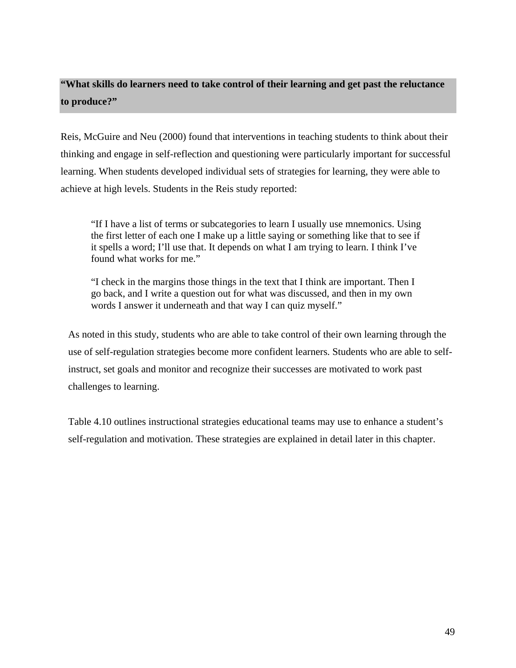## **"What skills do learners need to take control of their learning and get past the reluctance to produce?"**

Reis, McGuire and Neu (2000) found that interventions in teaching students to think about their thinking and engage in self-reflection and questioning were particularly important for successful learning. When students developed individual sets of strategies for learning, they were able to achieve at high levels. Students in the Reis study reported:

"If I have a list of terms or subcategories to learn I usually use mnemonics. Using the first letter of each one I make up a little saying or something like that to see if it spells a word; I'll use that. It depends on what I am trying to learn. I think I've found what works for me."

"I check in the margins those things in the text that I think are important. Then I go back, and I write a question out for what was discussed, and then in my own words I answer it underneath and that way I can quiz myself."

As noted in this study, students who are able to take control of their own learning through the use of self-regulation strategies become more confident learners. Students who are able to selfinstruct, set goals and monitor and recognize their successes are motivated to work past challenges to learning.

Table 4.10 outlines instructional strategies educational teams may use to enhance a student's self-regulation and motivation. These strategies are explained in detail later in this chapter.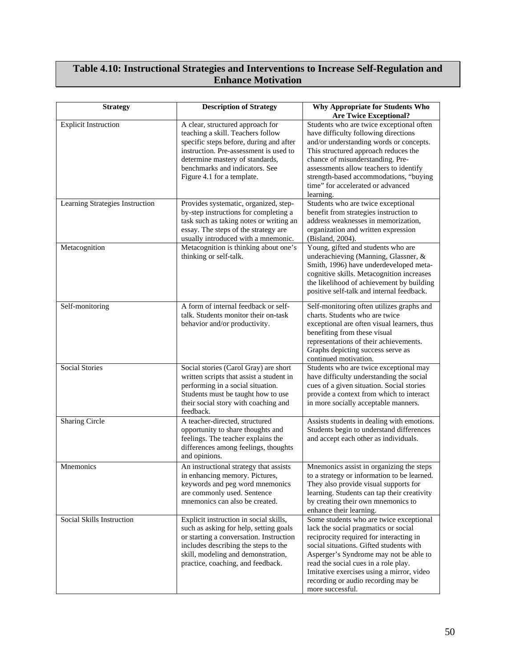#### **Table 4.10: Instructional Strategies and Interventions to Increase Self-Regulation and Enhance Motivation**

| <b>Strategy</b>                 | <b>Description of Strategy</b>                                                                                                                                                                                                                                | Why Appropriate for Students Who<br><b>Are Twice Exceptional?</b>                                                                                                                                                                                                                                                                                               |
|---------------------------------|---------------------------------------------------------------------------------------------------------------------------------------------------------------------------------------------------------------------------------------------------------------|-----------------------------------------------------------------------------------------------------------------------------------------------------------------------------------------------------------------------------------------------------------------------------------------------------------------------------------------------------------------|
| <b>Explicit Instruction</b>     | A clear, structured approach for<br>teaching a skill. Teachers follow<br>specific steps before, during and after<br>instruction. Pre-assessment is used to<br>determine mastery of standards,<br>benchmarks and indicators. See<br>Figure 4.1 for a template. | Students who are twice exceptional often<br>have difficulty following directions<br>and/or understanding words or concepts.<br>This structured approach reduces the<br>chance of misunderstanding. Pre-<br>assessments allow teachers to identify<br>strength-based accommodations, "buying<br>time" for accelerated or advanced<br>learning.                   |
| Learning Strategies Instruction | Provides systematic, organized, step-<br>by-step instructions for completing a<br>task such as taking notes or writing an<br>essay. The steps of the strategy are<br>usually introduced with a mnemonic.                                                      | Students who are twice exceptional<br>benefit from strategies instruction to<br>address weaknesses in memorization,<br>organization and written expression<br>(Bisland, 2004).                                                                                                                                                                                  |
| Metacognition                   | Metacognition is thinking about one's<br>thinking or self-talk.                                                                                                                                                                                               | Young, gifted and students who are<br>underachieving (Manning, Glassner, &<br>Smith, 1996) have underdeveloped meta-<br>cognitive skills. Metacognition increases<br>the likelihood of achievement by building<br>positive self-talk and internal feedback.                                                                                                     |
| Self-monitoring                 | A form of internal feedback or self-<br>talk. Students monitor their on-task<br>behavior and/or productivity.                                                                                                                                                 | Self-monitoring often utilizes graphs and<br>charts. Students who are twice<br>exceptional are often visual learners, thus<br>benefiting from these visual<br>representations of their achievements.<br>Graphs depicting success serve as<br>continued motivation.                                                                                              |
| <b>Social Stories</b>           | Social stories (Carol Gray) are short<br>written scripts that assist a student in<br>performing in a social situation.<br>Students must be taught how to use<br>their social story with coaching and<br>feedback.                                             | Students who are twice exceptional may<br>have difficulty understanding the social<br>cues of a given situation. Social stories<br>provide a context from which to interact<br>in more socially acceptable manners.                                                                                                                                             |
| <b>Sharing Circle</b>           | A teacher-directed, structured<br>opportunity to share thoughts and<br>feelings. The teacher explains the<br>differences among feelings, thoughts<br>and opinions.                                                                                            | Assists students in dealing with emotions.<br>Students begin to understand differences<br>and accept each other as individuals.                                                                                                                                                                                                                                 |
| Mnemonics                       | An instructional strategy that assists<br>in enhancing memory. Pictures,<br>keywords and peg word mnemonics<br>are commonly used. Sentence<br>mnemonics can also be created.                                                                                  | Mnemonics assist in organizing the steps<br>to a strategy or information to be learned.<br>They also provide visual supports for<br>learning. Students can tap their creativity<br>by creating their own mnemonics to<br>enhance their learning.                                                                                                                |
| Social Skills Instruction       | Explicit instruction in social skills,<br>such as asking for help, setting goals<br>or starting a conversation. Instruction<br>includes describing the steps to the<br>skill, modeling and demonstration,<br>practice, coaching, and feedback.                | Some students who are twice exceptional<br>lack the social pragmatics or social<br>reciprocity required for interacting in<br>social situations. Gifted students with<br>Asperger's Syndrome may not be able to<br>read the social cues in a role play.<br>Imitative exercises using a mirror, video<br>recording or audio recording may be<br>more successful. |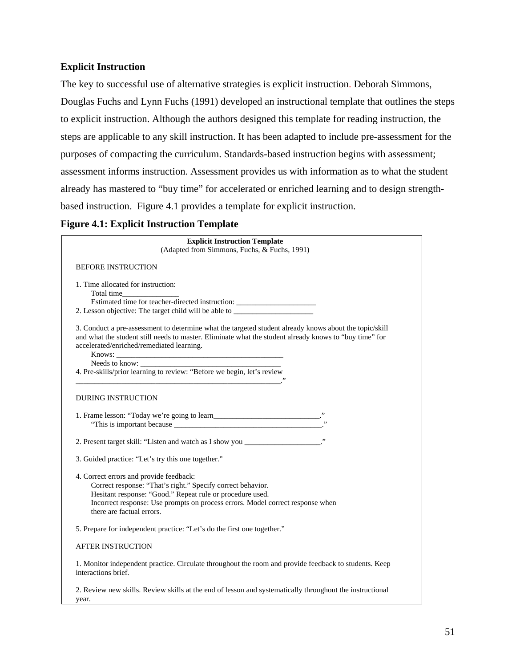#### **Explicit Instruction**

The key to successful use of alternative strategies is explicit instruction. Deborah Simmons, Douglas Fuchs and Lynn Fuchs (1991) developed an instructional template that outlines the steps to explicit instruction. Although the authors designed this template for reading instruction, the steps are applicable to any skill instruction. It has been adapted to include pre-assessment for the purposes of compacting the curriculum. Standards-based instruction begins with assessment; assessment informs instruction. Assessment provides us with information as to what the student already has mastered to "buy time" for accelerated or enriched learning and to design strengthbased instruction. Figure 4.1 provides a template for explicit instruction.

#### **Figure 4.1: Explicit Instruction Template**

| <b>Explicit Instruction Template</b><br>(Adapted from Simmons, Fuchs, & Fuchs, 1991)                                                                                                                                                                                               |
|------------------------------------------------------------------------------------------------------------------------------------------------------------------------------------------------------------------------------------------------------------------------------------|
| <b>BEFORE INSTRUCTION</b>                                                                                                                                                                                                                                                          |
| 1. Time allocated for instruction:<br>Estimated time for teacher-directed instruction: _______________________________<br>2. Lesson objective: The target child will be able to __________________________                                                                         |
| 3. Conduct a pre-assessment to determine what the targeted student already knows about the topic/skill<br>and what the student still needs to master. Eliminate what the student already knows to "buy time" for<br>accelerated/enriched/remediated learning.                      |
| 4. Pre-skills/prior learning to review: "Before we begin, let's review                                                                                                                                                                                                             |
| <b>DURING INSTRUCTION</b>                                                                                                                                                                                                                                                          |
|                                                                                                                                                                                                                                                                                    |
| 2. Present target skill: "Listen and watch as I show you _________________"                                                                                                                                                                                                        |
| 3. Guided practice: "Let's try this one together."                                                                                                                                                                                                                                 |
| 4. Correct errors and provide feedback:<br>Correct response: "That's right." Specify correct behavior.<br>Hesitant response: "Good." Repeat rule or procedure used.<br>Incorrect response: Use prompts on process errors. Model correct response when<br>there are factual errors. |
| 5. Prepare for independent practice: "Let's do the first one together."                                                                                                                                                                                                            |
| <b>AFTER INSTRUCTION</b>                                                                                                                                                                                                                                                           |
| 1. Monitor independent practice. Circulate throughout the room and provide feedback to students. Keep<br>interactions brief.                                                                                                                                                       |
| 2. Review new skills. Review skills at the end of lesson and systematically throughout the instructional<br>year.                                                                                                                                                                  |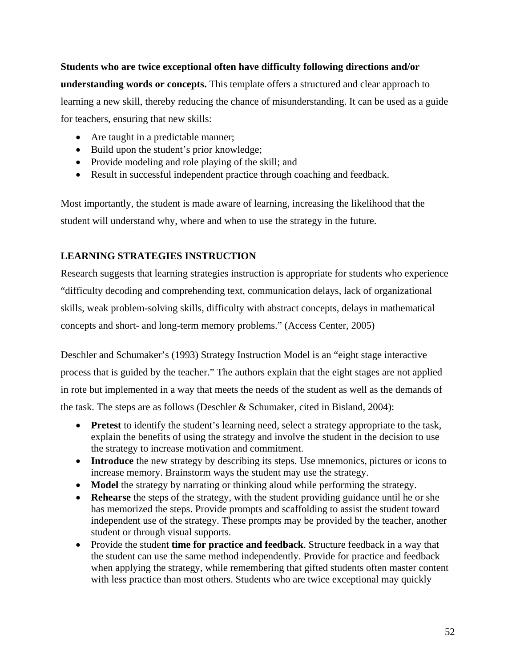**Students who are twice exceptional often have difficulty following directions and/or understanding words or concepts.** This template offers a structured and clear approach to learning a new skill, thereby reducing the chance of misunderstanding. It can be used as a guide for teachers, ensuring that new skills:

- Are taught in a predictable manner;
- Build upon the student's prior knowledge;
- Provide modeling and role playing of the skill; and
- Result in successful independent practice through coaching and feedback.

Most importantly, the student is made aware of learning, increasing the likelihood that the student will understand why, where and when to use the strategy in the future.

### **LEARNING STRATEGIES INSTRUCTION**

Research suggests that learning strategies instruction is appropriate for students who experience "difficulty decoding and comprehending text, communication delays, lack of organizational skills, weak problem-solving skills, difficulty with abstract concepts, delays in mathematical concepts and short- and long-term memory problems." (Access Center, 2005)

Deschler and Schumaker's (1993) Strategy Instruction Model is an "eight stage interactive process that is guided by the teacher." The authors explain that the eight stages are not applied in rote but implemented in a way that meets the needs of the student as well as the demands of the task. The steps are as follows (Deschler & Schumaker, cited in Bisland, 2004):

- **Pretest** to identify the student's learning need, select a strategy appropriate to the task, explain the benefits of using the strategy and involve the student in the decision to use the strategy to increase motivation and commitment.
- **Introduce** the new strategy by describing its steps. Use mnemonics, pictures or icons to increase memory. Brainstorm ways the student may use the strategy.
- **Model** the strategy by narrating or thinking aloud while performing the strategy.
- **Rehearse** the steps of the strategy, with the student providing guidance until he or she has memorized the steps. Provide prompts and scaffolding to assist the student toward independent use of the strategy. These prompts may be provided by the teacher, another student or through visual supports.
- Provide the student **time for practice and feedback**. Structure feedback in a way that the student can use the same method independently. Provide for practice and feedback when applying the strategy, while remembering that gifted students often master content with less practice than most others. Students who are twice exceptional may quickly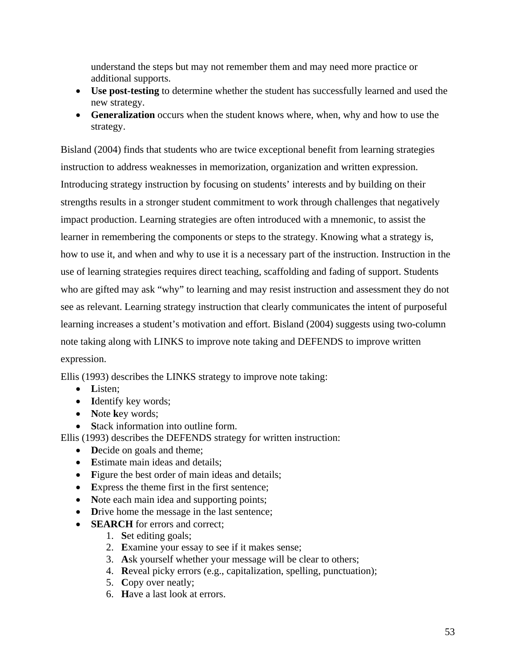understand the steps but may not remember them and may need more practice or additional supports.

- **Use post-testing** to determine whether the student has successfully learned and used the new strategy.
- **Generalization** occurs when the student knows where, when, why and how to use the strategy.

Bisland (2004) finds that students who are twice exceptional benefit from learning strategies instruction to address weaknesses in memorization, organization and written expression. Introducing strategy instruction by focusing on students' interests and by building on their strengths results in a stronger student commitment to work through challenges that negatively impact production. Learning strategies are often introduced with a mnemonic, to assist the learner in remembering the components or steps to the strategy. Knowing what a strategy is, how to use it, and when and why to use it is a necessary part of the instruction. Instruction in the use of learning strategies requires direct teaching, scaffolding and fading of support. Students who are gifted may ask "why" to learning and may resist instruction and assessment they do not see as relevant. Learning strategy instruction that clearly communicates the intent of purposeful learning increases a student's motivation and effort. Bisland (2004) suggests using two-column note taking along with LINKS to improve note taking and DEFENDS to improve written expression.

Ellis (1993) describes the LINKS strategy to improve note taking:

- **L**isten;
- **I**dentify key words;
- **N**ote **k**ey words;
- **Stack information into outline form.**

Ellis (1993) describes the DEFENDS strategy for written instruction:

- **D**ecide on goals and theme;
- **E**stimate main ideas and details:
- Figure the best order of main ideas and details;
- **E**xpress the theme first in the first sentence;
- Note each main idea and supporting points;
- Drive home the message in the last sentence;
- **SEARCH** for errors and correct;
	- 1. **S**et editing goals;
	- 2. **E**xamine your essay to see if it makes sense;
	- 3. **A**sk yourself whether your message will be clear to others;
	- 4. **R**eveal picky errors (e.g., capitalization, spelling, punctuation);
	- 5. **C**opy over neatly;
	- 6. **H**ave a last look at errors.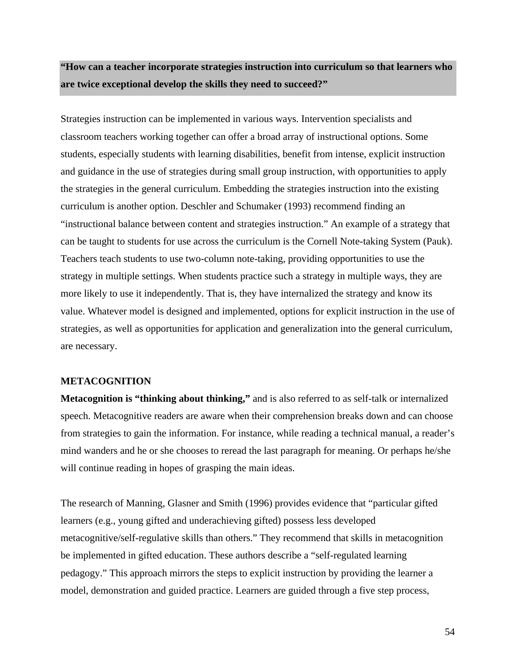## **"How can a teacher incorporate strategies instruction into curriculum so that learners who are twice exceptional develop the skills they need to succeed?"**

Strategies instruction can be implemented in various ways. Intervention specialists and classroom teachers working together can offer a broad array of instructional options. Some students, especially students with learning disabilities, benefit from intense, explicit instruction and guidance in the use of strategies during small group instruction, with opportunities to apply the strategies in the general curriculum. Embedding the strategies instruction into the existing curriculum is another option. Deschler and Schumaker (1993) recommend finding an "instructional balance between content and strategies instruction." An example of a strategy that can be taught to students for use across the curriculum is the Cornell Note-taking System (Pauk). Teachers teach students to use two-column note-taking, providing opportunities to use the strategy in multiple settings. When students practice such a strategy in multiple ways, they are more likely to use it independently. That is, they have internalized the strategy and know its value. Whatever model is designed and implemented, options for explicit instruction in the use of strategies, as well as opportunities for application and generalization into the general curriculum, are necessary.

#### **METACOGNITION**

**Metacognition is "thinking about thinking,"** and is also referred to as self-talk or internalized speech. Metacognitive readers are aware when their comprehension breaks down and can choose from strategies to gain the information. For instance, while reading a technical manual, a reader's mind wanders and he or she chooses to reread the last paragraph for meaning. Or perhaps he/she will continue reading in hopes of grasping the main ideas.

The research of Manning, Glasner and Smith (1996) provides evidence that "particular gifted learners (e.g., young gifted and underachieving gifted) possess less developed metacognitive/self-regulative skills than others." They recommend that skills in metacognition be implemented in gifted education. These authors describe a "self-regulated learning pedagogy." This approach mirrors the steps to explicit instruction by providing the learner a model, demonstration and guided practice. Learners are guided through a five step process,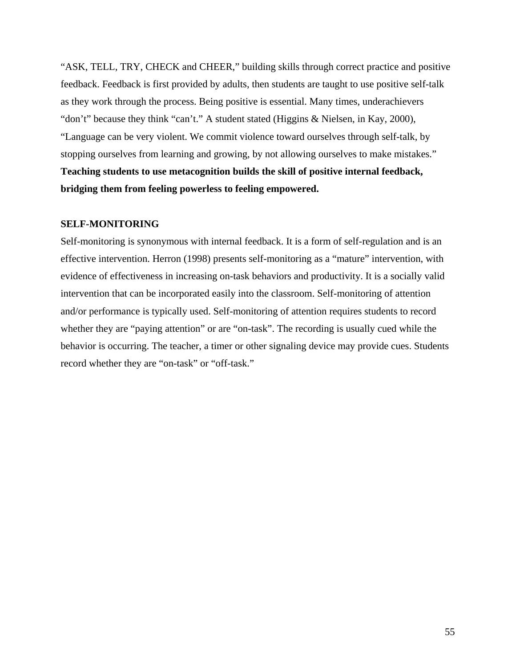"ASK, TELL, TRY, CHECK and CHEER," building skills through correct practice and positive feedback. Feedback is first provided by adults, then students are taught to use positive self-talk as they work through the process. Being positive is essential. Many times, underachievers "don't" because they think "can't." A student stated (Higgins & Nielsen, in Kay, 2000), "Language can be very violent. We commit violence toward ourselves through self-talk, by stopping ourselves from learning and growing, by not allowing ourselves to make mistakes." **Teaching students to use metacognition builds the skill of positive internal feedback, bridging them from feeling powerless to feeling empowered.** 

#### **SELF-MONITORING**

Self-monitoring is synonymous with internal feedback. It is a form of self-regulation and is an effective intervention. Herron (1998) presents self-monitoring as a "mature" intervention, with evidence of effectiveness in increasing on-task behaviors and productivity. It is a socially valid intervention that can be incorporated easily into the classroom. Self-monitoring of attention and/or performance is typically used. Self-monitoring of attention requires students to record whether they are "paying attention" or are "on-task". The recording is usually cued while the behavior is occurring. The teacher, a timer or other signaling device may provide cues. Students record whether they are "on-task" or "off-task."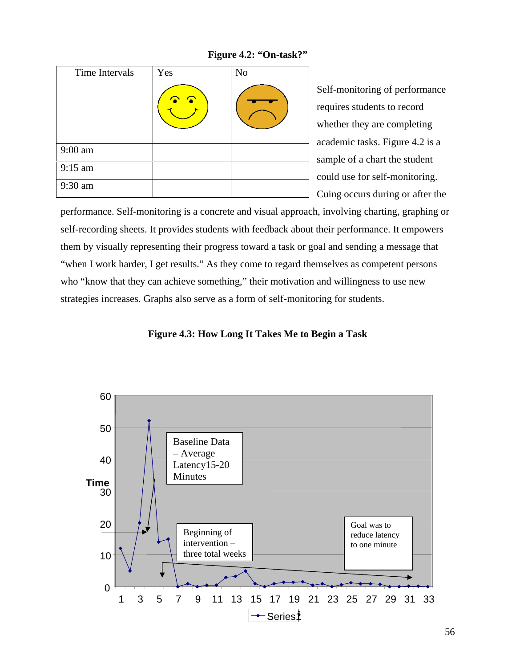**Figure 4.2: "On-task?"** 

| Time Intervals | Yes     | N <sub>o</sub> |
|----------------|---------|----------------|
|                | ⌒<br>r. |                |
| 9:00 am        |         |                |
| 9:15 am        |         |                |
| 9:30 am        |         |                |

Self-monitoring of performance requires students to record whether they are completing academic tasks. Figure 4.2 is a sample of a chart the student could use for self-monitoring. Cuing occurs during or after the

performance. Self-monitoring is a concrete and visual approach, involving charting, graphing or self-recording sheets. It provides students with feedback about their performance. It empowers them by visually representing their progress toward a task or goal and sending a message that "when I work harder, I get results." As they come to regard themselves as competent persons who "know that they can achieve something," their motivation and willingness to use new strategies increases. Graphs also serve as a form of self-monitoring for students.

**Figure 4.3: How Long It Takes Me to Begin a Task** 

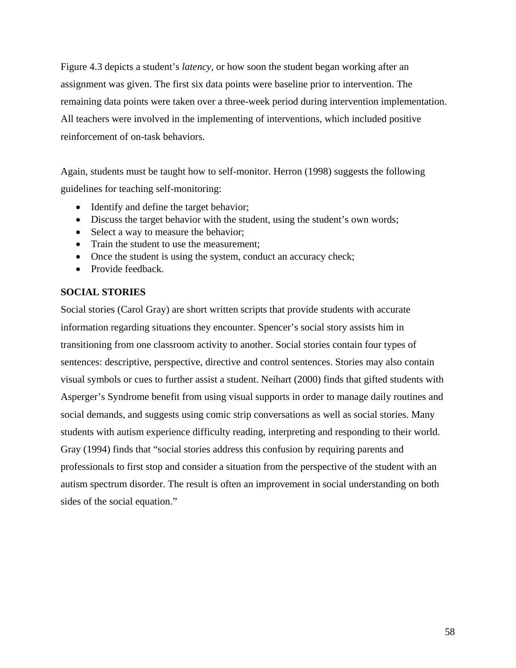Figure 4.3 depicts a student's *latency*, or how soon the student began working after an assignment was given. The first six data points were baseline prior to intervention. The remaining data points were taken over a three-week period during intervention implementation. All teachers were involved in the implementing of interventions, which included positive reinforcement of on-task behaviors.

Again, students must be taught how to self-monitor. Herron (1998) suggests the following guidelines for teaching self-monitoring:

- Identify and define the target behavior;
- Discuss the target behavior with the student, using the student's own words;
- Select a way to measure the behavior;
- Train the student to use the measurement;
- Once the student is using the system, conduct an accuracy check;
- Provide feedback.

#### **SOCIAL STORIES**

Social stories (Carol Gray) are short written scripts that provide students with accurate information regarding situations they encounter. Spencer's social story assists him in transitioning from one classroom activity to another. Social stories contain four types of sentences: descriptive, perspective, directive and control sentences. Stories may also contain visual symbols or cues to further assist a student. Neihart (2000) finds that gifted students with Asperger's Syndrome benefit from using visual supports in order to manage daily routines and social demands, and suggests using comic strip conversations as well as social stories. Many students with autism experience difficulty reading, interpreting and responding to their world. Gray (1994) finds that "social stories address this confusion by requiring parents and professionals to first stop and consider a situation from the perspective of the student with an autism spectrum disorder. The result is often an improvement in social understanding on both sides of the social equation."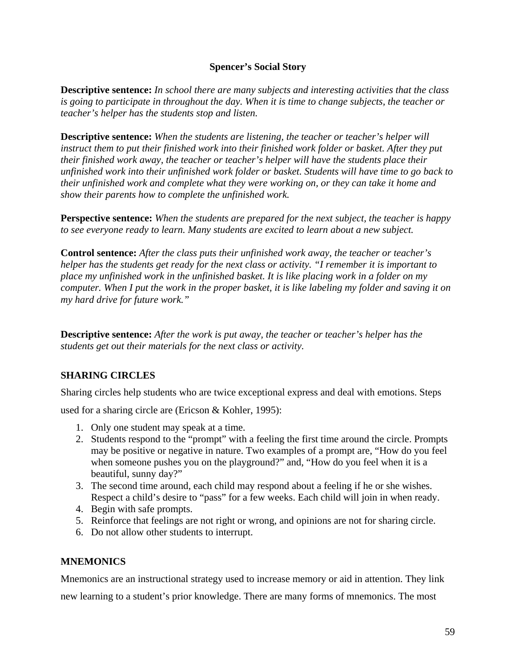#### **Spencer's Social Story**

**Descriptive sentence:** *In school there are many subjects and interesting activities that the class is going to participate in throughout the day. When it is time to change subjects, the teacher or teacher's helper has the students stop and listen.* 

**Descriptive sentence:** *When the students are listening, the teacher or teacher's helper will instruct them to put their finished work into their finished work folder or basket. After they put their finished work away, the teacher or teacher's helper will have the students place their unfinished work into their unfinished work folder or basket. Students will have time to go back to their unfinished work and complete what they were working on, or they can take it home and show their parents how to complete the unfinished work.* 

**Perspective sentence:** *When the students are prepared for the next subject, the teacher is happy to see everyone ready to learn. Many students are excited to learn about a new subject.* 

**Control sentence:** *After the class puts their unfinished work away, the teacher or teacher's helper has the students get ready for the next class or activity. "I remember it is important to place my unfinished work in the unfinished basket. It is like placing work in a folder on my computer. When I put the work in the proper basket, it is like labeling my folder and saving it on my hard drive for future work."* 

**Descriptive sentence:** *After the work is put away, the teacher or teacher's helper has the students get out their materials for the next class or activity.*

### **SHARING CIRCLES**

Sharing circles help students who are twice exceptional express and deal with emotions. Steps

used for a sharing circle are (Ericson & Kohler, 1995):

- 1. Only one student may speak at a time.
- 2. Students respond to the "prompt" with a feeling the first time around the circle. Prompts may be positive or negative in nature. Two examples of a prompt are, "How do you feel when someone pushes you on the playground?" and, "How do you feel when it is a beautiful, sunny day?"
- 3. The second time around, each child may respond about a feeling if he or she wishes. Respect a child's desire to "pass" for a few weeks. Each child will join in when ready.
- 4. Begin with safe prompts.
- 5. Reinforce that feelings are not right or wrong, and opinions are not for sharing circle.
- 6. Do not allow other students to interrupt.

#### **MNEMONICS**

Mnemonics are an instructional strategy used to increase memory or aid in attention. They link

new learning to a student's prior knowledge. There are many forms of mnemonics. The most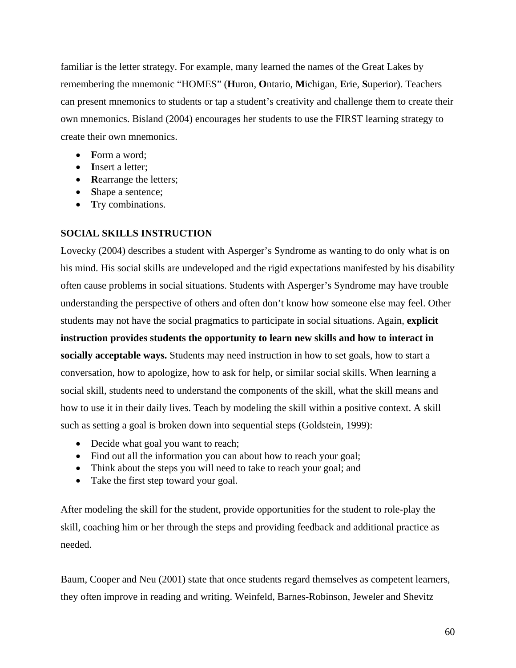familiar is the letter strategy. For example, many learned the names of the Great Lakes by remembering the mnemonic "HOMES" (**H**uron, **O**ntario, **M**ichigan, **E**rie, **S**uperior). Teachers can present mnemonics to students or tap a student's creativity and challenge them to create their own mnemonics. Bisland (2004) encourages her students to use the FIRST learning strategy to create their own mnemonics.

- **F**orm a word;
- **I**nsert a letter;
- **Rearrange the letters;**
- **S**hape a sentence;
- **T**ry combinations.

#### **SOCIAL SKILLS INSTRUCTION**

Lovecky (2004) describes a student with Asperger's Syndrome as wanting to do only what is on his mind. His social skills are undeveloped and the rigid expectations manifested by his disability often cause problems in social situations. Students with Asperger's Syndrome may have trouble understanding the perspective of others and often don't know how someone else may feel. Other students may not have the social pragmatics to participate in social situations. Again, **explicit instruction provides students the opportunity to learn new skills and how to interact in socially acceptable ways.** Students may need instruction in how to set goals, how to start a conversation, how to apologize, how to ask for help, or similar social skills. When learning a social skill, students need to understand the components of the skill, what the skill means and how to use it in their daily lives. Teach by modeling the skill within a positive context. A skill such as setting a goal is broken down into sequential steps (Goldstein, 1999):

- Decide what goal you want to reach;
- Find out all the information you can about how to reach your goal;
- Think about the steps you will need to take to reach your goal; and
- Take the first step toward your goal.

After modeling the skill for the student, provide opportunities for the student to role-play the skill, coaching him or her through the steps and providing feedback and additional practice as needed.

Baum, Cooper and Neu (2001) state that once students regard themselves as competent learners, they often improve in reading and writing. Weinfeld, Barnes-Robinson, Jeweler and Shevitz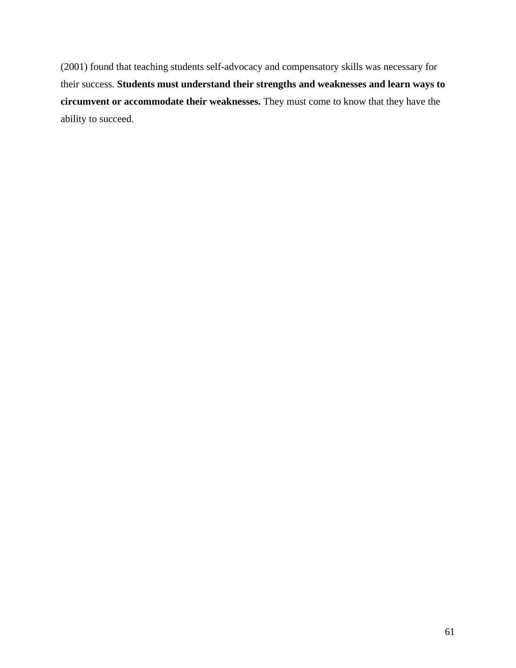(2001) found that teaching students self-advocacy and compensatory skills was necessary for their success. **Students must understand their strengths and weaknesses and learn ways to circumvent or accommodate their weaknesses.** They must come to know that they have the ability to succeed.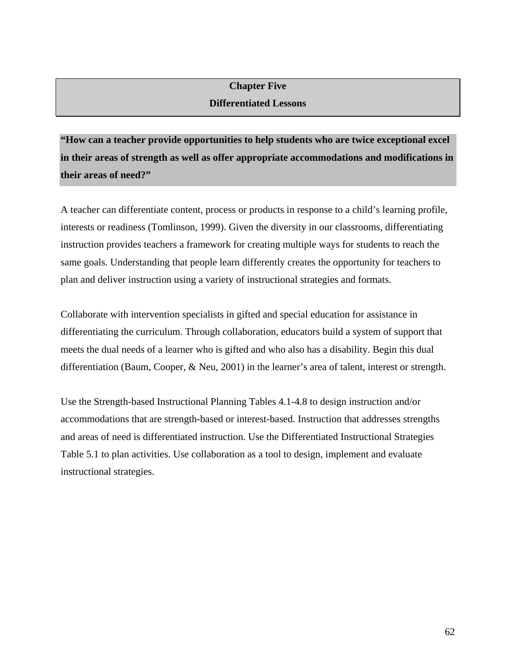# **Chapter Five**

## **Differentiated Lessons**

**"How can a teacher provide opportunities to help students who are twice exceptional excel in their areas of strength as well as offer appropriate accommodations and modifications in their areas of need?"** 

A teacher can differentiate content, process or products in response to a child's learning profile, interests or readiness (Tomlinson, 1999). Given the diversity in our classrooms, differentiating instruction provides teachers a framework for creating multiple ways for students to reach the same goals. Understanding that people learn differently creates the opportunity for teachers to plan and deliver instruction using a variety of instructional strategies and formats.

Collaborate with intervention specialists in gifted and special education for assistance in differentiating the curriculum. Through collaboration, educators build a system of support that meets the dual needs of a learner who is gifted and who also has a disability. Begin this dual differentiation (Baum, Cooper, & Neu, 2001) in the learner's area of talent, interest or strength.

Use the Strength-based Instructional Planning Tables 4.1-4.8 to design instruction and/or accommodations that are strength-based or interest-based. Instruction that addresses strengths and areas of need is differentiated instruction. Use the Differentiated Instructional Strategies Table 5.1 to plan activities. Use collaboration as a tool to design, implement and evaluate instructional strategies.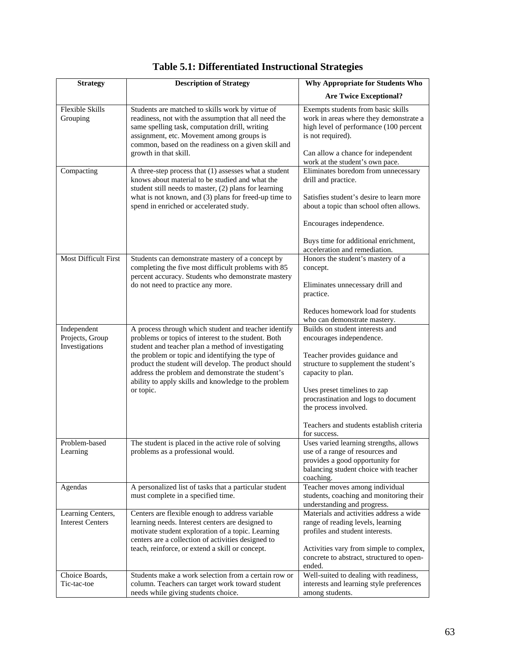| <b>Strategy</b>             | <b>Description of Strategy</b>                                                                                                                                                                                                                                 | <b>Why Appropriate for Students Who</b>                                                                                                     |
|-----------------------------|----------------------------------------------------------------------------------------------------------------------------------------------------------------------------------------------------------------------------------------------------------------|---------------------------------------------------------------------------------------------------------------------------------------------|
|                             |                                                                                                                                                                                                                                                                | <b>Are Twice Exceptional?</b>                                                                                                               |
| Flexible Skills<br>Grouping | Students are matched to skills work by virtue of<br>readiness, not with the assumption that all need the<br>same spelling task, computation drill, writing<br>assignment, etc. Movement among groups is<br>common, based on the readiness on a given skill and | Exempts students from basic skills<br>work in areas where they demonstrate a<br>high level of performance (100 percent<br>is not required). |
|                             | growth in that skill.                                                                                                                                                                                                                                          | Can allow a chance for independent<br>work at the student's own pace.                                                                       |
| Compacting                  | A three-step process that (1) assesses what a student<br>knows about material to be studied and what the<br>student still needs to master, $(2)$ plans for learning                                                                                            | Eliminates boredom from unnecessary<br>drill and practice.                                                                                  |
|                             | what is not known, and $(3)$ plans for freed-up time to<br>spend in enriched or accelerated study.                                                                                                                                                             | Satisfies student's desire to learn more<br>about a topic than school often allows.                                                         |
|                             |                                                                                                                                                                                                                                                                | Encourages independence.                                                                                                                    |
|                             |                                                                                                                                                                                                                                                                | Buys time for additional enrichment,<br>acceleration and remediation.                                                                       |
| <b>Most Difficult First</b> | Students can demonstrate mastery of a concept by                                                                                                                                                                                                               | Honors the student's mastery of a                                                                                                           |
|                             | completing the five most difficult problems with 85<br>percent accuracy. Students who demonstrate mastery                                                                                                                                                      | concept.                                                                                                                                    |
|                             | do not need to practice any more.                                                                                                                                                                                                                              | Eliminates unnecessary drill and<br>practice.                                                                                               |
|                             |                                                                                                                                                                                                                                                                | Reduces homework load for students<br>who can demonstrate mastery.                                                                          |
| Independent                 | A process through which student and teacher identify                                                                                                                                                                                                           | Builds on student interests and                                                                                                             |
| Projects, Group             | problems or topics of interest to the student. Both                                                                                                                                                                                                            | encourages independence.                                                                                                                    |
| Investigations              | student and teacher plan a method of investigating<br>the problem or topic and identifying the type of                                                                                                                                                         | Teacher provides guidance and                                                                                                               |
|                             | product the student will develop. The product should                                                                                                                                                                                                           | structure to supplement the student's                                                                                                       |
|                             | address the problem and demonstrate the student's<br>ability to apply skills and knowledge to the problem                                                                                                                                                      | capacity to plan.                                                                                                                           |
|                             | or topic.                                                                                                                                                                                                                                                      | Uses preset timelines to zap                                                                                                                |
|                             |                                                                                                                                                                                                                                                                | procrastination and logs to document                                                                                                        |
|                             |                                                                                                                                                                                                                                                                | the process involved.                                                                                                                       |
|                             |                                                                                                                                                                                                                                                                | Teachers and students establish criteria<br>for success.                                                                                    |
| Problem-based               | The student is placed in the active role of solving                                                                                                                                                                                                            | Uses varied learning strengths, allows<br>use of a range of resources and                                                                   |
| Learning                    | problems as a professional would.                                                                                                                                                                                                                              | provides a good opportunity for                                                                                                             |
|                             |                                                                                                                                                                                                                                                                | balancing student choice with teacher                                                                                                       |
|                             |                                                                                                                                                                                                                                                                | coaching.                                                                                                                                   |
| Agendas                     | A personalized list of tasks that a particular student                                                                                                                                                                                                         | Teacher moves among individual                                                                                                              |
|                             | must complete in a specified time.                                                                                                                                                                                                                             | students, coaching and monitoring their<br>understanding and progress.                                                                      |
| Learning Centers,           | Centers are flexible enough to address variable                                                                                                                                                                                                                | Materials and activities address a wide                                                                                                     |
| <b>Interest Centers</b>     | learning needs. Interest centers are designed to                                                                                                                                                                                                               | range of reading levels, learning                                                                                                           |
|                             | motivate student exploration of a topic. Learning                                                                                                                                                                                                              | profiles and student interests.                                                                                                             |
|                             | centers are a collection of activities designed to                                                                                                                                                                                                             |                                                                                                                                             |
|                             | teach, reinforce, or extend a skill or concept.                                                                                                                                                                                                                | Activities vary from simple to complex,<br>concrete to abstract, structured to open-                                                        |
|                             |                                                                                                                                                                                                                                                                | ended.                                                                                                                                      |
| Choice Boards,              | Students make a work selection from a certain row or                                                                                                                                                                                                           | Well-suited to dealing with readiness,                                                                                                      |
| Tic-tac-toe                 | column. Teachers can target work toward student<br>needs while giving students choice.                                                                                                                                                                         | interests and learning style preferences<br>among students.                                                                                 |
|                             |                                                                                                                                                                                                                                                                |                                                                                                                                             |

## **Table 5.1: Differentiated Instructional Strategies**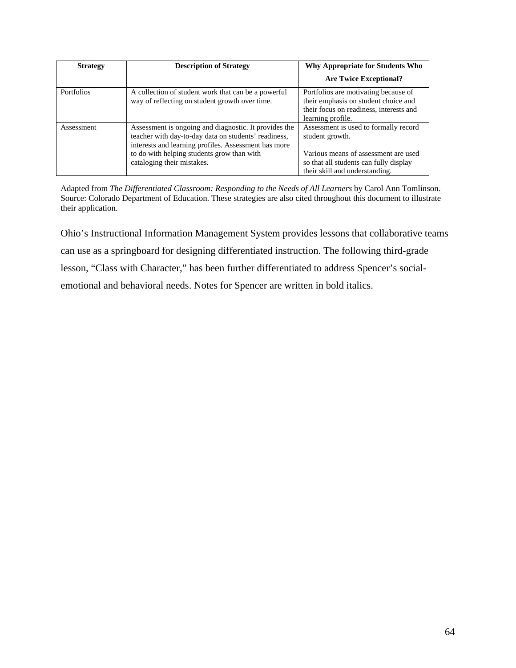| <b>Strategy</b>   | <b>Description of Strategy</b>                                                                                                                                                                                                                    | Why Appropriate for Students Who                                                                                                                                             |
|-------------------|---------------------------------------------------------------------------------------------------------------------------------------------------------------------------------------------------------------------------------------------------|------------------------------------------------------------------------------------------------------------------------------------------------------------------------------|
|                   |                                                                                                                                                                                                                                                   | <b>Are Twice Exceptional?</b>                                                                                                                                                |
| <b>Portfolios</b> | A collection of student work that can be a powerful<br>way of reflecting on student growth over time.                                                                                                                                             | Portfolios are motivating because of<br>their emphasis on student choice and<br>their focus on readiness, interests and<br>learning profile.                                 |
| Assessment        | Assessment is ongoing and diagnostic. It provides the<br>teacher with day-to-day data on students' readiness,<br>interests and learning profiles. Assessment has more<br>to do with helping students grow than with<br>cataloging their mistakes. | Assessment is used to formally record<br>student growth.<br>Various means of assessment are used<br>so that all students can fully display<br>their skill and understanding. |

Adapted from *The Differentiated Classroom: Responding to the Needs of All Learners* by Carol Ann Tomlinson. Source: Colorado Department of Education. These strategies are also cited throughout this document to illustrate their application.

Ohio's Instructional Information Management System provides lessons that collaborative teams can use as a springboard for designing differentiated instruction. The following third-grade lesson, "Class with Character," has been further differentiated to address Spencer's socialemotional and behavioral needs. Notes for Spencer are written in bold italics.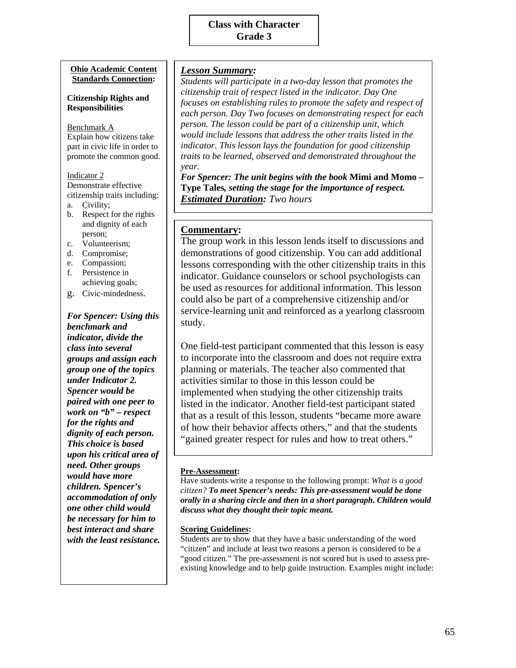#### **Ohio Academic Content Standards Connection:**

#### **Citizenship Rights and Responsibilities**

Benchmark A Explain how citizens take part in civic life in order to promote the common good.

#### Indicator 2

Demonstrate effective citizenship traits including:

- a. Civility;
- b. Respect for the rights and dignity of each person;
- c. Volunteerism;
- d. Compromise;
- e. Compassion;
- f. Persistence in achieving goals;
- g. Civic-mindedness.

*For Spencer: Using this benchmark and indicator, divide the class into several groups and assign each group one of the topics under Indicator 2. Spencer would be paired with one peer to work on "b" – respect for the rights and dignity of each person. This choice is based upon his critical area of need. Other groups would have more children. Spencer's accommodation of only one other child would be necessary for him to best interact and share with the least resistance.* 

#### *Lesson Summary:*

*Students will participate in a two-day lesson that promotes the citizenship trait of respect listed in the indicator. Day One focuses on establishing rules to promote the safety and respect of each person. Day Two focuses on demonstrating respect for each person. The lesson could be part of a citizenship unit, which would include lessons that address the other traits listed in the indicator. This lesson lays the foundation for good citizenship traits to be learned, observed and demonstrated throughout the year.* 

*For Spencer: The unit begins with the book* **Mimi and Momo – Type Tales***, setting the stage for the importance of respect. Estimated Duration: Two hours* 

#### **Commentary:**

The group work in this lesson lends itself to discussions and demonstrations of good citizenship. You can add additional lessons corresponding with the other citizenship traits in this indicator. Guidance counselors or school psychologists can be used as resources for additional information. This lesson could also be part of a comprehensive citizenship and/or service-learning unit and reinforced as a yearlong classroom study.

One field-test participant commented that this lesson is easy to incorporate into the classroom and does not require extra planning or materials. The teacher also commented that activities similar to those in this lesson could be implemented when studying the other citizenship traits listed in the indicator. Another field-test participant stated that as a result of this lesson, students "became more aware of how their behavior affects others," and that the students "gained greater respect for rules and how to treat others."

#### **Pre-Assessment:**

Have students write a response to the following prompt: *What is a good citizen? To meet Spencer's needs: This pre-assessment would be done orally in a sharing circle and then in a short paragraph. Children would discuss what they thought their topic meant.* 

#### **Scoring Guidelines:**

Students are to show that they have a basic understanding of the word "citizen" and include at least two reasons a person is considered to be a "good citizen." The pre-assessment is not scored but is used to assess preexisting knowledge and to help guide instruction. Examples might include: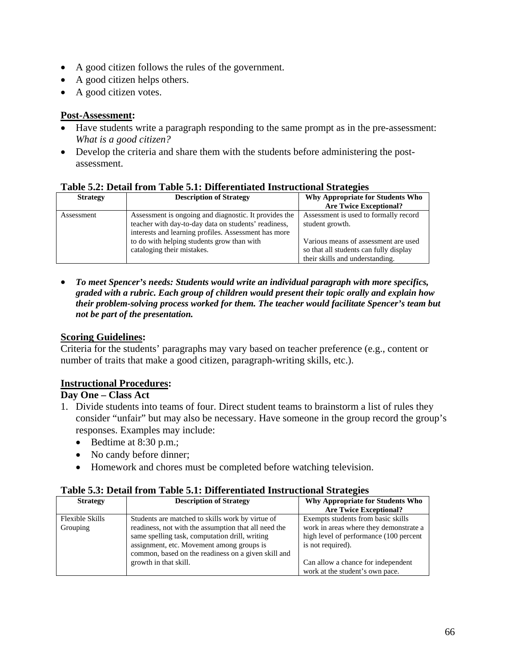- A good citizen follows the rules of the government.
- A good citizen helps others.
- A good citizen votes.

### **Post-Assessment:**

- Have students write a paragraph responding to the same prompt as in the pre-assessment: *What is a good citizen?*
- Develop the criteria and share them with the students before administering the postassessment.

| Tuble clar Detail II only Tuble clar Dhiel enthuled thou actional bu algebr |                                                                                                                                                                                                                                                   |                                                                                                                                            |  |
|-----------------------------------------------------------------------------|---------------------------------------------------------------------------------------------------------------------------------------------------------------------------------------------------------------------------------------------------|--------------------------------------------------------------------------------------------------------------------------------------------|--|
| <b>Strategy</b>                                                             | <b>Description of Strategy</b>                                                                                                                                                                                                                    | Why Appropriate for Students Who<br><b>Are Twice Exceptional?</b>                                                                          |  |
| Assessment                                                                  | Assessment is ongoing and diagnostic. It provides the<br>teacher with day-to-day data on students' readiness,<br>interests and learning profiles. Assessment has more<br>to do with helping students grow than with<br>cataloging their mistakes. | Assessment is used to formally record<br>student growth.<br>Various means of assessment are used<br>so that all students can fully display |  |
|                                                                             |                                                                                                                                                                                                                                                   | their skills and understanding.                                                                                                            |  |

#### **Table 5.2: Detail from Table 5.1: Differentiated Instructional Strategies**

• *To meet Spencer's needs: Students would write an individual paragraph with more specifics, graded with a rubric. Each group of children would present their topic orally and explain how their problem-solving process worked for them. The teacher would facilitate Spencer's team but not be part of the presentation.*

### **Scoring Guidelines:**

Criteria for the students' paragraphs may vary based on teacher preference (e.g., content or number of traits that make a good citizen, paragraph-writing skills, etc.).

### **Instructional Procedures:**

### **Day One – Class Act**

- 1. Divide students into teams of four. Direct student teams to brainstorm a list of rules they consider "unfair" but may also be necessary. Have someone in the group record the group's responses. Examples may include:
	- Bedtime at 8:30 p.m.;
	- No candy before dinner;
	- Homework and chores must be completed before watching television.

#### **Table 5.3: Detail from Table 5.1: Differentiated Instructional Strategies**

| <b>Strategy</b>        | <b>Description of Strategy</b>                       | Why Appropriate for Students Who       |  |
|------------------------|------------------------------------------------------|----------------------------------------|--|
|                        |                                                      | <b>Are Twice Exceptional?</b>          |  |
| <b>Flexible Skills</b> | Students are matched to skills work by virtue of     | Exempts students from basic skills     |  |
| Grouping               | readiness, not with the assumption that all need the | work in areas where they demonstrate a |  |
|                        | same spelling task, computation drill, writing       | high level of performance (100 percent |  |
|                        | assignment, etc. Movement among groups is            | is not required).                      |  |
|                        | common, based on the readiness on a given skill and  |                                        |  |
|                        | growth in that skill.                                | Can allow a chance for independent     |  |
|                        |                                                      | work at the student's own pace.        |  |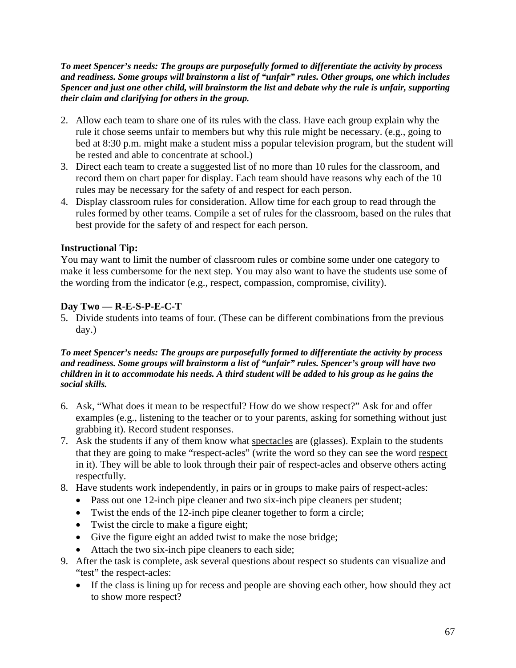*To meet Spencer's needs: The groups are purposefully formed to differentiate the activity by process and readiness. Some groups will brainstorm a list of "unfair" rules. Other groups, one which includes Spencer and just one other child, will brainstorm the list and debate why the rule is unfair, supporting their claim and clarifying for others in the group.* 

- 2. Allow each team to share one of its rules with the class. Have each group explain why the rule it chose seems unfair to members but why this rule might be necessary. (e.g., going to bed at 8:30 p.m. might make a student miss a popular television program, but the student will be rested and able to concentrate at school.)
- 3. Direct each team to create a suggested list of no more than 10 rules for the classroom, and record them on chart paper for display. Each team should have reasons why each of the 10 rules may be necessary for the safety of and respect for each person.
- 4. Display classroom rules for consideration. Allow time for each group to read through the rules formed by other teams. Compile a set of rules for the classroom, based on the rules that best provide for the safety of and respect for each person.

### **Instructional Tip:**

You may want to limit the number of classroom rules or combine some under one category to make it less cumbersome for the next step. You may also want to have the students use some of the wording from the indicator (e.g., respect, compassion, compromise, civility).

### **Day Two — R-E-S-P-E-C-T**

5. Divide students into teams of four. (These can be different combinations from the previous day.)

#### *To meet Spencer's needs: The groups are purposefully formed to differentiate the activity by process and readiness. Some groups will brainstorm a list of "unfair" rules. Spencer's group will have two children in it to accommodate his needs. A third student will be added to his group as he gains the social skills.*

- 6. Ask, "What does it mean to be respectful? How do we show respect?" Ask for and offer examples (e.g., listening to the teacher or to your parents, asking for something without just grabbing it). Record student responses.
- 7. Ask the students if any of them know what spectacles are (glasses). Explain to the students that they are going to make "respect-acles" (write the word so they can see the word respect in it). They will be able to look through their pair of respect-acles and observe others acting respectfully.
- 8. Have students work independently, in pairs or in groups to make pairs of respect-acles:
	- Pass out one 12-inch pipe cleaner and two six-inch pipe cleaners per student;
	- Twist the ends of the 12-inch pipe cleaner together to form a circle;
	- Twist the circle to make a figure eight;
	- Give the figure eight an added twist to make the nose bridge;
	- Attach the two six-inch pipe cleaners to each side;
- 9. After the task is complete, ask several questions about respect so students can visualize and "test" the respect-acles:
	- If the class is lining up for recess and people are shoving each other, how should they act to show more respect?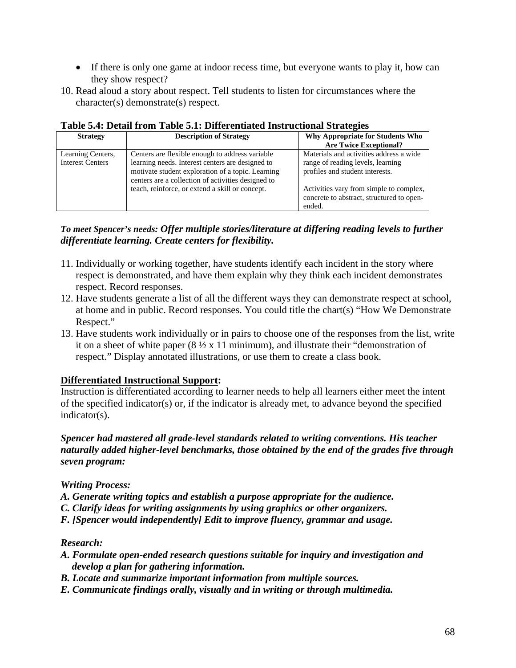- If there is only one game at indoor recess time, but everyone wants to play it, how can they show respect?
- 10. Read aloud a story about respect. Tell students to listen for circumstances where the character(s) demonstrate(s) respect.

| <b>Strategy</b>                              | <b>Description of Strategy</b>                                                                                                                                                                                 | Why Appropriate for Students Who<br><b>Are Twice Exceptional?</b>                                               |
|----------------------------------------------|----------------------------------------------------------------------------------------------------------------------------------------------------------------------------------------------------------------|-----------------------------------------------------------------------------------------------------------------|
| Learning Centers,<br><b>Interest Centers</b> | Centers are flexible enough to address variable<br>learning needs. Interest centers are designed to<br>motivate student exploration of a topic. Learning<br>centers are a collection of activities designed to | Materials and activities address a wide<br>range of reading levels, learning<br>profiles and student interests. |
|                                              | teach, reinforce, or extend a skill or concept.                                                                                                                                                                | Activities vary from simple to complex,<br>concrete to abstract, structured to open-<br>ended.                  |

#### **Table 5.4: Detail from Table 5.1: Differentiated Instructional Strategies**

#### *To meet Spencer's needs: Offer multiple stories/literature at differing reading levels to further differentiate learning. Create centers for flexibility.*

- 11. Individually or working together, have students identify each incident in the story where respect is demonstrated, and have them explain why they think each incident demonstrates respect. Record responses.
- 12. Have students generate a list of all the different ways they can demonstrate respect at school, at home and in public. Record responses. You could title the chart(s) "How We Demonstrate Respect."
- 13. Have students work individually or in pairs to choose one of the responses from the list, write it on a sheet of white paper  $(8 \frac{1}{2} \times 11 \text{ minimum})$ , and illustrate their "demonstration of respect." Display annotated illustrations, or use them to create a class book.

### **Differentiated Instructional Support:**

Instruction is differentiated according to learner needs to help all learners either meet the intent of the specified indicator(s) or, if the indicator is already met, to advance beyond the specified indicator(s).

#### *Spencer had mastered all grade-level standards related to writing conventions. His teacher naturally added higher-level benchmarks, those obtained by the end of the grades five through seven program:*

### *Writing Process:*

- *A. Generate writing topics and establish a purpose appropriate for the audience.*
- *C. Clarify ideas for writing assignments by using graphics or other organizers.*
- *F. [Spencer would independently] Edit to improve fluency, grammar and usage.*

#### *Research:*

- *A. Formulate open-ended research questions suitable for inquiry and investigation and develop a plan for gathering information.*
- *B. Locate and summarize important information from multiple sources.*
- *E. Communicate findings orally, visually and in writing or through multimedia.*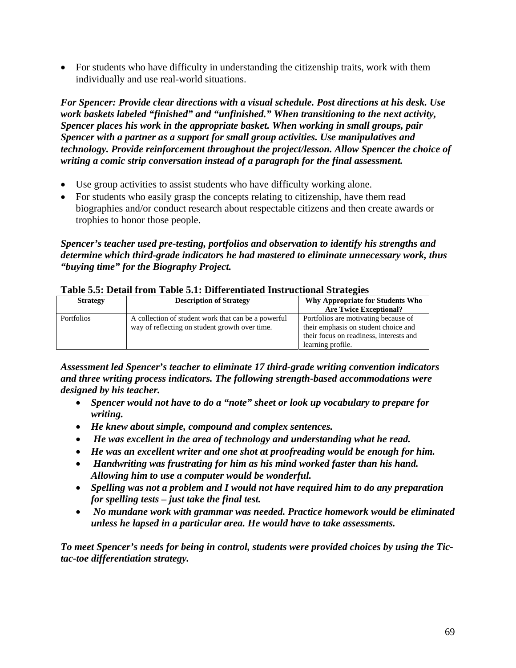• For students who have difficulty in understanding the citizenship traits, work with them individually and use real-world situations.

*For Spencer: Provide clear directions with a visual schedule. Post directions at his desk. Use work baskets labeled "finished" and "unfinished." When transitioning to the next activity, Spencer places his work in the appropriate basket. When working in small groups, pair Spencer with a partner as a support for small group activities. Use manipulatives and technology. Provide reinforcement throughout the project/lesson. Allow Spencer the choice of writing a comic strip conversation instead of a paragraph for the final assessment.* 

- Use group activities to assist students who have difficulty working alone.
- For students who easily grasp the concepts relating to citizenship, have them read biographies and/or conduct research about respectable citizens and then create awards or trophies to honor those people.

*Spencer's teacher used pre-testing, portfolios and observation to identify his strengths and determine which third-grade indicators he had mastered to eliminate unnecessary work, thus "buying time" for the Biography Project.* 

| A WAXA U IU I JO UVWAA AA QAAL 'A WAXAU U IAT AO ALLUL ULLULUU AHAD UL WUULU MADU MUULUU MID MID MUULUU MID M |                                                     |                                         |
|---------------------------------------------------------------------------------------------------------------|-----------------------------------------------------|-----------------------------------------|
| <b>Strategy</b>                                                                                               | <b>Description of Strategy</b>                      | Why Appropriate for Students Who        |
|                                                                                                               |                                                     | <b>Are Twice Exceptional?</b>           |
| <b>Portfolios</b>                                                                                             | A collection of student work that can be a powerful | Portfolios are motivating because of    |
|                                                                                                               | way of reflecting on student growth over time.      | their emphasis on student choice and    |
|                                                                                                               |                                                     | their focus on readiness, interests and |
|                                                                                                               |                                                     | learning profile.                       |

#### **Table 5.5: Detail from Table 5.1: Differentiated Instructional Strategies**

*Assessment led Spencer's teacher to eliminate 17 third-grade writing convention indicators and three writing process indicators. The following strength-based accommodations were designed by his teacher.* 

- *Spencer would not have to do a "note" sheet or look up vocabulary to prepare for writing.*
- *He knew about simple, compound and complex sentences.*
- • *He was excellent in the area of technology and understanding what he read.*
- *He was an excellent writer and one shot at proofreading would be enough for him.*
- • *Handwriting was frustrating for him as his mind worked faster than his hand. Allowing him to use a computer would be wonderful.*
- *Spelling was not a problem and I would not have required him to do any preparation for spelling tests – just take the final test.*
- • *No mundane work with grammar was needed. Practice homework would be eliminated unless he lapsed in a particular area. He would have to take assessments.*

*To meet Spencer's needs for being in control, students were provided choices by using the Tictac-toe differentiation strategy.*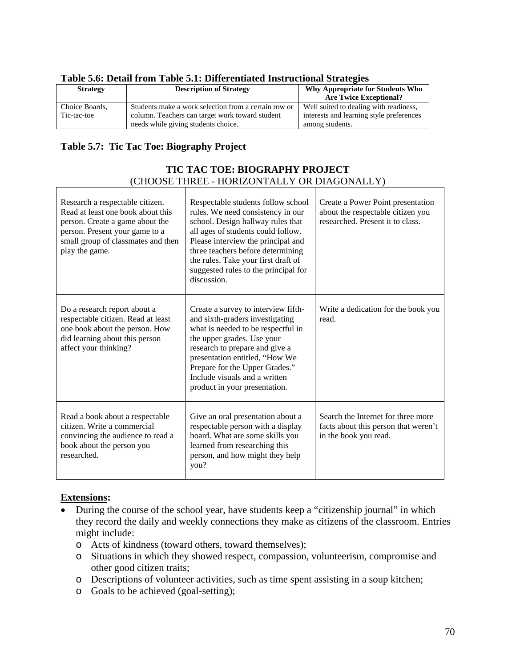| Table J.o. Detail II olli Table J.I. Dhiel ehuated Histi uchonal Strategies |                                                      |                                          |
|-----------------------------------------------------------------------------|------------------------------------------------------|------------------------------------------|
| <b>Strategy</b>                                                             | <b>Description of Strategy</b>                       | Why Appropriate for Students Who         |
|                                                                             |                                                      | <b>Are Twice Exceptional?</b>            |
| Choice Boards,                                                              | Students make a work selection from a certain row or | Well suited to dealing with readiness,   |
| Tic-tac-toe                                                                 | column. Teachers can target work toward student      | interests and learning style preferences |
|                                                                             | needs while giving students choice.                  | among students.                          |

#### **Table 5.6: Detail from Table 5.1: Differentiated Instructional Strategies**

### **Table 5.7: Tic Tac Toe: Biography Project**

# **TIC TAC TOE: BIOGRAPHY PROJECT**  (CHOOSE THREE - HORIZONTALLY OR DIAGONALLY)

| Research a respectable citizen.<br>Read at least one book about this<br>person. Create a game about the<br>person. Present your game to a<br>small group of classmates and then<br>play the game. | Respectable students follow school<br>rules. We need consistency in our<br>school. Design hallway rules that<br>all ages of students could follow.<br>Please interview the principal and<br>three teachers before determining<br>the rules. Take your first draft of<br>suggested rules to the principal for<br>discussion. | Create a Power Point presentation<br>about the respectable citizen you<br>researched. Present it to class. |
|---------------------------------------------------------------------------------------------------------------------------------------------------------------------------------------------------|-----------------------------------------------------------------------------------------------------------------------------------------------------------------------------------------------------------------------------------------------------------------------------------------------------------------------------|------------------------------------------------------------------------------------------------------------|
| Do a research report about a<br>respectable citizen. Read at least<br>one book about the person. How<br>did learning about this person<br>affect your thinking?                                   | Create a survey to interview fifth-<br>and sixth-graders investigating<br>what is needed to be respectful in<br>the upper grades. Use your<br>research to prepare and give a<br>presentation entitled, "How We<br>Prepare for the Upper Grades."<br>Include visuals and a written<br>product in your presentation.          | Write a dedication for the book you<br>read.                                                               |
| Read a book about a respectable<br>citizen. Write a commercial<br>convincing the audience to read a<br>book about the person you<br>researched.                                                   | Give an oral presentation about a<br>respectable person with a display<br>board. What are some skills you<br>learned from researching this<br>person, and how might they help<br>you?                                                                                                                                       | Search the Internet for three more<br>facts about this person that weren't<br>in the book you read.        |

#### **Extensions:**

 $\overline{1}$ 

- During the course of the school year, have students keep a "citizenship journal" in which they record the daily and weekly connections they make as citizens of the classroom. Entries might include:
	- o Acts of kindness (toward others, toward themselves);
	- o Situations in which they showed respect, compassion, volunteerism, compromise and other good citizen traits;
	- o Descriptions of volunteer activities, such as time spent assisting in a soup kitchen;
	- o Goals to be achieved (goal-setting);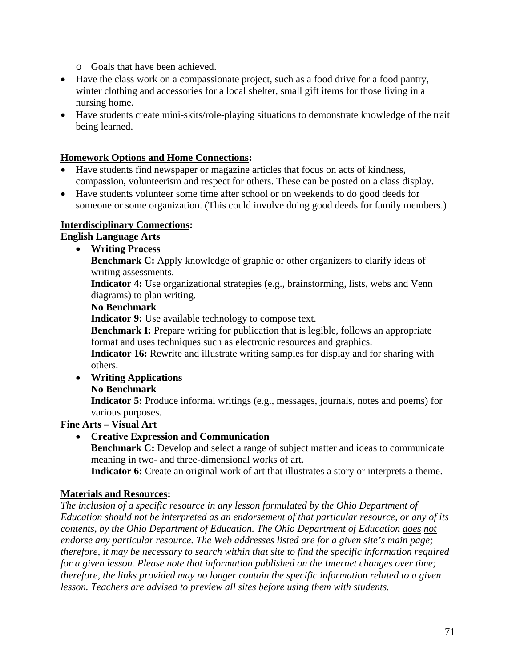- o Goals that have been achieved.
- Have the class work on a compassionate project, such as a food drive for a food pantry, winter clothing and accessories for a local shelter, small gift items for those living in a nursing home.
- Have students create mini-skits/role-playing situations to demonstrate knowledge of the trait being learned.

## **Homework Options and Home Connections:**

- Have students find newspaper or magazine articles that focus on acts of kindness, compassion, volunteerism and respect for others. These can be posted on a class display.
- Have students volunteer some time after school or on weekends to do good deeds for someone or some organization. (This could involve doing good deeds for family members.)

## **Interdisciplinary Connections:**

**English Language Arts** 

• **Writing Process** 

**Benchmark C:** Apply knowledge of graphic or other organizers to clarify ideas of writing assessments.

**Indicator 4:** Use organizational strategies (e.g., brainstorming, lists, webs and Venn diagrams) to plan writing.

## **No Benchmark**

**Indicator 9:** Use available technology to compose text.

**Benchmark I:** Prepare writing for publication that is legible, follows an appropriate format and uses techniques such as electronic resources and graphics.

**Indicator 16:** Rewrite and illustrate writing samples for display and for sharing with others.

• **Writing Applications** 

### **No Benchmark**

**Indicator 5:** Produce informal writings (e.g., messages, journals, notes and poems) for various purposes.

# **Fine Arts – Visual Art**

• **Creative Expression and Communication** 

**Benchmark C:** Develop and select a range of subject matter and ideas to communicate meaning in two- and three-dimensional works of art.

Indicator 6: Create an original work of art that illustrates a story or interprets a theme.

### **Materials and Resources:**

*The inclusion of a specific resource in any lesson formulated by the Ohio Department of Education should not be interpreted as an endorsement of that particular resource, or any of its contents, by the Ohio Department of Education. The Ohio Department of Education does not endorse any particular resource. The Web addresses listed are for a given site's main page; therefore, it may be necessary to search within that site to find the specific information required for a given lesson. Please note that information published on the Internet changes over time; therefore, the links provided may no longer contain the specific information related to a given lesson. Teachers are advised to preview all sites before using them with students.*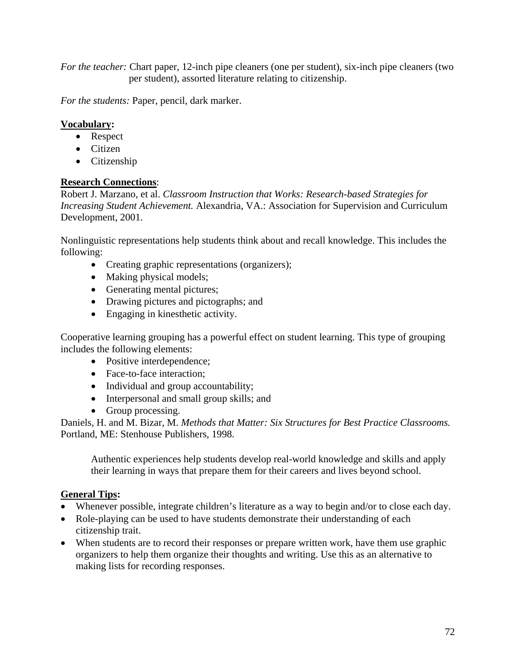*For the teacher:* Chart paper, 12-inch pipe cleaners (one per student), six-inch pipe cleaners (two per student), assorted literature relating to citizenship.

*For the students:* Paper, pencil, dark marker.

# **Vocabulary:**

- Respect
- Citizen
- Citizenship

## **Research Connections**:

Robert J. Marzano, et al. *Classroom Instruction that Works: Research-based Strategies for Increasing Student Achievement. Alexandria, VA.: Association for Supervision and Curriculum* Development, 2001.

Nonlinguistic representations help students think about and recall knowledge. This includes the following:

- Creating graphic representations (organizers);
- Making physical models;
- Generating mental pictures;
- Drawing pictures and pictographs; and
- Engaging in kinesthetic activity.

Cooperative learning grouping has a powerful effect on student learning. This type of grouping includes the following elements:

- Positive interdependence;
- Face-to-face interaction:
- Individual and group accountability;
- Interpersonal and small group skills; and
- Group processing.

Daniels, H. and M. Bizar, M. *Methods that Matter: Six Structures for Best Practice Classrooms.*  Portland, ME: Stenhouse Publishers, 1998.

Authentic experiences help students develop real-world knowledge and skills and apply their learning in ways that prepare them for their careers and lives beyond school.

### **General Tips:**

- Whenever possible, integrate children's literature as a way to begin and/or to close each day.
- Role-playing can be used to have students demonstrate their understanding of each citizenship trait.
- When students are to record their responses or prepare written work, have them use graphic organizers to help them organize their thoughts and writing. Use this as an alternative to making lists for recording responses.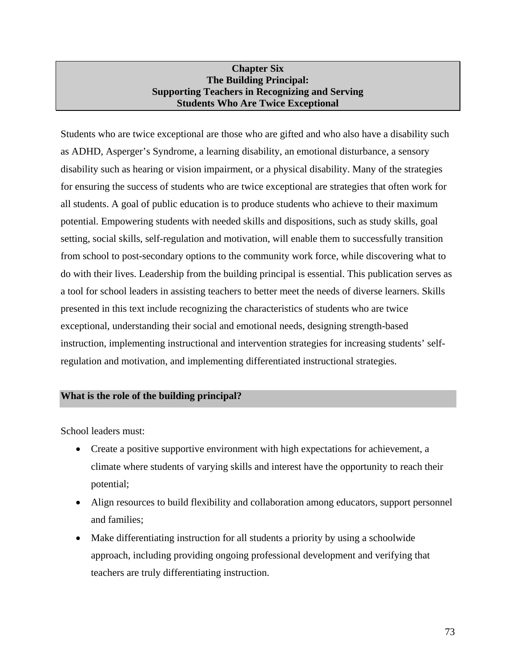### **Chapter Six The Building Principal: Supporting Teachers in Recognizing and Serving Students Who Are Twice Exceptional**

Students who are twice exceptional are those who are gifted and who also have a disability such as ADHD, Asperger's Syndrome, a learning disability, an emotional disturbance, a sensory disability such as hearing or vision impairment, or a physical disability. Many of the strategies for ensuring the success of students who are twice exceptional are strategies that often work for all students. A goal of public education is to produce students who achieve to their maximum potential. Empowering students with needed skills and dispositions, such as study skills, goal setting, social skills, self-regulation and motivation, will enable them to successfully transition from school to post-secondary options to the community work force, while discovering what to do with their lives. Leadership from the building principal is essential. This publication serves as a tool for school leaders in assisting teachers to better meet the needs of diverse learners. Skills presented in this text include recognizing the characteristics of students who are twice exceptional, understanding their social and emotional needs, designing strength-based instruction, implementing instructional and intervention strategies for increasing students' selfregulation and motivation, and implementing differentiated instructional strategies.

### **What is the role of the building principal?**

School leaders must:

- Create a positive supportive environment with high expectations for achievement, a climate where students of varying skills and interest have the opportunity to reach their potential;
- Align resources to build flexibility and collaboration among educators, support personnel and families;
- Make differentiating instruction for all students a priority by using a schoolwide approach, including providing ongoing professional development and verifying that teachers are truly differentiating instruction.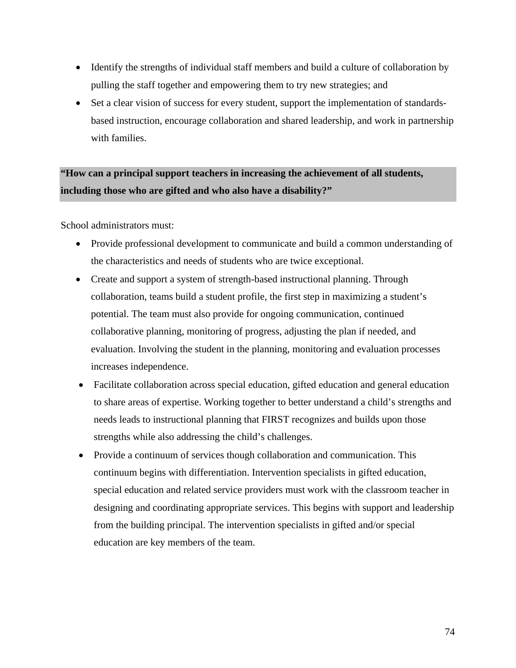- Identify the strengths of individual staff members and build a culture of collaboration by pulling the staff together and empowering them to try new strategies; and
- Set a clear vision of success for every student, support the implementation of standardsbased instruction, encourage collaboration and shared leadership, and work in partnership with families.

# **"How can a principal support teachers in increasing the achievement of all students, including those who are gifted and who also have a disability?"**

School administrators must:

- Provide professional development to communicate and build a common understanding of the characteristics and needs of students who are twice exceptional.
- Create and support a system of strength-based instructional planning. Through collaboration, teams build a student profile, the first step in maximizing a student's potential. The team must also provide for ongoing communication, continued collaborative planning, monitoring of progress, adjusting the plan if needed, and evaluation. Involving the student in the planning, monitoring and evaluation processes increases independence.
- Facilitate collaboration across special education, gifted education and general education to share areas of expertise. Working together to better understand a child's strengths and needs leads to instructional planning that FIRST recognizes and builds upon those strengths while also addressing the child's challenges.
- Provide a continuum of services though collaboration and communication. This continuum begins with differentiation. Intervention specialists in gifted education, special education and related service providers must work with the classroom teacher in designing and coordinating appropriate services. This begins with support and leadership from the building principal. The intervention specialists in gifted and/or special education are key members of the team.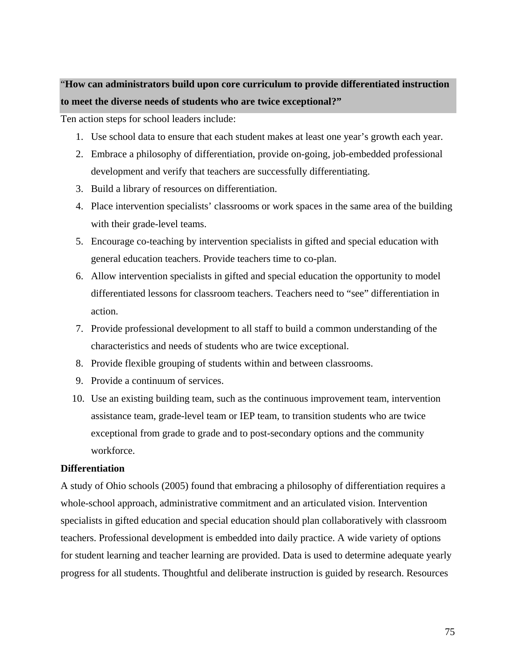# "**How can administrators build upon core curriculum to provide differentiated instruction to meet the diverse needs of students who are twice exceptional?"**

Ten action steps for school leaders include:

- 1. Use school data to ensure that each student makes at least one year's growth each year.
- 2. Embrace a philosophy of differentiation, provide on-going, job-embedded professional development and verify that teachers are successfully differentiating.
- 3. Build a library of resources on differentiation.
- 4. Place intervention specialists' classrooms or work spaces in the same area of the building with their grade-level teams.
- 5. Encourage co-teaching by intervention specialists in gifted and special education with general education teachers. Provide teachers time to co-plan.
- 6. Allow intervention specialists in gifted and special education the opportunity to model differentiated lessons for classroom teachers. Teachers need to "see" differentiation in action.
- 7. Provide professional development to all staff to build a common understanding of the characteristics and needs of students who are twice exceptional.
- 8. Provide flexible grouping of students within and between classrooms.
- 9. Provide a continuum of services.
- 10. Use an existing building team, such as the continuous improvement team, intervention assistance team, grade-level team or IEP team, to transition students who are twice exceptional from grade to grade and to post-secondary options and the community workforce.

### **Differentiation**

A study of Ohio schools (2005) found that embracing a philosophy of differentiation requires a whole-school approach, administrative commitment and an articulated vision. Intervention specialists in gifted education and special education should plan collaboratively with classroom teachers. Professional development is embedded into daily practice. A wide variety of options for student learning and teacher learning are provided. Data is used to determine adequate yearly progress for all students. Thoughtful and deliberate instruction is guided by research. Resources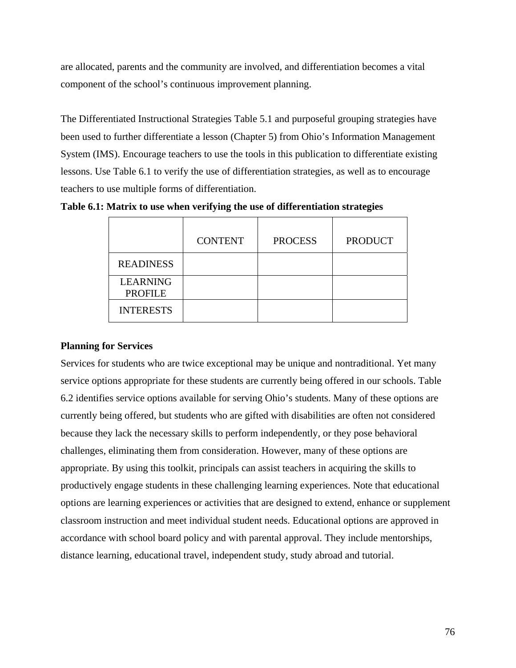are allocated, parents and the community are involved, and differentiation becomes a vital component of the school's continuous improvement planning.

The Differentiated Instructional Strategies Table 5.1 and purposeful grouping strategies have been used to further differentiate a lesson (Chapter 5) from Ohio's Information Management System (IMS). Encourage teachers to use the tools in this publication to differentiate existing lessons. Use Table 6.1 to verify the use of differentiation strategies, as well as to encourage teachers to use multiple forms of differentiation.

**Table 6.1: Matrix to use when verifying the use of differentiation strategies** 

|                                   | <b>CONTENT</b> | <b>PROCESS</b> | <b>PRODUCT</b> |
|-----------------------------------|----------------|----------------|----------------|
| <b>READINESS</b>                  |                |                |                |
| <b>LEARNING</b><br><b>PROFILE</b> |                |                |                |
| <b>INTERESTS</b>                  |                |                |                |

### **Planning for Services**

Services for students who are twice exceptional may be unique and nontraditional. Yet many service options appropriate for these students are currently being offered in our schools. Table 6.2 identifies service options available for serving Ohio's students. Many of these options are currently being offered, but students who are gifted with disabilities are often not considered because they lack the necessary skills to perform independently, or they pose behavioral challenges, eliminating them from consideration. However, many of these options are appropriate. By using this toolkit, principals can assist teachers in acquiring the skills to productively engage students in these challenging learning experiences. Note that educational options are learning experiences or activities that are designed to extend, enhance or supplement classroom instruction and meet individual student needs. Educational options are approved in accordance with school board policy and with parental approval. They include mentorships, distance learning, educational travel, independent study, study abroad and tutorial.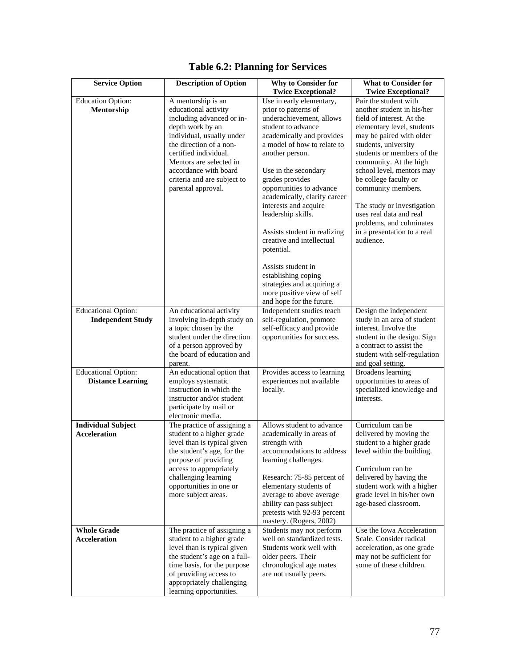| <b>Service Option</b>                                  | <b>Description of Option</b>                                                                                                                                                                                                                                                          | <b>Why to Consider for</b>                                                                                                                                                                                                                                                                                                                                                                                                                                                                                                  | <b>What to Consider for</b>                                                                                                                                                                                                                                                                                                                                                                                                             |
|--------------------------------------------------------|---------------------------------------------------------------------------------------------------------------------------------------------------------------------------------------------------------------------------------------------------------------------------------------|-----------------------------------------------------------------------------------------------------------------------------------------------------------------------------------------------------------------------------------------------------------------------------------------------------------------------------------------------------------------------------------------------------------------------------------------------------------------------------------------------------------------------------|-----------------------------------------------------------------------------------------------------------------------------------------------------------------------------------------------------------------------------------------------------------------------------------------------------------------------------------------------------------------------------------------------------------------------------------------|
|                                                        |                                                                                                                                                                                                                                                                                       | <b>Twice Exceptional?</b>                                                                                                                                                                                                                                                                                                                                                                                                                                                                                                   | <b>Twice Exceptional?</b>                                                                                                                                                                                                                                                                                                                                                                                                               |
| <b>Education Option:</b><br>Mentorship                 | A mentorship is an<br>educational activity<br>including advanced or in-<br>depth work by an<br>individual, usually under<br>the direction of a non-<br>certified individual.<br>Mentors are selected in<br>accordance with board<br>criteria and are subject to<br>parental approval. | Use in early elementary,<br>prior to patterns of<br>underachievement, allows<br>student to advance<br>academically and provides<br>a model of how to relate to<br>another person.<br>Use in the secondary<br>grades provides<br>opportunities to advance<br>academically, clarify career<br>interests and acquire<br>leadership skills.<br>Assists student in realizing<br>creative and intellectual<br>potential.<br>Assists student in<br>establishing coping<br>strategies and acquiring a<br>more positive view of self | Pair the student with<br>another student in his/her<br>field of interest. At the<br>elementary level, students<br>may be paired with older<br>students, university<br>students or members of the<br>community. At the high<br>school level, mentors may<br>be college faculty or<br>community members.<br>The study or investigation<br>uses real data and real<br>problems, and culminates<br>in a presentation to a real<br>audience. |
|                                                        |                                                                                                                                                                                                                                                                                       | and hope for the future.                                                                                                                                                                                                                                                                                                                                                                                                                                                                                                    |                                                                                                                                                                                                                                                                                                                                                                                                                                         |
| <b>Educational Option:</b><br><b>Independent Study</b> | An educational activity<br>involving in-depth study on<br>a topic chosen by the<br>student under the direction<br>of a person approved by<br>the board of education and<br>parent.                                                                                                    | Independent studies teach<br>self-regulation, promote<br>self-efficacy and provide<br>opportunities for success.                                                                                                                                                                                                                                                                                                                                                                                                            | Design the independent<br>study in an area of student<br>interest. Involve the<br>student in the design. Sign<br>a contract to assist the<br>student with self-regulation<br>and goal setting.                                                                                                                                                                                                                                          |
| <b>Educational Option:</b><br><b>Distance Learning</b> | An educational option that<br>employs systematic<br>instruction in which the<br>instructor and/or student<br>participate by mail or<br>electronic media.                                                                                                                              | Provides access to learning<br>experiences not available<br>locally.                                                                                                                                                                                                                                                                                                                                                                                                                                                        | <b>Broadens</b> learning<br>opportunities to areas of<br>specialized knowledge and<br>interests.                                                                                                                                                                                                                                                                                                                                        |
| <b>Individual Subject</b><br><b>Acceleration</b>       | The practice of assigning a<br>student to a higher grade<br>level than is typical given<br>the student's age, for the<br>purpose of providing<br>access to appropriately<br>challenging learning<br>opportunities in one or<br>more subject areas.                                    | Allows student to advance<br>academically in areas of<br>strength with<br>accommodations to address<br>learning challenges.<br>Research: 75-85 percent of<br>elementary students of<br>average to above average<br>ability can pass subject<br>pretests with 92-93 percent<br>mastery. (Rogers, 2002)                                                                                                                                                                                                                       | Curriculum can be<br>delivered by moving the<br>student to a higher grade<br>level within the building<br>Curriculum can be<br>delivered by having the<br>student work with a higher<br>grade level in his/her own<br>age-based classroom.                                                                                                                                                                                              |
| <b>Whole Grade</b>                                     | The practice of assigning a                                                                                                                                                                                                                                                           | Students may not perform                                                                                                                                                                                                                                                                                                                                                                                                                                                                                                    | Use the Iowa Acceleration                                                                                                                                                                                                                                                                                                                                                                                                               |
| Acceleration                                           | student to a higher grade<br>level than is typical given<br>the student's age on a full-<br>time basis, for the purpose<br>of providing access to<br>appropriately challenging<br>learning opportunities.                                                                             | well on standardized tests.<br>Students work well with<br>older peers. Their<br>chronological age mates<br>are not usually peers.                                                                                                                                                                                                                                                                                                                                                                                           | Scale. Consider radical<br>acceleration, as one grade<br>may not be sufficient for<br>some of these children.                                                                                                                                                                                                                                                                                                                           |

# **Table 6.2: Planning for Services**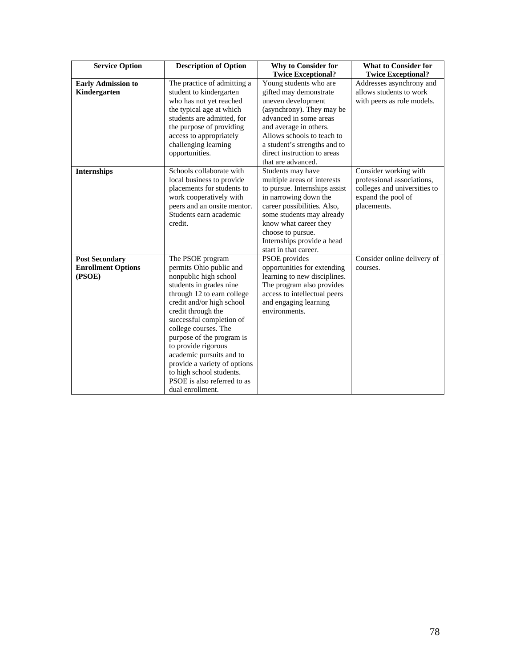| <b>Service Option</b>                                        | <b>Description of Option</b>                                                                                                                                                                                                                                                                                                                                                                                                        | <b>Why to Consider for</b><br><b>Twice Exceptional?</b>                                                                                                                                                                                                                     | <b>What to Consider for</b><br><b>Twice Exceptional?</b>                                                                 |
|--------------------------------------------------------------|-------------------------------------------------------------------------------------------------------------------------------------------------------------------------------------------------------------------------------------------------------------------------------------------------------------------------------------------------------------------------------------------------------------------------------------|-----------------------------------------------------------------------------------------------------------------------------------------------------------------------------------------------------------------------------------------------------------------------------|--------------------------------------------------------------------------------------------------------------------------|
| <b>Early Admission to</b><br>Kindergarten                    | The practice of admitting a<br>student to kindergarten<br>who has not yet reached<br>the typical age at which<br>students are admitted, for<br>the purpose of providing<br>access to appropriately<br>challenging learning<br>opportunities.                                                                                                                                                                                        | Young students who are<br>gifted may demonstrate<br>uneven development<br>(asynchrony). They may be<br>advanced in some areas<br>and average in others.<br>Allows schools to teach to<br>a student's strengths and to<br>direct instruction to areas<br>that are advanced.  | Addresses asynchrony and<br>allows students to work<br>with peers as role models.                                        |
| <b>Internships</b>                                           | Schools collaborate with<br>local business to provide<br>placements for students to<br>work cooperatively with<br>peers and an onsite mentor.<br>Students earn academic<br>credit.                                                                                                                                                                                                                                                  | Students may have<br>multiple areas of interests<br>to pursue. Internships assist<br>in narrowing down the<br>career possibilities. Also,<br>some students may already<br>know what career they<br>choose to pursue.<br>Internships provide a head<br>start in that career. | Consider working with<br>professional associations,<br>colleges and universities to<br>expand the pool of<br>placements. |
| <b>Post Secondary</b><br><b>Enrollment Options</b><br>(PSOE) | The PSOE program<br>permits Ohio public and<br>nonpublic high school<br>students in grades nine<br>through 12 to earn college<br>credit and/or high school<br>credit through the<br>successful completion of<br>college courses. The<br>purpose of the program is<br>to provide rigorous<br>academic pursuits and to<br>provide a variety of options<br>to high school students.<br>PSOE is also referred to as<br>dual enrollment. | PSOE provides<br>opportunities for extending<br>learning to new disciplines.<br>The program also provides<br>access to intellectual peers<br>and engaging learning<br>environments.                                                                                         | Consider online delivery of<br>courses.                                                                                  |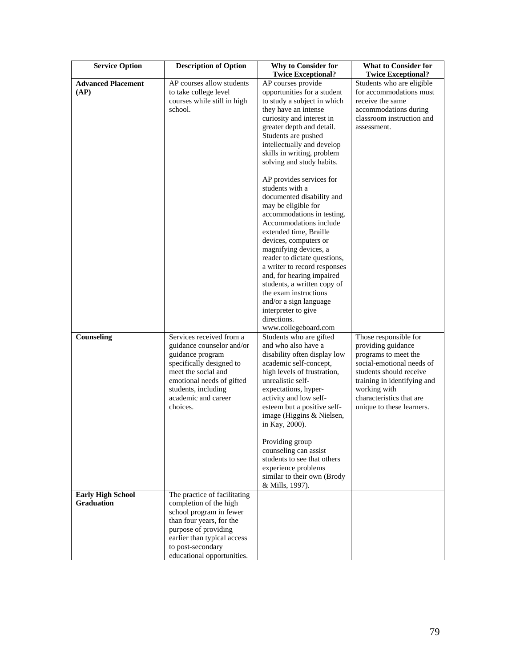| <b>Service Option</b>                         | <b>Description of Option</b>                                                                                                                                                                                            | <b>Why to Consider for</b><br><b>Twice Exceptional?</b>                                                                                                                                                                                                                                                                                                                                                                                                                                                                                                                                                                                                                                                                                                                | <b>What to Consider for</b><br><b>Twice Exceptional?</b>                                                                                                                                                                            |
|-----------------------------------------------|-------------------------------------------------------------------------------------------------------------------------------------------------------------------------------------------------------------------------|------------------------------------------------------------------------------------------------------------------------------------------------------------------------------------------------------------------------------------------------------------------------------------------------------------------------------------------------------------------------------------------------------------------------------------------------------------------------------------------------------------------------------------------------------------------------------------------------------------------------------------------------------------------------------------------------------------------------------------------------------------------------|-------------------------------------------------------------------------------------------------------------------------------------------------------------------------------------------------------------------------------------|
| <b>Advanced Placement</b><br>(AP)             | AP courses allow students<br>to take college level<br>courses while still in high<br>school.                                                                                                                            | AP courses provide<br>opportunities for a student<br>to study a subject in which<br>they have an intense<br>curiosity and interest in<br>greater depth and detail.<br>Students are pushed<br>intellectually and develop<br>skills in writing, problem<br>solving and study habits.<br>AP provides services for<br>students with a<br>documented disability and<br>may be eligible for<br>accommodations in testing.<br>Accommodations include<br>extended time, Braille<br>devices, computers or<br>magnifying devices, a<br>reader to dictate questions,<br>a writer to record responses<br>and, for hearing impaired<br>students, a written copy of<br>the exam instructions<br>and/or a sign language<br>interpreter to give<br>directions.<br>www.collegeboard.com | Students who are eligible<br>for accommodations must<br>receive the same<br>accommodations during<br>classroom instruction and<br>assessment.                                                                                       |
| Counseling                                    | Services received from a<br>guidance counselor and/or<br>guidance program<br>specifically designed to<br>meet the social and<br>emotional needs of gifted<br>students, including<br>academic and career<br>choices.     | Students who are gifted<br>and who also have a<br>disability often display low<br>academic self-concept,<br>high levels of frustration,<br>unrealistic self-<br>expectations, hyper-<br>activity and low self-<br>esteem but a positive self-<br>image (Higgins & Nielsen,<br>in Kay, 2000).<br>Providing group<br>counseling can assist<br>students to see that others<br>experience problems<br>similar to their own (Brody<br>& Mills, 1997).                                                                                                                                                                                                                                                                                                                       | Those responsible for<br>providing guidance<br>programs to meet the<br>social-emotional needs of<br>students should receive<br>training in identifying and<br>working with<br>characteristics that are<br>unique to these learners. |
| <b>Early High School</b><br><b>Graduation</b> | The practice of facilitating<br>completion of the high<br>school program in fewer<br>than four years, for the<br>purpose of providing<br>earlier than typical access<br>to post-secondary<br>educational opportunities. |                                                                                                                                                                                                                                                                                                                                                                                                                                                                                                                                                                                                                                                                                                                                                                        |                                                                                                                                                                                                                                     |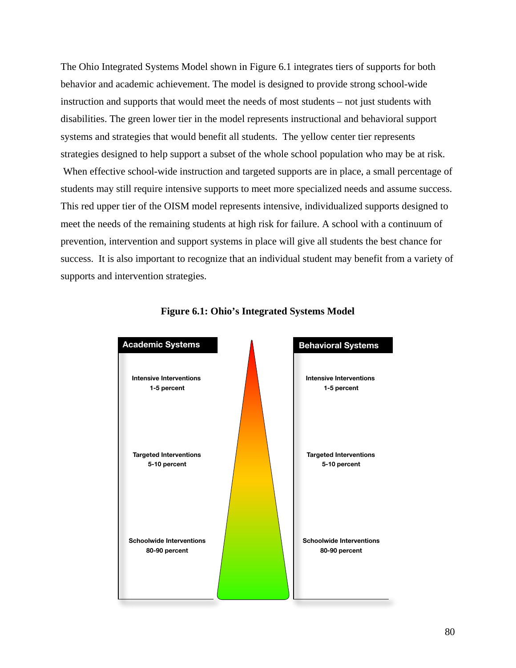The Ohio Integrated Systems Model shown in Figure 6.1 integrates tiers of supports for both behavior and academic achievement. The model is designed to provide strong school-wide instruction and supports that would meet the needs of most students – not just students with disabilities. The green lower tier in the model represents instructional and behavioral support systems and strategies that would benefit all students. The yellow center tier represents strategies designed to help support a subset of the whole school population who may be at risk. When effective school-wide instruction and targeted supports are in place, a small percentage of students may still require intensive supports to meet more specialized needs and assume success. This red upper tier of the OISM model represents intensive, individualized supports designed to meet the needs of the remaining students at high risk for failure. A school with a continuum of prevention, intervention and support systems in place will give all students the best chance for

success. It is also important to recognize that an individual student may benefit from a variety of supports and intervention strategies.



### **Figure 6.1: Ohio's Integrated Systems Model**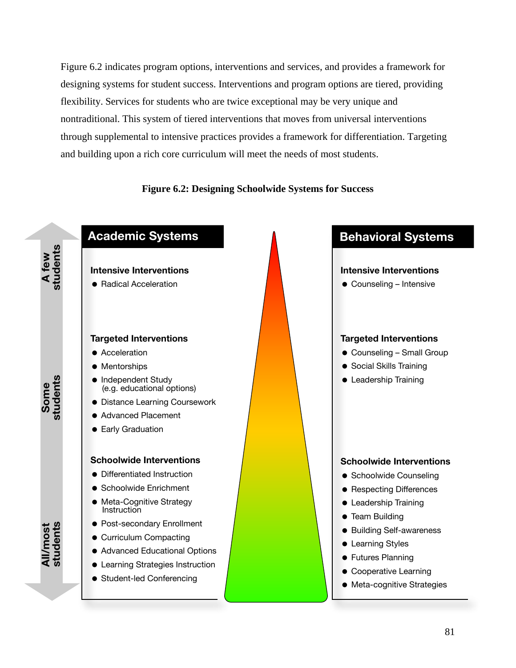Figure 6.2 indicates program options, interventions and services, and provides a framework for designing systems for student success. Interventions and program options are tiered, providing flexibility. Services for students who are twice exceptional may be very unique and nontraditional. This system of tiered interventions that moves from universal interventions through supplemental to intensive practices provides a framework for differentiation. Targeting and building upon a rich core curriculum will meet the needs of most students.

### **Figure 6.2: Designing Schoolwide Systems for Success**

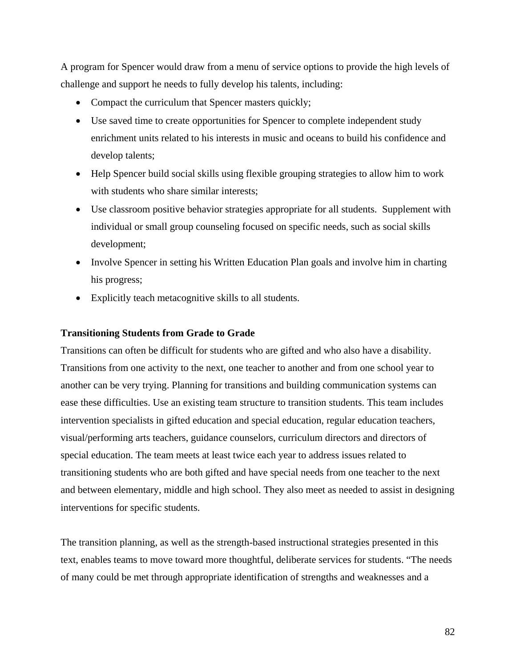A program for Spencer would draw from a menu of service options to provide the high levels of challenge and support he needs to fully develop his talents, including:

- Compact the curriculum that Spencer masters quickly;
- Use saved time to create opportunities for Spencer to complete independent study enrichment units related to his interests in music and oceans to build his confidence and develop talents;
- Help Spencer build social skills using flexible grouping strategies to allow him to work with students who share similar interests:
- Use classroom positive behavior strategies appropriate for all students. Supplement with individual or small group counseling focused on specific needs, such as social skills development;
- Involve Spencer in setting his Written Education Plan goals and involve him in charting his progress;
- Explicitly teach metacognitive skills to all students.

### **Transitioning Students from Grade to Grade**

Transitions can often be difficult for students who are gifted and who also have a disability. Transitions from one activity to the next, one teacher to another and from one school year to another can be very trying. Planning for transitions and building communication systems can ease these difficulties. Use an existing team structure to transition students. This team includes intervention specialists in gifted education and special education, regular education teachers, visual/performing arts teachers, guidance counselors, curriculum directors and directors of special education. The team meets at least twice each year to address issues related to transitioning students who are both gifted and have special needs from one teacher to the next and between elementary, middle and high school. They also meet as needed to assist in designing interventions for specific students.

The transition planning, as well as the strength-based instructional strategies presented in this text, enables teams to move toward more thoughtful, deliberate services for students. "The needs of many could be met through appropriate identification of strengths and weaknesses and a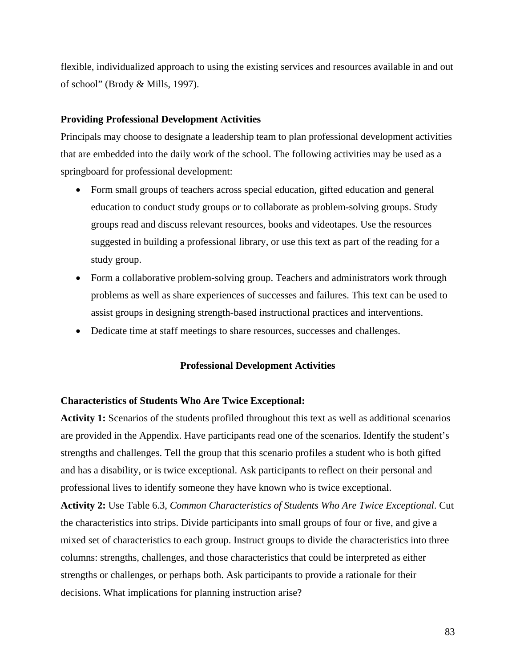flexible, individualized approach to using the existing services and resources available in and out of school" (Brody & Mills, 1997).

#### **Providing Professional Development Activities**

Principals may choose to designate a leadership team to plan professional development activities that are embedded into the daily work of the school. The following activities may be used as a springboard for professional development:

- Form small groups of teachers across special education, gifted education and general education to conduct study groups or to collaborate as problem-solving groups. Study groups read and discuss relevant resources, books and videotapes. Use the resources suggested in building a professional library, or use this text as part of the reading for a study group.
- Form a collaborative problem-solving group. Teachers and administrators work through problems as well as share experiences of successes and failures. This text can be used to assist groups in designing strength-based instructional practices and interventions.
- Dedicate time at staff meetings to share resources, successes and challenges.

#### **Professional Development Activities**

#### **Characteristics of Students Who Are Twice Exceptional:**

**Activity 1:** Scenarios of the students profiled throughout this text as well as additional scenarios are provided in the Appendix. Have participants read one of the scenarios. Identify the student's strengths and challenges. Tell the group that this scenario profiles a student who is both gifted and has a disability, or is twice exceptional. Ask participants to reflect on their personal and professional lives to identify someone they have known who is twice exceptional.

**Activity 2:** Use Table 6.3, *Common Characteristics of Students Who Are Twice Exceptional*. Cut the characteristics into strips. Divide participants into small groups of four or five, and give a mixed set of characteristics to each group. Instruct groups to divide the characteristics into three columns: strengths, challenges, and those characteristics that could be interpreted as either strengths or challenges, or perhaps both. Ask participants to provide a rationale for their decisions. What implications for planning instruction arise?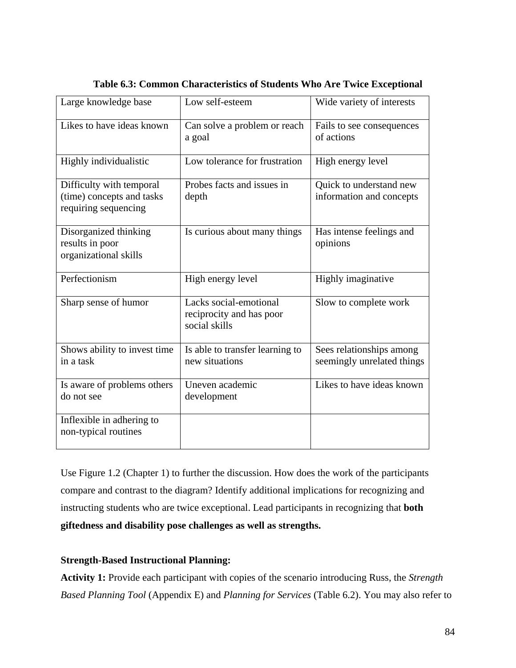| Large knowledge base                                                          | Low self-esteem                                                     | Wide variety of interests                              |
|-------------------------------------------------------------------------------|---------------------------------------------------------------------|--------------------------------------------------------|
| Likes to have ideas known                                                     | Can solve a problem or reach<br>a goal                              | Fails to see consequences<br>of actions                |
| Highly individualistic                                                        | Low tolerance for frustration                                       | High energy level                                      |
| Difficulty with temporal<br>(time) concepts and tasks<br>requiring sequencing | Probes facts and issues in<br>depth                                 | Quick to understand new<br>information and concepts    |
| Disorganized thinking<br>results in poor<br>organizational skills             | Is curious about many things                                        | Has intense feelings and<br>opinions                   |
| Perfectionism                                                                 | High energy level                                                   | Highly imaginative                                     |
| Sharp sense of humor                                                          | Lacks social-emotional<br>reciprocity and has poor<br>social skills | Slow to complete work                                  |
| Shows ability to invest time<br>in a task                                     | Is able to transfer learning to<br>new situations                   | Sees relationships among<br>seemingly unrelated things |
| Is aware of problems others<br>do not see                                     | Uneven academic<br>development                                      | Likes to have ideas known                              |
| Inflexible in adhering to<br>non-typical routines                             |                                                                     |                                                        |

**Table 6.3: Common Characteristics of Students Who Are Twice Exceptional** 

Use Figure 1.2 (Chapter 1) to further the discussion. How does the work of the participants compare and contrast to the diagram? Identify additional implications for recognizing and instructing students who are twice exceptional. Lead participants in recognizing that **both giftedness and disability pose challenges as well as strengths.** 

### **Strength-Based Instructional Planning:**

**Activity 1:** Provide each participant with copies of the scenario introducing Russ, the *Strength Based Planning Tool* (Appendix E) and *Planning for Services* (Table 6.2). You may also refer to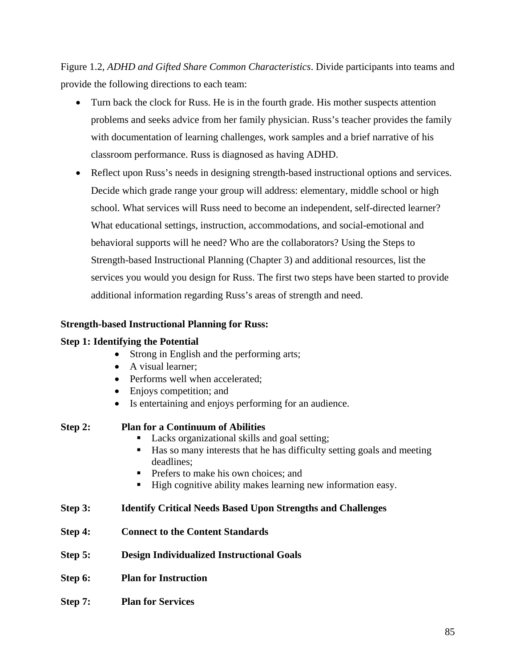Figure 1.2, *ADHD and Gifted Share Common Characteristics*. Divide participants into teams and provide the following directions to each team:

- Turn back the clock for Russ. He is in the fourth grade. His mother suspects attention problems and seeks advice from her family physician. Russ's teacher provides the family with documentation of learning challenges, work samples and a brief narrative of his classroom performance. Russ is diagnosed as having ADHD.
- Reflect upon Russ's needs in designing strength-based instructional options and services. Decide which grade range your group will address: elementary, middle school or high school. What services will Russ need to become an independent, self-directed learner? What educational settings, instruction, accommodations, and social-emotional and behavioral supports will he need? Who are the collaborators? Using the Steps to Strength-based Instructional Planning (Chapter 3) and additional resources, list the services you would you design for Russ. The first two steps have been started to provide additional information regarding Russ's areas of strength and need.

### **Strength-based Instructional Planning for Russ:**

### **Step 1: Identifying the Potential**

- Strong in English and the performing arts;
- A visual learner;
- Performs well when accelerated:
- Enjoys competition; and
- Is entertaining and enjoys performing for an audience.

| Step 2: | <b>Plan for a Continuum of Abilities</b>                                                  |
|---------|-------------------------------------------------------------------------------------------|
|         | Lacks organizational skills and goal setting;                                             |
|         | Has so many interests that he has difficulty setting goals and meeting<br>٠<br>deadlines: |
|         | • Prefers to make his own choices; and                                                    |
|         | High cognitive ability makes learning new information easy.<br>п                          |
| Step 3: | <b>Identify Critical Needs Based Upon Strengths and Challenges</b>                        |
| Step 4: | <b>Connect to the Content Standards</b>                                                   |
| Step 5: | <b>Design Individualized Instructional Goals</b>                                          |
| Step 6: | <b>Plan for Instruction</b>                                                               |

**Step 7: Plan for Services**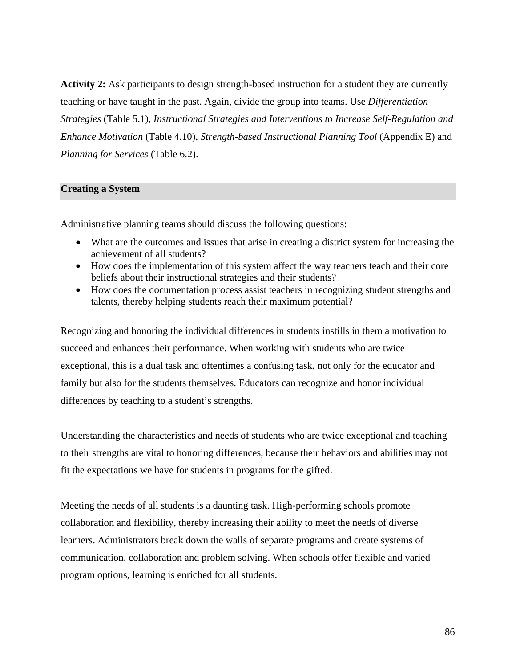**Activity 2:** Ask participants to design strength-based instruction for a student they are currently teaching or have taught in the past. Again, divide the group into teams. Use *Differentiation Strategies* (Table 5.1), *Instructional Strategies and Interventions to Increase Self-Regulation and Enhance Motivation* (Table 4.10), *Strength-based Instructional Planning Tool* (Appendix E) and *Planning for Services* (Table 6.2).

#### **Creating a System**

Administrative planning teams should discuss the following questions:

- What are the outcomes and issues that arise in creating a district system for increasing the achievement of all students?
- How does the implementation of this system affect the way teachers teach and their core beliefs about their instructional strategies and their students?
- How does the documentation process assist teachers in recognizing student strengths and talents, thereby helping students reach their maximum potential?

Recognizing and honoring the individual differences in students instills in them a motivation to succeed and enhances their performance. When working with students who are twice exceptional, this is a dual task and oftentimes a confusing task, not only for the educator and family but also for the students themselves. Educators can recognize and honor individual differences by teaching to a student's strengths.

Understanding the characteristics and needs of students who are twice exceptional and teaching to their strengths are vital to honoring differences, because their behaviors and abilities may not fit the expectations we have for students in programs for the gifted.

Meeting the needs of all students is a daunting task. High-performing schools promote collaboration and flexibility, thereby increasing their ability to meet the needs of diverse learners. Administrators break down the walls of separate programs and create systems of communication, collaboration and problem solving. When schools offer flexible and varied program options, learning is enriched for all students.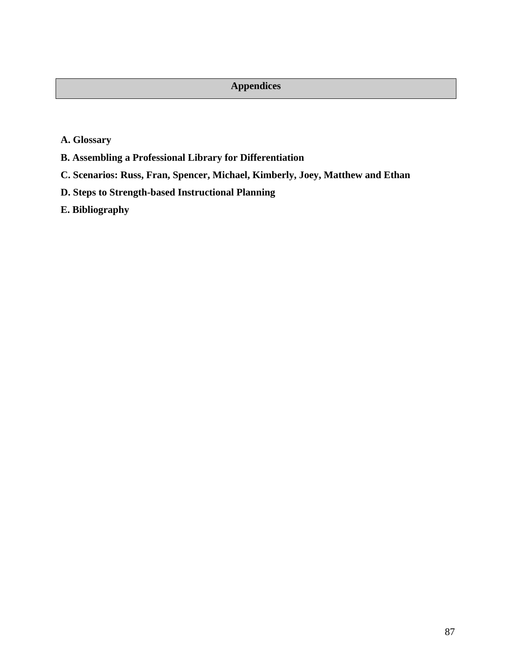# **Appendices**

- **[A. Glossary](#page-89-0)**
- **[B. Assembling a Professional Library for Differentiation](#page-92-0)**
- **[C. Scenarios: Russ, Fran, Spencer, Michael, Kimberly, Joey, Matthew and Ethan](#page-93-0)**
- **[D. Steps to Strength-based Instructional Planning](#page-103-0)**
- **[E. Bibliography](#page-105-0)**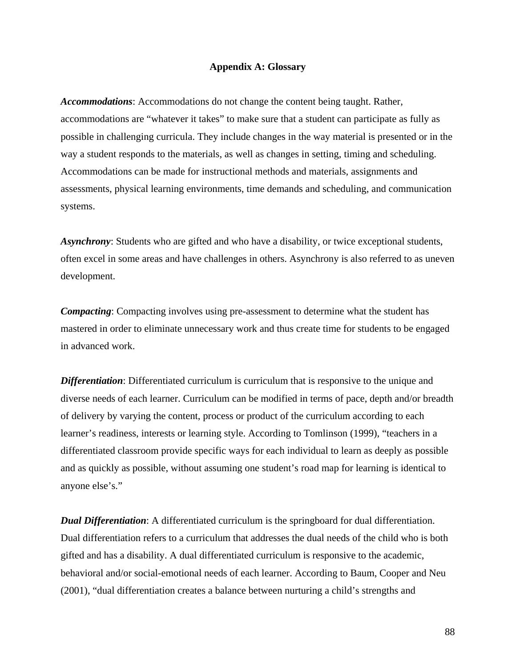### **Appendix A: Glossary**

<span id="page-89-0"></span>*Accommodations*: Accommodations do not change the content being taught. Rather, accommodations are "whatever it takes" to make sure that a student can participate as fully as possible in challenging curricula. They include changes in the way material is presented or in the way a student responds to the materials, as well as changes in setting, timing and scheduling. Accommodations can be made for instructional methods and materials, assignments and assessments, physical learning environments, time demands and scheduling, and communication systems.

*Asynchrony*: Students who are gifted and who have a disability, or twice exceptional students, often excel in some areas and have challenges in others. Asynchrony is also referred to as uneven development.

*Compacting*: Compacting involves using pre-assessment to determine what the student has mastered in order to eliminate unnecessary work and thus create time for students to be engaged in advanced work.

*Differentiation*: Differentiated curriculum is curriculum that is responsive to the unique and diverse needs of each learner. Curriculum can be modified in terms of pace, depth and/or breadth of delivery by varying the content, process or product of the curriculum according to each learner's readiness, interests or learning style. According to Tomlinson (1999), "teachers in a differentiated classroom provide specific ways for each individual to learn as deeply as possible and as quickly as possible, without assuming one student's road map for learning is identical to anyone else's."

*Dual Differentiation*: A differentiated curriculum is the springboard for dual differentiation. Dual differentiation refers to a curriculum that addresses the dual needs of the child who is both gifted and has a disability. A dual differentiated curriculum is responsive to the academic, behavioral and/or social-emotional needs of each learner. According to Baum, Cooper and Neu (2001), "dual differentiation creates a balance between nurturing a child's strengths and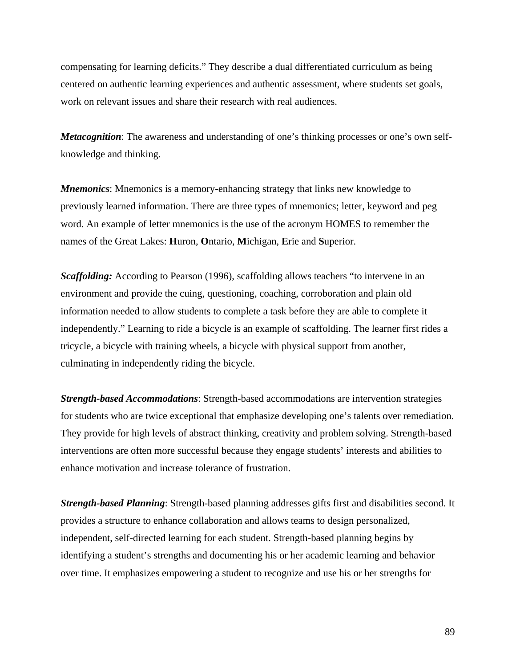compensating for learning deficits." They describe a dual differentiated curriculum as being centered on authentic learning experiences and authentic assessment, where students set goals, work on relevant issues and share their research with real audiences.

*Metacognition*: The awareness and understanding of one's thinking processes or one's own selfknowledge and thinking.

*Mnemonics*: Mnemonics is a memory-enhancing strategy that links new knowledge to previously learned information. There are three types of mnemonics; letter, keyword and peg word. An example of letter mnemonics is the use of the acronym HOMES to remember the names of the Great Lakes: **H**uron, **O**ntario, **M**ichigan, **E**rie and **S**uperior.

*Scaffolding:* According to Pearson (1996), scaffolding allows teachers "to intervene in an environment and provide the cuing, questioning, coaching, corroboration and plain old information needed to allow students to complete a task before they are able to complete it independently." Learning to ride a bicycle is an example of scaffolding. The learner first rides a tricycle, a bicycle with training wheels, a bicycle with physical support from another, culminating in independently riding the bicycle.

*Strength-based Accommodations*: Strength-based accommodations are intervention strategies for students who are twice exceptional that emphasize developing one's talents over remediation. They provide for high levels of abstract thinking, creativity and problem solving. Strength-based interventions are often more successful because they engage students' interests and abilities to enhance motivation and increase tolerance of frustration.

*Strength-based Planning*: Strength-based planning addresses gifts first and disabilities second. It provides a structure to enhance collaboration and allows teams to design personalized, independent, self-directed learning for each student. Strength-based planning begins by identifying a student's strengths and documenting his or her academic learning and behavior over time. It emphasizes empowering a student to recognize and use his or her strengths for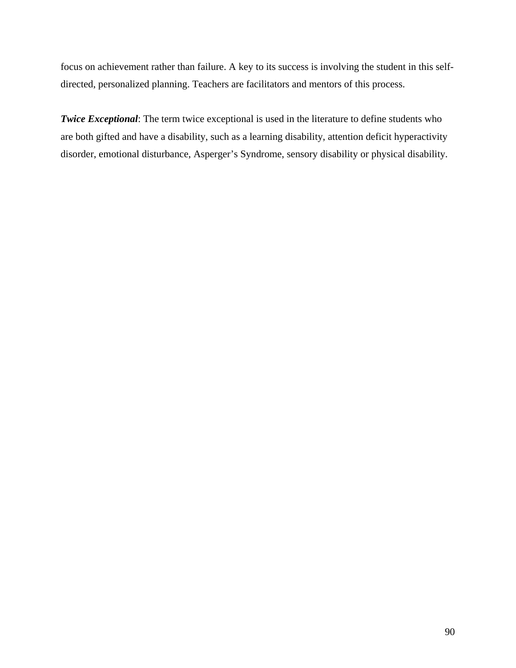focus on achievement rather than failure. A key to its success is involving the student in this selfdirected, personalized planning. Teachers are facilitators and mentors of this process.

*Twice Exceptional*: The term twice exceptional is used in the literature to define students who are both gifted and have a disability, such as a learning disability, attention deficit hyperactivity disorder, emotional disturbance, Asperger's Syndrome, sensory disability or physical disability.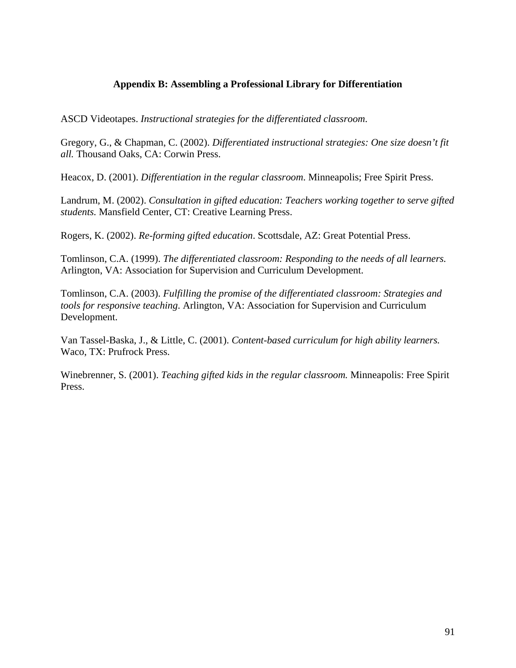### **Appendix B: Assembling a Professional Library for Differentiation**

<span id="page-92-0"></span>ASCD Videotapes. *Instructional strategies for the differentiated classroom*.

Gregory, G., & Chapman, C. (2002). *Differentiated instructional strategies: One size doesn't fit all.* Thousand Oaks, CA: Corwin Press.

Heacox, D. (2001). *Differentiation in the regular classroom*. Minneapolis; Free Spirit Press.

Landrum, M. (2002). *Consultation in gifted education: Teachers working together to serve gifted students.* Mansfield Center, CT: Creative Learning Press.

Rogers, K. (2002). *Re-forming gifted education*. Scottsdale, AZ: Great Potential Press.

Tomlinson, C.A. (1999). *The differentiated classroom: Responding to the needs of all learners.* Arlington, VA: Association for Supervision and Curriculum Development.

Tomlinson, C.A. (2003). *Fulfilling the promise of the differentiated classroom: Strategies and tools for responsive teaching*. Arlington, VA: Association for Supervision and Curriculum Development.

Van Tassel-Baska, J., & Little, C. (2001). *Content-based curriculum for high ability learners.* Waco, TX: Prufrock Press.

Winebrenner, S. (2001). *Teaching gifted kids in the regular classroom.* Minneapolis: Free Spirit Press.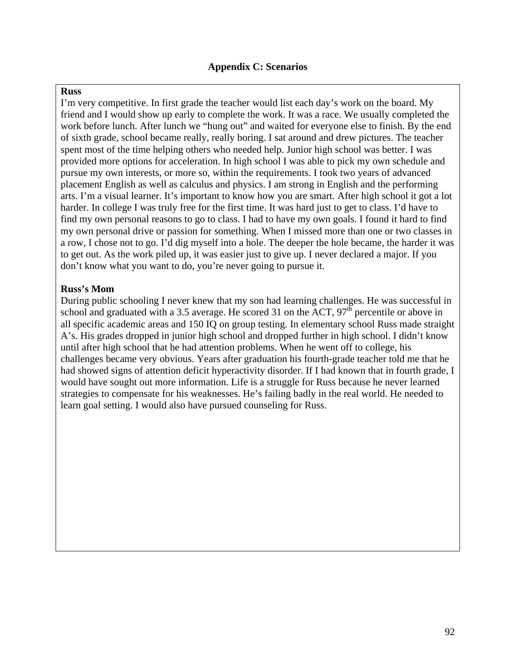#### <span id="page-93-0"></span>**Russ**

I'm very competitive. In first grade the teacher would list each day's work on the board. My friend and I would show up early to complete the work. It was a race. We usually completed the work before lunch. After lunch we "hung out" and waited for everyone else to finish. By the end of sixth grade, school became really, really boring. I sat around and drew pictures. The teacher spent most of the time helping others who needed help. Junior high school was better. I was provided more options for acceleration. In high school I was able to pick my own schedule and pursue my own interests, or more so, within the requirements. I took two years of advanced placement English as well as calculus and physics. I am strong in English and the performing arts. I'm a visual learner. It's important to know how you are smart. After high school it got a lot harder. In college I was truly free for the first time. It was hard just to get to class. I'd have to find my own personal reasons to go to class. I had to have my own goals. I found it hard to find my own personal drive or passion for something. When I missed more than one or two classes in a row, I chose not to go. I'd dig myself into a hole. The deeper the hole became, the harder it was to get out. As the work piled up, it was easier just to give up. I never declared a major. If you don't know what you want to do, you're never going to pursue it.

### **Russ's Mom**

During public schooling I never knew that my son had learning challenges. He was successful in school and graduated with a 3.5 average. He scored 31 on the ACT,  $97<sup>th</sup>$  percentile or above in all specific academic areas and 150 IQ on group testing. In elementary school Russ made straight A's. His grades dropped in junior high school and dropped further in high school. I didn't know until after high school that he had attention problems. When he went off to college, his challenges became very obvious. Years after graduation his fourth-grade teacher told me that he had showed signs of attention deficit hyperactivity disorder. If I had known that in fourth grade, I would have sought out more information. Life is a struggle for Russ because he never learned strategies to compensate for his weaknesses. He's failing badly in the real world. He needed to learn goal setting. I would also have pursued counseling for Russ.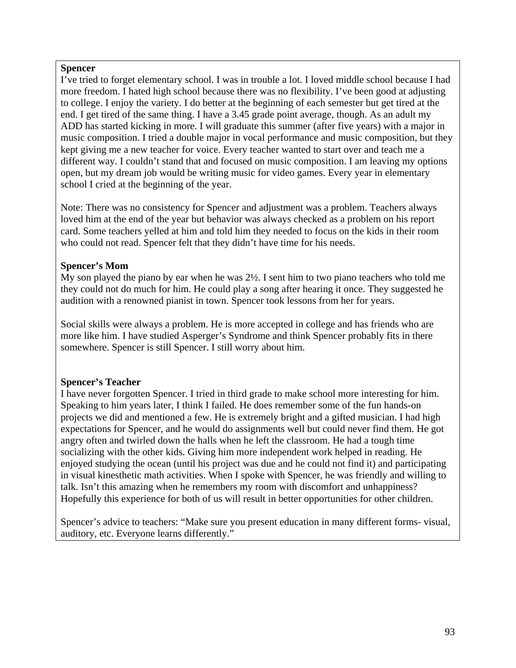### **Spencer**

I've tried to forget elementary school. I was in trouble a lot. I loved middle school because I had more freedom. I hated high school because there was no flexibility. I've been good at adjusting to college. I enjoy the variety. I do better at the beginning of each semester but get tired at the end. I get tired of the same thing. I have a 3.45 grade point average, though. As an adult my ADD has started kicking in more. I will graduate this summer (after five years) with a major in music composition. I tried a double major in vocal performance and music composition, but they kept giving me a new teacher for voice. Every teacher wanted to start over and teach me a different way. I couldn't stand that and focused on music composition. I am leaving my options open, but my dream job would be writing music for video games. Every year in elementary school I cried at the beginning of the year.

Note: There was no consistency for Spencer and adjustment was a problem. Teachers always loved him at the end of the year but behavior was always checked as a problem on his report card. Some teachers yelled at him and told him they needed to focus on the kids in their room who could not read. Spencer felt that they didn't have time for his needs.

## **Spencer's Mom**

My son played the piano by ear when he was 2½. I sent him to two piano teachers who told me they could not do much for him. He could play a song after hearing it once. They suggested he audition with a renowned pianist in town. Spencer took lessons from her for years.

Social skills were always a problem. He is more accepted in college and has friends who are more like him. I have studied Asperger's Syndrome and think Spencer probably fits in there somewhere. Spencer is still Spencer. I still worry about him.

### **Spencer's Teacher**

I have never forgotten Spencer. I tried in third grade to make school more interesting for him. Speaking to him years later, I think I failed. He does remember some of the fun hands-on projects we did and mentioned a few. He is extremely bright and a gifted musician. I had high expectations for Spencer, and he would do assignments well but could never find them. He got angry often and twirled down the halls when he left the classroom. He had a tough time socializing with the other kids. Giving him more independent work helped in reading. He enjoyed studying the ocean (until his project was due and he could not find it) and participating in visual kinesthetic math activities. When I spoke with Spencer, he was friendly and willing to talk. Isn't this amazing when he remembers my room with discomfort and unhappiness? Hopefully this experience for both of us will result in better opportunities for other children.

Spencer's advice to teachers: "Make sure you present education in many different forms- visual, auditory, etc. Everyone learns differently."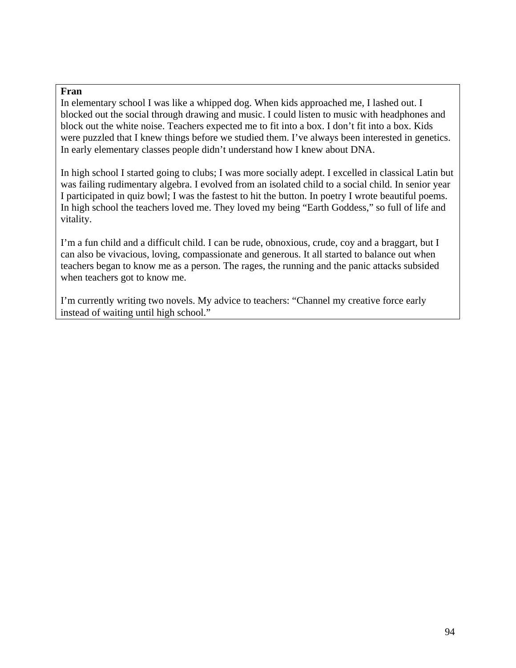### **Fran**

In elementary school I was like a whipped dog. When kids approached me, I lashed out. I blocked out the social through drawing and music. I could listen to music with headphones and block out the white noise. Teachers expected me to fit into a box. I don't fit into a box. Kids were puzzled that I knew things before we studied them. I've always been interested in genetics. In early elementary classes people didn't understand how I knew about DNA.

In high school I started going to clubs; I was more socially adept. I excelled in classical Latin but was failing rudimentary algebra. I evolved from an isolated child to a social child. In senior year I participated in quiz bowl; I was the fastest to hit the button. In poetry I wrote beautiful poems. In high school the teachers loved me. They loved my being "Earth Goddess," so full of life and vitality.

I'm a fun child and a difficult child. I can be rude, obnoxious, crude, coy and a braggart, but I can also be vivacious, loving, compassionate and generous. It all started to balance out when teachers began to know me as a person. The rages, the running and the panic attacks subsided when teachers got to know me.

I'm currently writing two novels. My advice to teachers: "Channel my creative force early instead of waiting until high school."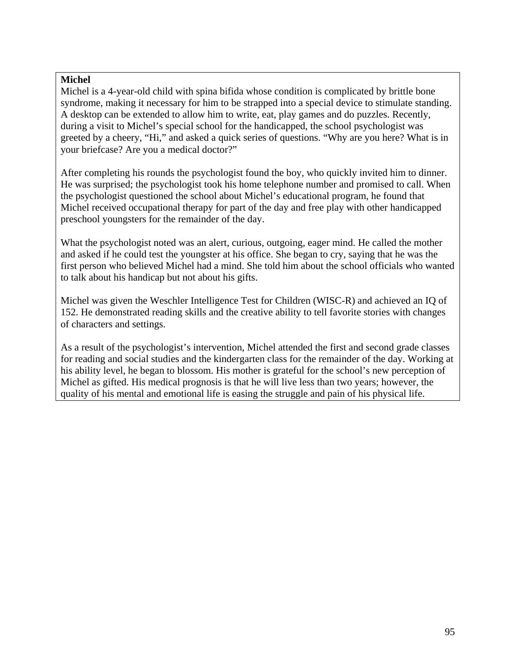### **Michel**

Michel is a 4-year-old child with spina bifida whose condition is complicated by brittle bone syndrome, making it necessary for him to be strapped into a special device to stimulate standing. A desktop can be extended to allow him to write, eat, play games and do puzzles. Recently, during a visit to Michel's special school for the handicapped, the school psychologist was greeted by a cheery, "Hi," and asked a quick series of questions. "Why are you here? What is in your briefcase? Are you a medical doctor?"

After completing his rounds the psychologist found the boy, who quickly invited him to dinner. He was surprised; the psychologist took his home telephone number and promised to call. When the psychologist questioned the school about Michel's educational program, he found that Michel received occupational therapy for part of the day and free play with other handicapped preschool youngsters for the remainder of the day.

What the psychologist noted was an alert, curious, outgoing, eager mind. He called the mother and asked if he could test the youngster at his office. She began to cry, saying that he was the first person who believed Michel had a mind. She told him about the school officials who wanted to talk about his handicap but not about his gifts.

Michel was given the Weschler Intelligence Test for Children (WISC-R) and achieved an IQ of 152. He demonstrated reading skills and the creative ability to tell favorite stories with changes of characters and settings.

As a result of the psychologist's intervention, Michel attended the first and second grade classes for reading and social studies and the kindergarten class for the remainder of the day. Working at his ability level, he began to blossom. His mother is grateful for the school's new perception of Michel as gifted. His medical prognosis is that he will live less than two years; however, the quality of his mental and emotional life is easing the struggle and pain of his physical life.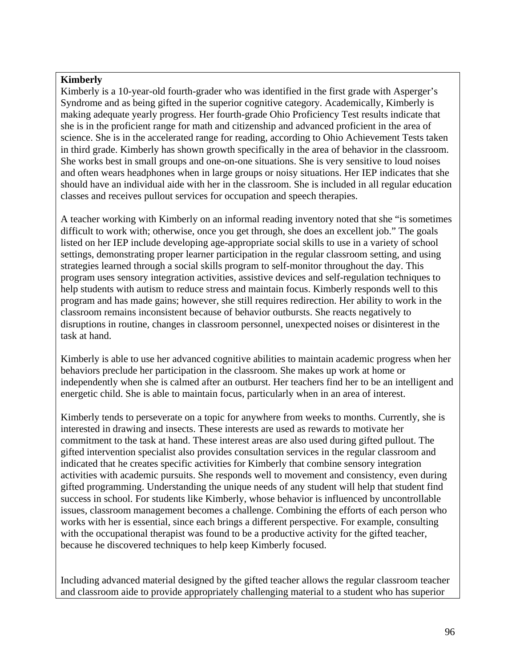### **Kimberly**

Kimberly is a 10-year-old fourth-grader who was identified in the first grade with Asperger's Syndrome and as being gifted in the superior cognitive category. Academically, Kimberly is making adequate yearly progress. Her fourth-grade Ohio Proficiency Test results indicate that she is in the proficient range for math and citizenship and advanced proficient in the area of science. She is in the accelerated range for reading, according to Ohio Achievement Tests taken in third grade. Kimberly has shown growth specifically in the area of behavior in the classroom. She works best in small groups and one-on-one situations. She is very sensitive to loud noises and often wears headphones when in large groups or noisy situations. Her IEP indicates that she should have an individual aide with her in the classroom. She is included in all regular education classes and receives pullout services for occupation and speech therapies.

A teacher working with Kimberly on an informal reading inventory noted that she "is sometimes difficult to work with; otherwise, once you get through, she does an excellent job." The goals listed on her IEP include developing age-appropriate social skills to use in a variety of school settings, demonstrating proper learner participation in the regular classroom setting, and using strategies learned through a social skills program to self-monitor throughout the day. This program uses sensory integration activities, assistive devices and self-regulation techniques to help students with autism to reduce stress and maintain focus. Kimberly responds well to this program and has made gains; however, she still requires redirection. Her ability to work in the classroom remains inconsistent because of behavior outbursts. She reacts negatively to disruptions in routine, changes in classroom personnel, unexpected noises or disinterest in the task at hand.

Kimberly is able to use her advanced cognitive abilities to maintain academic progress when her behaviors preclude her participation in the classroom. She makes up work at home or independently when she is calmed after an outburst. Her teachers find her to be an intelligent and energetic child. She is able to maintain focus, particularly when in an area of interest.

Kimberly tends to perseverate on a topic for anywhere from weeks to months. Currently, she is interested in drawing and insects. These interests are used as rewards to motivate her commitment to the task at hand. These interest areas are also used during gifted pullout. The gifted intervention specialist also provides consultation services in the regular classroom and indicated that he creates specific activities for Kimberly that combine sensory integration activities with academic pursuits. She responds well to movement and consistency, even during gifted programming. Understanding the unique needs of any student will help that student find success in school. For students like Kimberly, whose behavior is influenced by uncontrollable issues, classroom management becomes a challenge. Combining the efforts of each person who works with her is essential, since each brings a different perspective. For example, consulting with the occupational therapist was found to be a productive activity for the gifted teacher, because he discovered techniques to help keep Kimberly focused.

Including advanced material designed by the gifted teacher allows the regular classroom teacher and classroom aide to provide appropriately challenging material to a student who has superior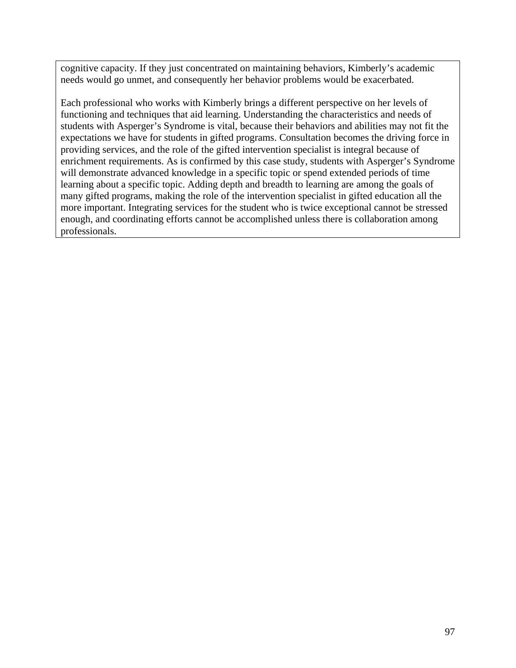cognitive capacity. If they just concentrated on maintaining behaviors, Kimberly's academic needs would go unmet, and consequently her behavior problems would be exacerbated.

Each professional who works with Kimberly brings a different perspective on her levels of functioning and techniques that aid learning. Understanding the characteristics and needs of students with Asperger's Syndrome is vital, because their behaviors and abilities may not fit the expectations we have for students in gifted programs. Consultation becomes the driving force in providing services, and the role of the gifted intervention specialist is integral because of enrichment requirements. As is confirmed by this case study, students with Asperger's Syndrome will demonstrate advanced knowledge in a specific topic or spend extended periods of time learning about a specific topic. Adding depth and breadth to learning are among the goals of many gifted programs, making the role of the intervention specialist in gifted education all the more important. Integrating services for the student who is twice exceptional cannot be stressed enough, and coordinating efforts cannot be accomplished unless there is collaboration among professionals.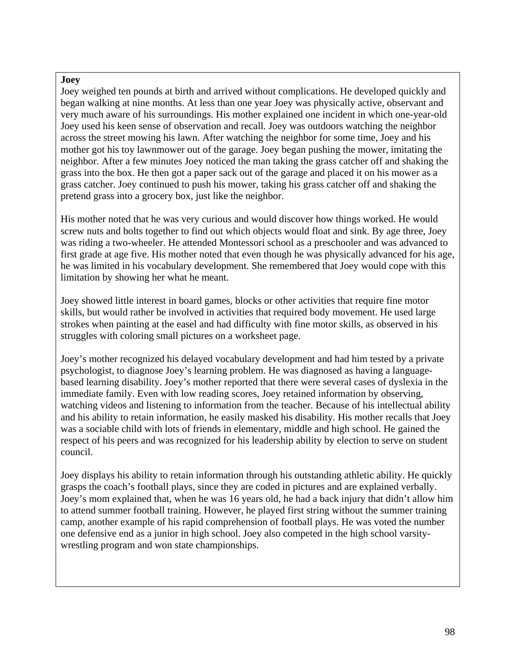### **Joey**

Joey weighed ten pounds at birth and arrived without complications. He developed quickly and began walking at nine months. At less than one year Joey was physically active, observant and very much aware of his surroundings. His mother explained one incident in which one-year-old Joey used his keen sense of observation and recall. Joey was outdoors watching the neighbor across the street mowing his lawn. After watching the neighbor for some time, Joey and his mother got his toy lawnmower out of the garage. Joey began pushing the mower, imitating the neighbor. After a few minutes Joey noticed the man taking the grass catcher off and shaking the grass into the box. He then got a paper sack out of the garage and placed it on his mower as a grass catcher. Joey continued to push his mower, taking his grass catcher off and shaking the pretend grass into a grocery box, just like the neighbor.

His mother noted that he was very curious and would discover how things worked. He would screw nuts and bolts together to find out which objects would float and sink. By age three, Joey was riding a two-wheeler. He attended Montessori school as a preschooler and was advanced to first grade at age five. His mother noted that even though he was physically advanced for his age, he was limited in his vocabulary development. She remembered that Joey would cope with this limitation by showing her what he meant.

Joey showed little interest in board games, blocks or other activities that require fine motor skills, but would rather be involved in activities that required body movement. He used large strokes when painting at the easel and had difficulty with fine motor skills, as observed in his struggles with coloring small pictures on a worksheet page.

Joey's mother recognized his delayed vocabulary development and had him tested by a private psychologist, to diagnose Joey's learning problem. He was diagnosed as having a languagebased learning disability. Joey's mother reported that there were several cases of dyslexia in the immediate family. Even with low reading scores, Joey retained information by observing, watching videos and listening to information from the teacher. Because of his intellectual ability and his ability to retain information, he easily masked his disability. His mother recalls that Joey was a sociable child with lots of friends in elementary, middle and high school. He gained the respect of his peers and was recognized for his leadership ability by election to serve on student council.

Joey displays his ability to retain information through his outstanding athletic ability. He quickly grasps the coach's football plays, since they are coded in pictures and are explained verbally. Joey's mom explained that, when he was 16 years old, he had a back injury that didn't allow him to attend summer football training. However, he played first string without the summer training camp, another example of his rapid comprehension of football plays. He was voted the number one defensive end as a junior in high school. Joey also competed in the high school varsitywrestling program and won state championships.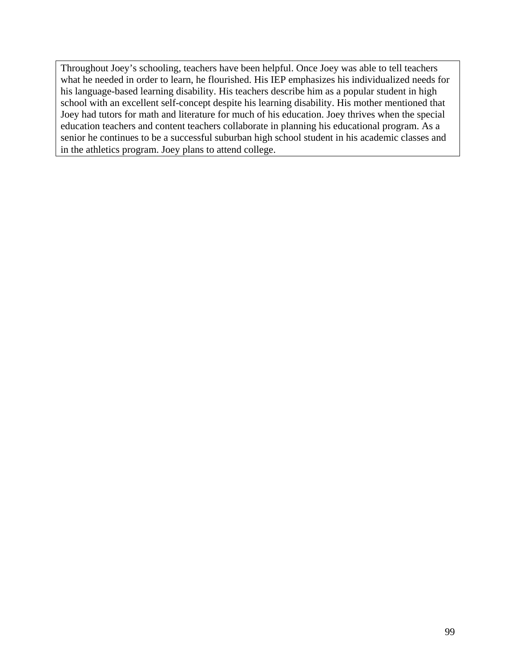Throughout Joey's schooling, teachers have been helpful. Once Joey was able to tell teachers what he needed in order to learn, he flourished. His IEP emphasizes his individualized needs for his language-based learning disability. His teachers describe him as a popular student in high school with an excellent self-concept despite his learning disability. His mother mentioned that Joey had tutors for math and literature for much of his education. Joey thrives when the special education teachers and content teachers collaborate in planning his educational program. As a senior he continues to be a successful suburban high school student in his academic classes and in the athletics program. Joey plans to attend college.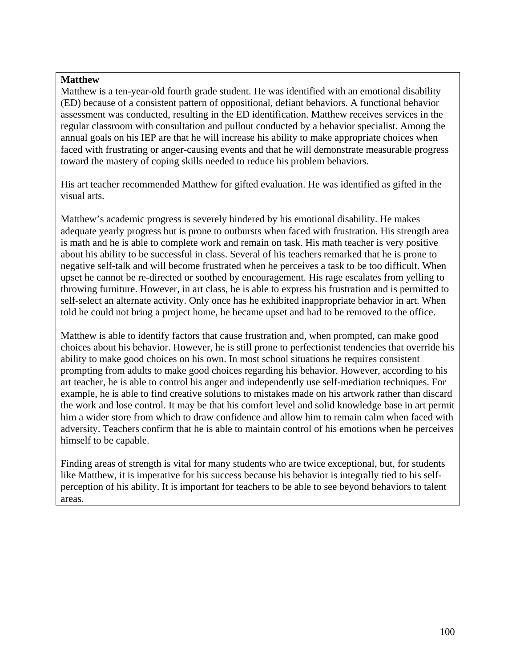### **Matthew**

Matthew is a ten-year-old fourth grade student. He was identified with an emotional disability (ED) because of a consistent pattern of oppositional, defiant behaviors. A functional behavior assessment was conducted, resulting in the ED identification. Matthew receives services in the regular classroom with consultation and pullout conducted by a behavior specialist. Among the annual goals on his IEP are that he will increase his ability to make appropriate choices when faced with frustrating or anger-causing events and that he will demonstrate measurable progress toward the mastery of coping skills needed to reduce his problem behaviors.

His art teacher recommended Matthew for gifted evaluation. He was identified as gifted in the visual arts.

Matthew's academic progress is severely hindered by his emotional disability. He makes adequate yearly progress but is prone to outbursts when faced with frustration. His strength area is math and he is able to complete work and remain on task. His math teacher is very positive about his ability to be successful in class. Several of his teachers remarked that he is prone to negative self-talk and will become frustrated when he perceives a task to be too difficult. When upset he cannot be re-directed or soothed by encouragement. His rage escalates from yelling to throwing furniture. However, in art class, he is able to express his frustration and is permitted to self-select an alternate activity. Only once has he exhibited inappropriate behavior in art. When told he could not bring a project home, he became upset and had to be removed to the office.

Matthew is able to identify factors that cause frustration and, when prompted, can make good choices about his behavior. However, he is still prone to perfectionist tendencies that override his ability to make good choices on his own. In most school situations he requires consistent prompting from adults to make good choices regarding his behavior. However, according to his art teacher, he is able to control his anger and independently use self-mediation techniques. For example, he is able to find creative solutions to mistakes made on his artwork rather than discard the work and lose control. It may be that his comfort level and solid knowledge base in art permit him a wider store from which to draw confidence and allow him to remain calm when faced with adversity. Teachers confirm that he is able to maintain control of his emotions when he perceives himself to be capable.

Finding areas of strength is vital for many students who are twice exceptional, but, for students like Matthew, it is imperative for his success because his behavior is integrally tied to his selfperception of his ability. It is important for teachers to be able to see beyond behaviors to talent areas.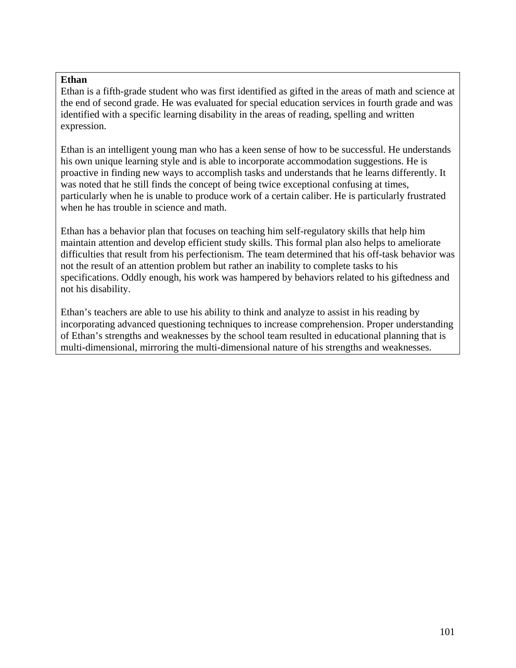### **Ethan**

Ethan is a fifth-grade student who was first identified as gifted in the areas of math and science at the end of second grade. He was evaluated for special education services in fourth grade and was identified with a specific learning disability in the areas of reading, spelling and written expression.

Ethan is an intelligent young man who has a keen sense of how to be successful. He understands his own unique learning style and is able to incorporate accommodation suggestions. He is proactive in finding new ways to accomplish tasks and understands that he learns differently. It was noted that he still finds the concept of being twice exceptional confusing at times, particularly when he is unable to produce work of a certain caliber. He is particularly frustrated when he has trouble in science and math.

Ethan has a behavior plan that focuses on teaching him self-regulatory skills that help him maintain attention and develop efficient study skills. This formal plan also helps to ameliorate difficulties that result from his perfectionism. The team determined that his off-task behavior was not the result of an attention problem but rather an inability to complete tasks to his specifications. Oddly enough, his work was hampered by behaviors related to his giftedness and not his disability.

Ethan's teachers are able to use his ability to think and analyze to assist in his reading by incorporating advanced questioning techniques to increase comprehension. Proper understanding of Ethan's strengths and weaknesses by the school team resulted in educational planning that is multi-dimensional, mirroring the multi-dimensional nature of his strengths and weaknesses.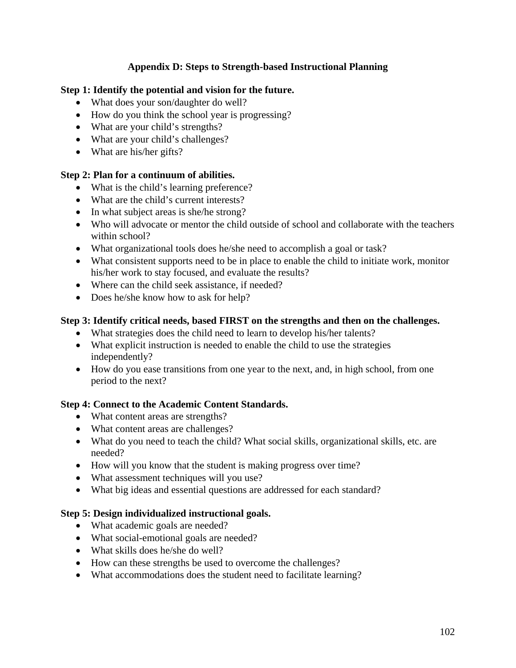## **Appendix D: Steps to Strength-based Instructional Planning**

### <span id="page-103-0"></span>**Step 1: Identify the potential and vision for the future.**

- What does your son/daughter do well?
- How do you think the school year is progressing?
- What are your child's strengths?
- What are your child's challenges?
- What are his/her gifts?

### **Step 2: Plan for a continuum of abilities.**

- What is the child's learning preference?
- What are the child's current interests?
- In what subject areas is she/he strong?
- Who will advocate or mentor the child outside of school and collaborate with the teachers within school?
- What organizational tools does he/she need to accomplish a goal or task?
- What consistent supports need to be in place to enable the child to initiate work, monitor his/her work to stay focused, and evaluate the results?
- Where can the child seek assistance, if needed?
- Does he/she know how to ask for help?

## **Step 3: Identify critical needs, based FIRST on the strengths and then on the challenges.**

- What strategies does the child need to learn to develop his/her talents?
- What explicit instruction is needed to enable the child to use the strategies independently?
- How do you ease transitions from one year to the next, and, in high school, from one period to the next?

### **Step 4: Connect to the Academic Content Standards.**

- What content areas are strengths?
- What content areas are challenges?
- What do you need to teach the child? What social skills, organizational skills, etc. are needed?
- How will you know that the student is making progress over time?
- What assessment techniques will you use?
- What big ideas and essential questions are addressed for each standard?

### **Step 5: Design individualized instructional goals.**

- What academic goals are needed?
- What social-emotional goals are needed?
- What skills does he/she do well?
- How can these strengths be used to overcome the challenges?
- What accommodations does the student need to facilitate learning?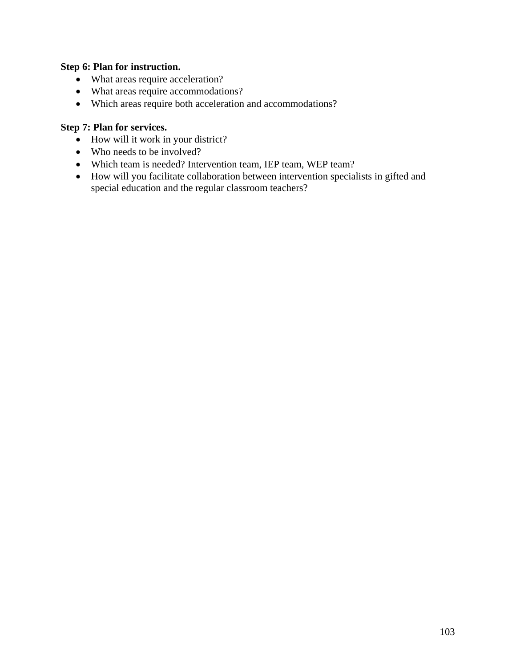### **Step 6: Plan for instruction.**

- What areas require acceleration?
- What areas require accommodations?
- Which areas require both acceleration and accommodations?

## **Step 7: Plan for services.**

- How will it work in your district?
- Who needs to be involved?
- Which team is needed? Intervention team, IEP team, WEP team?
- How will you facilitate collaboration between intervention specialists in gifted and special education and the regular classroom teachers?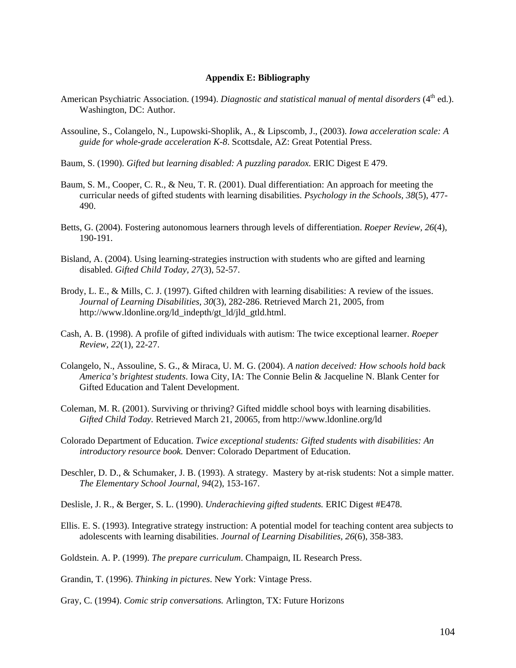#### **Appendix E: Bibliography**

- <span id="page-105-0"></span>American Psychiatric Association. (1994). *Diagnostic and statistical manual of mental disorders* (4<sup>th</sup> ed.). Washington, DC: Author.
- Assouline, S., Colangelo, N., Lupowski-Shoplik, A., & Lipscomb, J., (2003). *Iowa acceleration scale: A guide for whole-grade acceleration K-8*. Scottsdale, AZ: Great Potential Press.
- Baum, S. (1990). *Gifted but learning disabled: A puzzling paradox.* ERIC Digest E 479.
- Baum, S. M., Cooper, C. R., & Neu, T. R. (2001). Dual differentiation: An approach for meeting the curricular needs of gifted students with learning disabilities. *Psychology in the Schools, 38*(5), 477- 490.
- Betts, G. (2004). Fostering autonomous learners through levels of differentiation. *Roeper Review, 26*(4), 190-191.
- Bisland, A. (2004). Using learning-strategies instruction with students who are gifted and learning disabled. *Gifted Child Today, 27*(3)*,* 52-57.
- Brody, L. E., & Mills, C. J. (1997). Gifted children with learning disabilities: A review of the issues. *Journal of Learning Disabilities, 30*(3), 282-286. Retrieved March 21, 2005, from [http://www.ldonline.org/ld\\_indepth/gt\\_ld/jld\\_gtld.html.](http://www.ldonline.org/ld_indepth/gt_ld/jld_gtld.html)
- Cash, A. B. (1998). A profile of gifted individuals with autism: The twice exceptional learner. *Roeper Review, 22*(1)*,* 22-27.
- Colangelo, N., Assouline, S. G., & Miraca, U. M. G. (2004). *A nation deceived: How schools hold back America's brightest students*. Iowa City, IA: The Connie Belin & Jacqueline N. Blank Center for Gifted Education and Talent Development.
- Coleman, M. R. (2001). Surviving or thriving? Gifted middle school boys with learning disabilities. *Gifted Child Today.* Retrieved March 21, 20065, from <http://www.ldonline.org/ld>
- Colorado Department of Education. *Twice exceptional students: Gifted students with disabilities: An introductory resource book.* Denver: Colorado Department of Education.
- Deschler, D. D., & Schumaker, J. B. (1993). A strategy. Mastery by at-risk students: Not a simple matter. *The Elementary School Journal, 94*(2), 153-167.
- Deslisle, J. R., & Berger, S. L. (1990). *Underachieving gifted students.* ERIC Digest #E478.
- Ellis. E. S. (1993). Integrative strategy instruction: A potential model for teaching content area subjects to adolescents with learning disabilities. *Journal of Learning Disabilities, 26*(6), 358-383.
- Goldstein. A. P. (1999). *The prepare curriculum*. Champaign, IL Research Press.

Grandin, T. (1996). *Thinking in pictures*. New York: Vintage Press.

Gray, C. (1994). *Comic strip conversations.* Arlington, TX: Future Horizons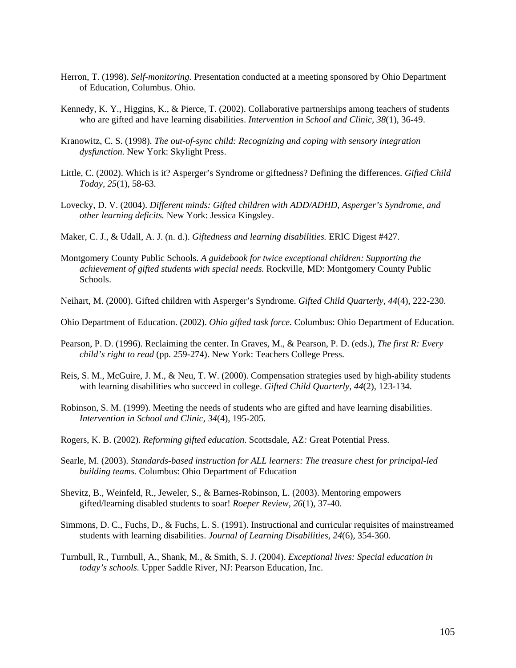- Herron, T. (1998). *Self-monitoring.* Presentation conducted at a meeting sponsored by Ohio Department of Education, Columbus. Ohio.
- Kennedy, K. Y., Higgins, K., & Pierce, T. (2002). Collaborative partnerships among teachers of students who are gifted and have learning disabilities. *Intervention in School and Clinic, 38*(1), 36-49.
- Kranowitz, C. S. (1998). *The out-of-sync child: Recognizing and coping with sensory integration dysfunction.* New York: Skylight Press.
- Little, C. (2002). Which is it? Asperger's Syndrome or giftedness? Defining the differences. *Gifted Child Today, 25*(1), 58-63.
- Lovecky, D. V. (2004). *Different minds: Gifted children with ADD/ADHD, Asperger's Syndrome, and other learning deficits.* New York: Jessica Kingsley.
- Maker, C. J., & Udall, A. J. (n. d.). *Giftedness and learning disabilities.* ERIC Digest #427.
- Montgomery County Public Schools. *A guidebook for twice exceptional children: Supporting the achievement of gifted students with special needs.* Rockville, MD: Montgomery County Public Schools.
- Neihart, M. (2000). Gifted children with Asperger's Syndrome. *Gifted Child Quarterly, 44*(4), 222-230.

Ohio Department of Education. (2002). *Ohio gifted task force.* Columbus: Ohio Department of Education.

- Pearson, P. D. (1996). Reclaiming the center. In Graves, M., & Pearson, P. D. (eds.), *The first R: Every child's right to read* (pp. 259-274). New York: Teachers College Press.
- Reis, S. M., McGuire, J. M., & Neu, T. W. (2000). Compensation strategies used by high-ability students with learning disabilities who succeed in college. *Gifted Child Quarterly, 44*(2), 123-134.
- Robinson, S. M. (1999). Meeting the needs of students who are gifted and have learning disabilities. *Intervention in School and Clinic, 34*(4), 195-205.
- Rogers, K. B. (2002). *Reforming gifted education*. Scottsdale, AZ*:* Great Potential Press.
- Searle, M. (2003). *Standards-based instruction for ALL learners: The treasure chest for principal-led building teams.* Columbus: Ohio Department of Education
- Shevitz, B., Weinfeld, R., Jeweler, S., & Barnes-Robinson, L. (2003). Mentoring empowers gifted/learning disabled students to soar! *Roeper Review, 26*(1), 37-40.
- Simmons, D. C., Fuchs, D., & Fuchs, L. S. (1991). Instructional and curricular requisites of mainstreamed students with learning disabilities. *Journal of Learning Disabilities, 24*(6), 354-360.
- Turnbull, R., Turnbull, A., Shank, M., & Smith, S. J. (2004). *Exceptional lives: Special education in today's schools.* Upper Saddle River, NJ: Pearson Education, Inc.